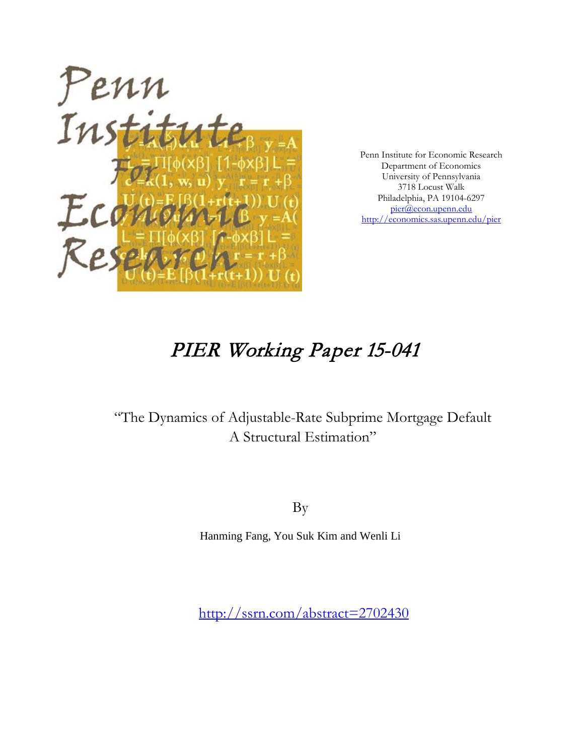

Penn Institute for Economic Research Department of Economics University of Pennsylvania 3718 Locust Walk Philadelphia, PA 19104-6297 [pier@econ.upenn.edu](mailto:pier@econ.upenn.edu) <http://economics.sas.upenn.edu/pier>

# PIER Working Paper 15-041

# "The Dynamics of Adjustable-Rate Subprime Mortgage Default A Structural Estimation"

By

Hanming Fang, You Suk Kim and Wenli Li

<http://ssrn.com/abstract=2702430>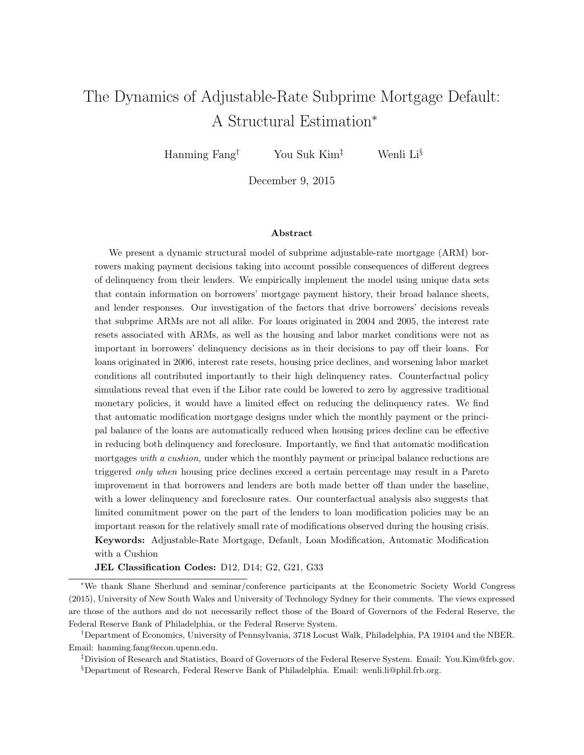# <span id="page-1-0"></span>The Dynamics of Adjustable-Rate Subprime Mortgage Default: A Structural Estimation<sup>∗</sup>

Hanming Fang<sup>†</sup> You Suk Kim<sup>‡</sup> Wenli Li<sup>§</sup>

December 9, 2015

#### Abstract

We present a dynamic structural model of subprime adjustable-rate mortgage (ARM) borrowers making payment decisions taking into account possible consequences of different degrees of delinquency from their lenders. We empirically implement the model using unique data sets that contain information on borrowers' mortgage payment history, their broad balance sheets, and lender responses. Our investigation of the factors that drive borrowers' decisions reveals that subprime ARMs are not all alike. For loans originated in 2004 and 2005, the interest rate resets associated with ARMs, as well as the housing and labor market conditions were not as important in borrowers' delinquency decisions as in their decisions to pay off their loans. For loans originated in 2006, interest rate resets, housing price declines, and worsening labor market conditions all contributed importantly to their high delinquency rates. Counterfactual policy simulations reveal that even if the Libor rate could be lowered to zero by aggressive traditional monetary policies, it would have a limited effect on reducing the delinquency rates. We find that automatic modification mortgage designs under which the monthly payment or the principal balance of the loans are automatically reduced when housing prices decline can be effective in reducing both delinquency and foreclosure. Importantly, we find that automatic modification mortgages with a cushion, under which the monthly payment or principal balance reductions are triggered only when housing price declines exceed a certain percentage may result in a Pareto improvement in that borrowers and lenders are both made better off than under the baseline, with a lower delinquency and foreclosure rates. Our counterfactual analysis also suggests that limited commitment power on the part of the lenders to loan modification policies may be an important reason for the relatively small rate of modifications observed during the housing crisis. Keywords: Adjustable-Rate Mortgage, Default, Loan Modification, Automatic Modification with a Cushion

JEL Classification Codes: D12, D14; G2, G21, G33

<sup>∗</sup>We thank Shane Sherlund and seminar/conference participants at the Econometric Society World Congress (2015), University of New South Wales and University of Technology Sydney for their comments. The views expressed are those of the authors and do not necessarily reflect those of the Board of Governors of the Federal Reserve, the Federal Reserve Bank of Philadelphia, or the Federal Reserve System.

<sup>†</sup>Department of Economics, University of Pennsylvania, 3718 Locust Walk, Philadelphia, PA 19104 and the NBER. Email: hanming.fang@econ.upenn.edu.

<sup>‡</sup>Division of Research and Statistics, Board of Governors of the Federal Reserve System. Email: You.Kim@frb.gov.

<sup>§</sup>Department of Research, Federal Reserve Bank of Philadelphia. Email: wenli.li@phil.frb.org.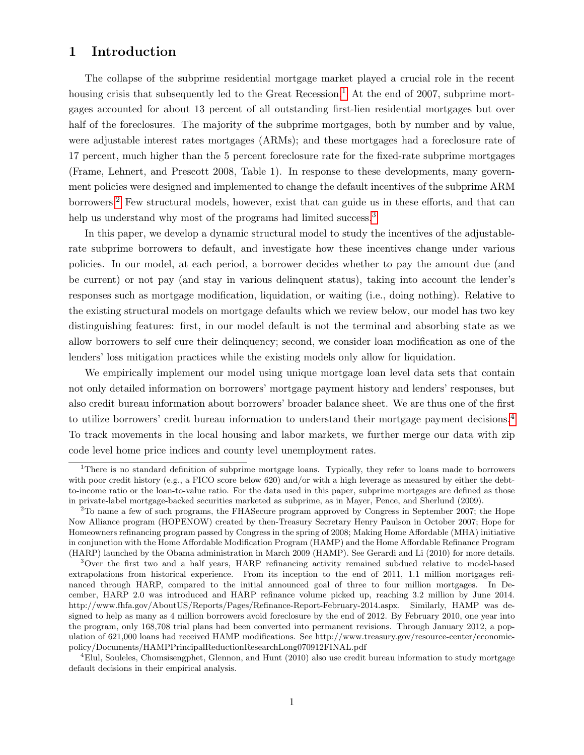# 1 Introduction

The collapse of the subprime residential mortgage market played a crucial role in the recent housing crisis that subsequently led to the Great Recession.<sup>[1](#page-1-0)</sup> At the end of 2007, subprime mortgages accounted for about 13 percent of all outstanding first-lien residential mortgages but over half of the foreclosures. The majority of the subprime mortgages, both by number and by value, were adjustable interest rates mortgages (ARMs); and these mortgages had a foreclosure rate of 17 percent, much higher than the 5 percent foreclosure rate for the fixed-rate subprime mortgages (Frame, Lehnert, and Prescott 2008, Table 1). In response to these developments, many government policies were designed and implemented to change the default incentives of the subprime ARM borrowers.[2](#page-1-0) Few structural models, however, exist that can guide us in these efforts, and that can help us understand why most of the programs had limited success.<sup>[3](#page-1-0)</sup>

In this paper, we develop a dynamic structural model to study the incentives of the adjustablerate subprime borrowers to default, and investigate how these incentives change under various policies. In our model, at each period, a borrower decides whether to pay the amount due (and be current) or not pay (and stay in various delinquent status), taking into account the lender's responses such as mortgage modification, liquidation, or waiting (i.e., doing nothing). Relative to the existing structural models on mortgage defaults which we review below, our model has two key distinguishing features: first, in our model default is not the terminal and absorbing state as we allow borrowers to self cure their delinquency; second, we consider loan modification as one of the lenders' loss mitigation practices while the existing models only allow for liquidation.

We empirically implement our model using unique mortgage loan level data sets that contain not only detailed information on borrowers' mortgage payment history and lenders' responses, but also credit bureau information about borrowers' broader balance sheet. We are thus one of the first to utilize borrowers' credit bureau information to understand their mortgage payment decisions.[4](#page-1-0) To track movements in the local housing and labor markets, we further merge our data with zip code level home price indices and county level unemployment rates.

<sup>&</sup>lt;sup>1</sup>There is no standard definition of subprime mortgage loans. Typically, they refer to loans made to borrowers with poor credit history (e.g., a FICO score below 620) and/or with a high leverage as measured by either the debtto-income ratio or the loan-to-value ratio. For the data used in this paper, subprime mortgages are defined as those in private-label mortgage-backed securities marketed as subprime, as in Mayer, Pence, and Sherlund (2009).

<sup>&</sup>lt;sup>2</sup>To name a few of such programs, the FHASecure program approved by Congress in September 2007; the Hope Now Alliance program (HOPENOW) created by then-Treasury Secretary Henry Paulson in October 2007; Hope for Homeowners refinancing program passed by Congress in the spring of 2008; Making Home Affordable (MHA) initiative in conjunction with the Home Affordable Modification Program (HAMP) and the Home Affordable Refinance Program (HARP) launched by the Obama administration in March 2009 (HAMP). See Gerardi and Li (2010) for more details.

<sup>3</sup>Over the first two and a half years, HARP refinancing activity remained subdued relative to model-based extrapolations from historical experience. From its inception to the end of 2011, 1.1 million mortgages refinanced through HARP, compared to the initial announced goal of three to four million mortgages. In December, HARP 2.0 was introduced and HARP refinance volume picked up, reaching 3.2 million by June 2014. http://www.fhfa.gov/AboutUS/Reports/Pages/Refinance-Report-February-2014.aspx. Similarly, HAMP was designed to help as many as 4 million borrowers avoid foreclosure by the end of 2012. By February 2010, one year into the program, only 168,708 trial plans had been converted into permanent revisions. Through January 2012, a population of 621,000 loans had received HAMP modifications. See http://www.treasury.gov/resource-center/economicpolicy/Documents/HAMPPrincipalReductionResearchLong070912FINAL.pdf

<sup>4</sup>Elul, Souleles, Chomsisengphet, Glennon, and Hunt (2010) also use credit bureau information to study mortgage default decisions in their empirical analysis.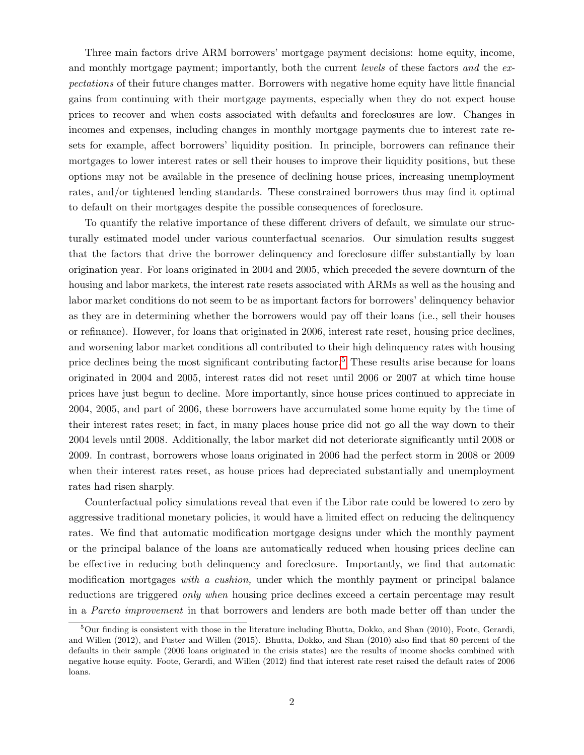Three main factors drive ARM borrowers' mortgage payment decisions: home equity, income, and monthly mortgage payment; importantly, both the current levels of these factors and the expectations of their future changes matter. Borrowers with negative home equity have little financial gains from continuing with their mortgage payments, especially when they do not expect house prices to recover and when costs associated with defaults and foreclosures are low. Changes in incomes and expenses, including changes in monthly mortgage payments due to interest rate resets for example, affect borrowers' liquidity position. In principle, borrowers can refinance their mortgages to lower interest rates or sell their houses to improve their liquidity positions, but these options may not be available in the presence of declining house prices, increasing unemployment rates, and/or tightened lending standards. These constrained borrowers thus may find it optimal to default on their mortgages despite the possible consequences of foreclosure.

To quantify the relative importance of these different drivers of default, we simulate our structurally estimated model under various counterfactual scenarios. Our simulation results suggest that the factors that drive the borrower delinquency and foreclosure differ substantially by loan origination year. For loans originated in 2004 and 2005, which preceded the severe downturn of the housing and labor markets, the interest rate resets associated with ARMs as well as the housing and labor market conditions do not seem to be as important factors for borrowers' delinquency behavior as they are in determining whether the borrowers would pay off their loans (i.e., sell their houses or refinance). However, for loans that originated in 2006, interest rate reset, housing price declines, and worsening labor market conditions all contributed to their high delinquency rates with housing price declines being the most significant contributing factor.<sup>[5](#page-1-0)</sup> These results arise because for loans originated in 2004 and 2005, interest rates did not reset until 2006 or 2007 at which time house prices have just begun to decline. More importantly, since house prices continued to appreciate in 2004, 2005, and part of 2006, these borrowers have accumulated some home equity by the time of their interest rates reset; in fact, in many places house price did not go all the way down to their 2004 levels until 2008. Additionally, the labor market did not deteriorate significantly until 2008 or 2009. In contrast, borrowers whose loans originated in 2006 had the perfect storm in 2008 or 2009 when their interest rates reset, as house prices had depreciated substantially and unemployment rates had risen sharply.

Counterfactual policy simulations reveal that even if the Libor rate could be lowered to zero by aggressive traditional monetary policies, it would have a limited effect on reducing the delinquency rates. We find that automatic modification mortgage designs under which the monthly payment or the principal balance of the loans are automatically reduced when housing prices decline can be effective in reducing both delinquency and foreclosure. Importantly, we find that automatic modification mortgages with a cushion, under which the monthly payment or principal balance reductions are triggered only when housing price declines exceed a certain percentage may result in a Pareto improvement in that borrowers and lenders are both made better off than under the

<sup>&</sup>lt;sup>5</sup>Our finding is consistent with those in the literature including Bhutta, Dokko, and Shan (2010), Foote, Gerardi, and Willen (2012), and Fuster and Willen (2015). Bhutta, Dokko, and Shan (2010) also find that 80 percent of the defaults in their sample (2006 loans originated in the crisis states) are the results of income shocks combined with negative house equity. Foote, Gerardi, and Willen (2012) find that interest rate reset raised the default rates of 2006 loans.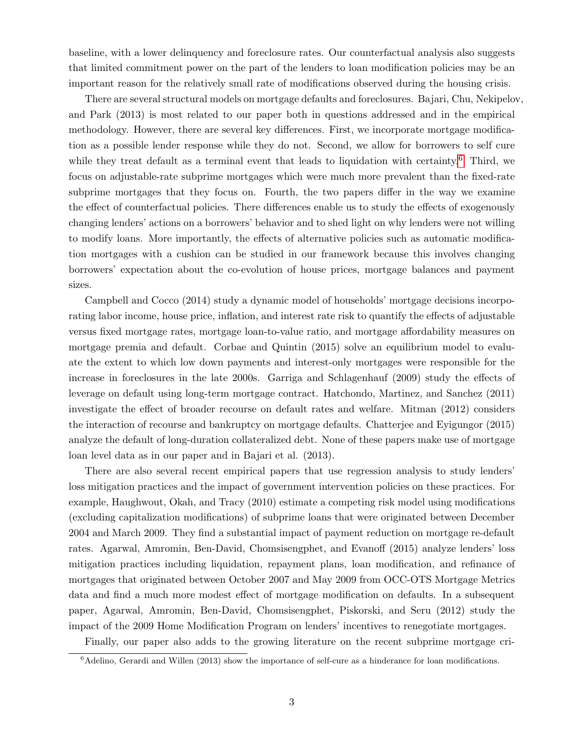baseline, with a lower delinquency and foreclosure rates. Our counterfactual analysis also suggests that limited commitment power on the part of the lenders to loan modification policies may be an important reason for the relatively small rate of modifications observed during the housing crisis.

There are several structural models on mortgage defaults and foreclosures. Bajari, Chu, Nekipelov, and Park (2013) is most related to our paper both in questions addressed and in the empirical methodology. However, there are several key differences. First, we incorporate mortgage modification as a possible lender response while they do not. Second, we allow for borrowers to self cure while they treat default as a terminal event that leads to liquidation with certainty.<sup>[6](#page-1-0)</sup> Third, we focus on adjustable-rate subprime mortgages which were much more prevalent than the fixed-rate subprime mortgages that they focus on. Fourth, the two papers differ in the way we examine the effect of counterfactual policies. There differences enable us to study the effects of exogenously changing lenders' actions on a borrowers' behavior and to shed light on why lenders were not willing to modify loans. More importantly, the effects of alternative policies such as automatic modification mortgages with a cushion can be studied in our framework because this involves changing borrowers' expectation about the co-evolution of house prices, mortgage balances and payment sizes.

Campbell and Cocco (2014) study a dynamic model of households' mortgage decisions incorporating labor income, house price, inflation, and interest rate risk to quantify the effects of adjustable versus fixed mortgage rates, mortgage loan-to-value ratio, and mortgage affordability measures on mortgage premia and default. Corbae and Quintin (2015) solve an equilibrium model to evaluate the extent to which low down payments and interest-only mortgages were responsible for the increase in foreclosures in the late 2000s. Garriga and Schlagenhauf (2009) study the effects of leverage on default using long-term mortgage contract. Hatchondo, Martinez, and Sanchez (2011) investigate the effect of broader recourse on default rates and welfare. Mitman (2012) considers the interaction of recourse and bankruptcy on mortgage defaults. Chatterjee and Eyigungor (2015) analyze the default of long-duration collateralized debt. None of these papers make use of mortgage loan level data as in our paper and in Bajari et al. (2013).

There are also several recent empirical papers that use regression analysis to study lenders' loss mitigation practices and the impact of government intervention policies on these practices. For example, Haughwout, Okah, and Tracy (2010) estimate a competing risk model using modifications (excluding capitalization modifications) of subprime loans that were originated between December 2004 and March 2009. They find a substantial impact of payment reduction on mortgage re-default rates. Agarwal, Amromin, Ben-David, Chomsisengphet, and Evanoff (2015) analyze lenders' loss mitigation practices including liquidation, repayment plans, loan modification, and refinance of mortgages that originated between October 2007 and May 2009 from OCC-OTS Mortgage Metrics data and find a much more modest effect of mortgage modification on defaults. In a subsequent paper, Agarwal, Amromin, Ben-David, Chomsisengphet, Piskorski, and Seru (2012) study the impact of the 2009 Home Modification Program on lenders' incentives to renegotiate mortgages.

Finally, our paper also adds to the growing literature on the recent subprime mortgage cri-

 ${}^{6}$ Adelino, Gerardi and Willen (2013) show the importance of self-cure as a hinderance for loan modifications.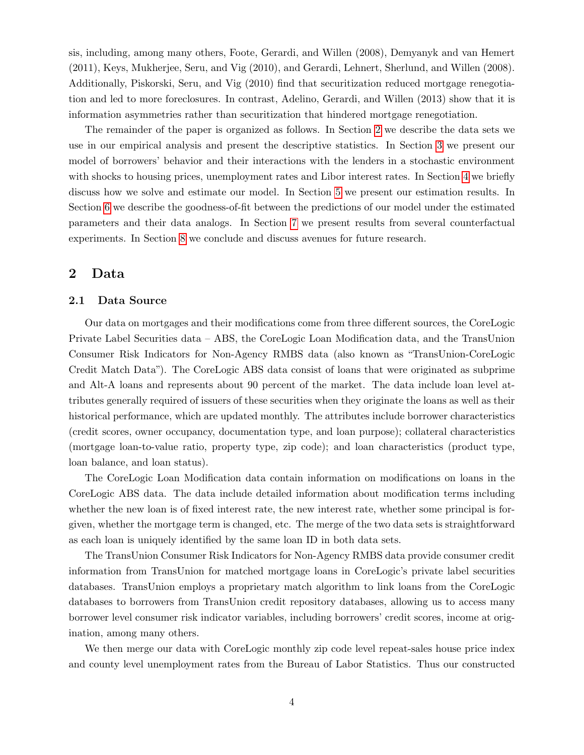sis, including, among many others, Foote, Gerardi, and Willen (2008), Demyanyk and van Hemert (2011), Keys, Mukherjee, Seru, and Vig (2010), and Gerardi, Lehnert, Sherlund, and Willen (2008). Additionally, Piskorski, Seru, and Vig (2010) find that securitization reduced mortgage renegotiation and led to more foreclosures. In contrast, Adelino, Gerardi, and Willen (2013) show that it is information asymmetries rather than securitization that hindered mortgage renegotiation.

The remainder of the paper is organized as follows. In Section [2](#page-5-0) we describe the data sets we use in our empirical analysis and present the descriptive statistics. In Section [3](#page-10-0) we present our model of borrowers' behavior and their interactions with the lenders in a stochastic environment with shocks to housing prices, unemployment rates and Libor interest rates. In Section [4](#page-17-0) we briefly discuss how we solve and estimate our model. In Section [5](#page-19-0) we present our estimation results. In Section [6](#page-22-0) we describe the goodness-of-fit between the predictions of our model under the estimated parameters and their data analogs. In Section [7](#page-26-0) we present results from several counterfactual experiments. In Section [8](#page-43-0) we conclude and discuss avenues for future research.

# <span id="page-5-0"></span>2 Data

#### 2.1 Data Source

Our data on mortgages and their modifications come from three different sources, the CoreLogic Private Label Securities data – ABS, the CoreLogic Loan Modification data, and the TransUnion Consumer Risk Indicators for Non-Agency RMBS data (also known as "TransUnion-CoreLogic Credit Match Data"). The CoreLogic ABS data consist of loans that were originated as subprime and Alt-A loans and represents about 90 percent of the market. The data include loan level attributes generally required of issuers of these securities when they originate the loans as well as their historical performance, which are updated monthly. The attributes include borrower characteristics (credit scores, owner occupancy, documentation type, and loan purpose); collateral characteristics (mortgage loan-to-value ratio, property type, zip code); and loan characteristics (product type, loan balance, and loan status).

The CoreLogic Loan Modification data contain information on modifications on loans in the CoreLogic ABS data. The data include detailed information about modification terms including whether the new loan is of fixed interest rate, the new interest rate, whether some principal is forgiven, whether the mortgage term is changed, etc. The merge of the two data sets is straightforward as each loan is uniquely identified by the same loan ID in both data sets.

The TransUnion Consumer Risk Indicators for Non-Agency RMBS data provide consumer credit information from TransUnion for matched mortgage loans in CoreLogic's private label securities databases. TransUnion employs a proprietary match algorithm to link loans from the CoreLogic databases to borrowers from TransUnion credit repository databases, allowing us to access many borrower level consumer risk indicator variables, including borrowers' credit scores, income at origination, among many others.

We then merge our data with CoreLogic monthly zip code level repeat-sales house price index and county level unemployment rates from the Bureau of Labor Statistics. Thus our constructed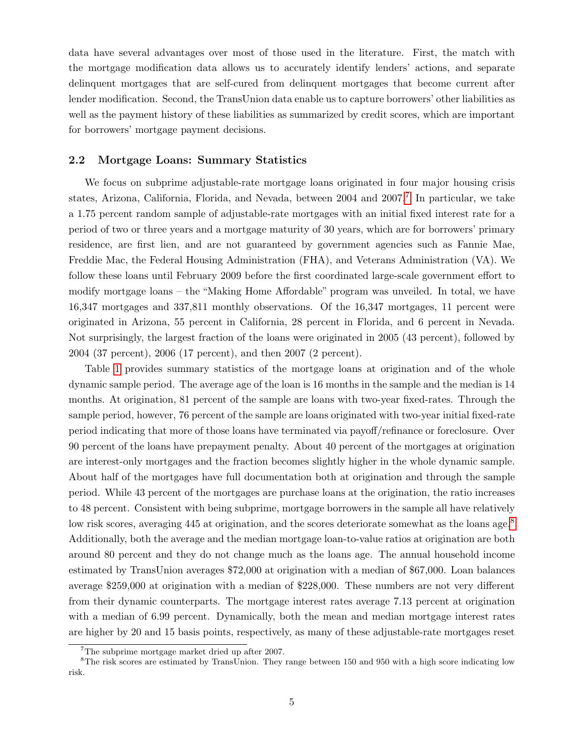data have several advantages over most of those used in the literature. First, the match with the mortgage modification data allows us to accurately identify lenders' actions, and separate delinquent mortgages that are self-cured from delinquent mortgages that become current after lender modification. Second, the TransUnion data enable us to capture borrowers' other liabilities as well as the payment history of these liabilities as summarized by credit scores, which are important for borrowers' mortgage payment decisions.

#### 2.2 Mortgage Loans: Summary Statistics

We focus on subprime adjustable-rate mortgage loans originated in four major housing crisis states, Arizona, California, Florida, and Nevada, between 2004 and 200[7](#page-1-0).<sup>7</sup> In particular, we take a 1.75 percent random sample of adjustable-rate mortgages with an initial fixed interest rate for a period of two or three years and a mortgage maturity of 30 years, which are for borrowers' primary residence, are first lien, and are not guaranteed by government agencies such as Fannie Mae, Freddie Mac, the Federal Housing Administration (FHA), and Veterans Administration (VA). We follow these loans until February 2009 before the first coordinated large-scale government effort to modify mortgage loans – the "Making Home Affordable" program was unveiled. In total, we have 16,347 mortgages and 337,811 monthly observations. Of the 16,347 mortgages, 11 percent were originated in Arizona, 55 percent in California, 28 percent in Florida, and 6 percent in Nevada. Not surprisingly, the largest fraction of the loans were originated in 2005 (43 percent), followed by 2004 (37 percent), 2006 (17 percent), and then 2007 (2 percent).

Table [1](#page-7-0) provides summary statistics of the mortgage loans at origination and of the whole dynamic sample period. The average age of the loan is 16 months in the sample and the median is 14 months. At origination, 81 percent of the sample are loans with two-year fixed-rates. Through the sample period, however, 76 percent of the sample are loans originated with two-year initial fixed-rate period indicating that more of those loans have terminated via payoff/refinance or foreclosure. Over 90 percent of the loans have prepayment penalty. About 40 percent of the mortgages at origination are interest-only mortgages and the fraction becomes slightly higher in the whole dynamic sample. About half of the mortgages have full documentation both at origination and through the sample period. While 43 percent of the mortgages are purchase loans at the origination, the ratio increases to 48 percent. Consistent with being subprime, mortgage borrowers in the sample all have relatively low risk scores, averaging 445 at origination, and the scores deteriorate somewhat as the loans age.<sup>[8](#page-1-0)</sup> Additionally, both the average and the median mortgage loan-to-value ratios at origination are both around 80 percent and they do not change much as the loans age. The annual household income estimated by TransUnion averages \$72,000 at origination with a median of \$67,000. Loan balances average \$259,000 at origination with a median of \$228,000. These numbers are not very different from their dynamic counterparts. The mortgage interest rates average 7.13 percent at origination with a median of 6.99 percent. Dynamically, both the mean and median mortgage interest rates are higher by 20 and 15 basis points, respectively, as many of these adjustable-rate mortgages reset

 $7$ The subprime mortgage market dried up after 2007.

<sup>8</sup>The risk scores are estimated by TransUnion. They range between 150 and 950 with a high score indicating low risk.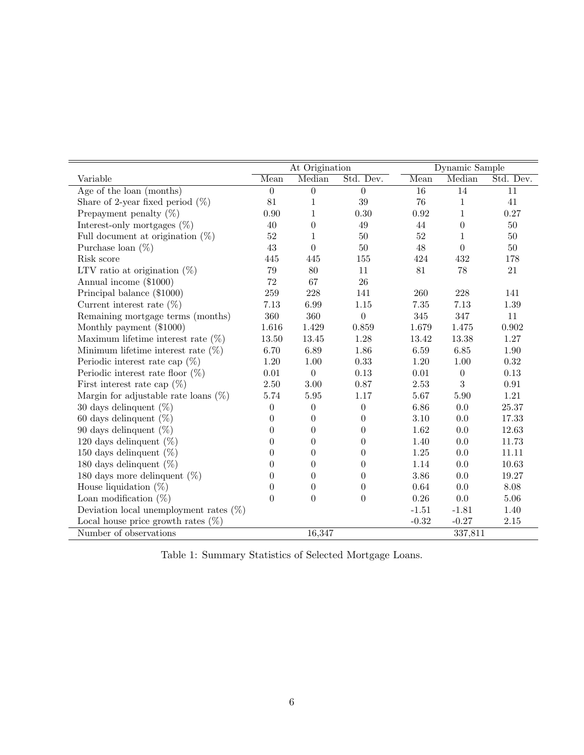<span id="page-7-0"></span>

|                                           |                  | At Origination   |                  |                 | Dynamic Sample   |            |  |
|-------------------------------------------|------------------|------------------|------------------|-----------------|------------------|------------|--|
| Variable                                  | Mean             | Median           | Std. Dev.        | Mean            | Median           | Std. Dev.  |  |
| Age of the loan (months)                  | $\boldsymbol{0}$ | $\theta$         | $\overline{0}$   | $\overline{16}$ | $\overline{14}$  | 11         |  |
| Share of 2-year fixed period $(\%)$       | 81               | 1                | 39               | 76              | $\mathbf{1}$     | 41         |  |
| Prepayment penalty $(\%)$                 | 0.90             | 1                | 0.30             | $\rm 0.92$      | 1                | 0.27       |  |
| Interest-only mortgages $(\%)$            | 40               | $\theta$         | 49               | 44              | $\theta$         | 50         |  |
| Full document at origination $(\%)$       | $52\,$           | 1                | 50               | 52              | 1                | $50\,$     |  |
| Purchase loan $(\%)$                      | 43               | $\theta$         | $50\,$           | 48              | $\theta$         | $50\,$     |  |
| Risk score                                | 445              | 445              | 155              | 424             | 432              | 178        |  |
| LTV ratio at origination $(\%)$           | 79               | 80               | 11               | 81              | 78               | 21         |  |
| Annual income (\$1000)                    | 72               | 67               | 26               |                 |                  |            |  |
| Principal balance (\$1000)                | 259              | 228              | 141              | 260             | 228              | 141        |  |
| Current interest rate $(\%)$              | 7.13             | 6.99             | 1.15             | $7.35\,$        | 7.13             | $1.39\,$   |  |
| Remaining mortgage terms (months)         | 360              | 360              | $\boldsymbol{0}$ | $345\,$         | 347              | 11         |  |
| Monthly payment (\$1000)                  | 1.616            | 1.429            | 0.859            | 1.679           | 1.475            | 0.902      |  |
| Maximum lifetime interest rate $(\%)$     | 13.50            | 13.45            | 1.28             | 13.42           | 13.38            | 1.27       |  |
| Minimum lifetime interest rate $(\%)$     | 6.70             | 6.89             | 1.86             | 6.59            | 6.85             | 1.90       |  |
| Periodic interest rate cap $(\%)$         | $1.20\,$         | $1.00\,$         | 0.33             | $1.20\,$        | $1.00\,$         | $0.32\,$   |  |
| Periodic interest rate floor $(\%)$       | $0.01\,$         | $\boldsymbol{0}$ | 0.13             | $0.01\,$        | $\boldsymbol{0}$ | $0.13\,$   |  |
| First interest rate cap $(\%)$            | $2.50\,$         | 3.00             | 0.87             | $2.53\,$        | 3                | $\rm 0.91$ |  |
| Margin for adjustable rate loans $(\%)$   | 5.74             | 5.95             | 1.17             | 5.67            | 5.90             | 1.21       |  |
| 30 days delinquent $(\%)$                 | $\overline{0}$   | $\theta$         | $\overline{0}$   | 6.86            | 0.0              | 25.37      |  |
| 60 days delinquent $(\%)$                 | $\theta$         | $\theta$         | $\Omega$         | 3.10            | 0.0              | 17.33      |  |
| 90 days delinquent $(\%)$                 | $\theta$         | $\overline{0}$   | $\theta$         | 1.62            | 0.0              | 12.63      |  |
| 120 days delinquent $(\%)$                | $\boldsymbol{0}$ | $\boldsymbol{0}$ | $\boldsymbol{0}$ | 1.40            | 0.0              | 11.73      |  |
| 150 days delinquent $(\%)$                | $\overline{0}$   | $\boldsymbol{0}$ | $\boldsymbol{0}$ | $1.25\,$        | $0.0\,$          | 11.11      |  |
| 180 days delinquent $(\%)$                | $\theta$         | $\theta$         | $\theta$         | 1.14            | 0.0              | 10.63      |  |
| 180 days more delinquent $(\%)$           | $\theta$         | $\theta$         | $\theta$         | 3.86            | 0.0              | 19.27      |  |
| House liquidation $(\%)$                  | $\overline{0}$   | $\theta$         | $\theta$         | 0.64            | 0.0              | 8.08       |  |
| Loan modification $(\%)$                  | $\overline{0}$   | $\theta$         | $\Omega$         | $0.26\,$        | $0.0\,$          | $5.06\,$   |  |
| Deviation local unemployment rates $(\%)$ |                  |                  |                  | $-1.51$         | $-1.81$          | 1.40       |  |
| Local house price growth rates $(\%)$     |                  |                  |                  | $-0.32$         | $-0.27$          | $2.15\,$   |  |
| Number of observations                    |                  | 16,347           |                  |                 | 337,811          |            |  |

Table 1: Summary Statistics of Selected Mortgage Loans.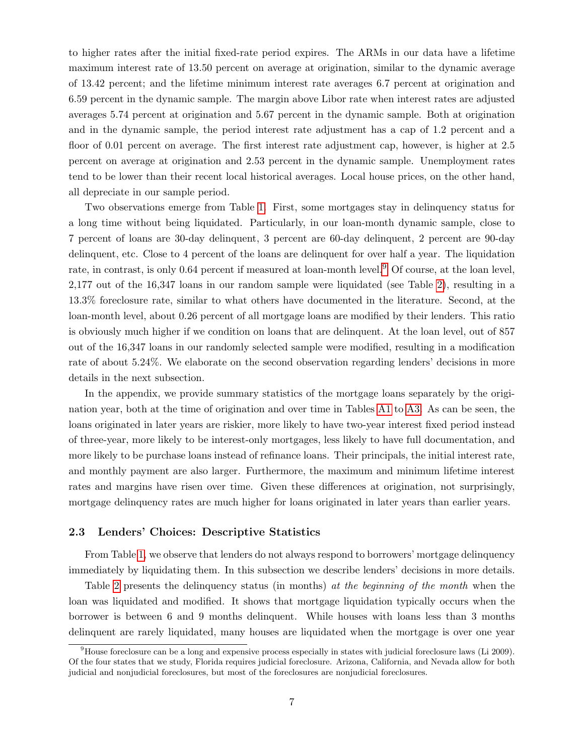to higher rates after the initial fixed-rate period expires. The ARMs in our data have a lifetime maximum interest rate of 13.50 percent on average at origination, similar to the dynamic average of 13.42 percent; and the lifetime minimum interest rate averages 6.7 percent at origination and 6.59 percent in the dynamic sample. The margin above Libor rate when interest rates are adjusted averages 5.74 percent at origination and 5.67 percent in the dynamic sample. Both at origination and in the dynamic sample, the period interest rate adjustment has a cap of 1.2 percent and a floor of 0.01 percent on average. The first interest rate adjustment cap, however, is higher at 2.5 percent on average at origination and 2.53 percent in the dynamic sample. Unemployment rates tend to be lower than their recent local historical averages. Local house prices, on the other hand, all depreciate in our sample period.

Two observations emerge from Table [1.](#page-7-0) First, some mortgages stay in delinquency status for a long time without being liquidated. Particularly, in our loan-month dynamic sample, close to 7 percent of loans are 30-day delinquent, 3 percent are 60-day delinquent, 2 percent are 90-day delinquent, etc. Close to 4 percent of the loans are delinquent for over half a year. The liquidation rate, in contrast, is only 0.64 percent if measured at loan-month level.<sup>[9](#page-1-0)</sup> Of course, at the loan level, 2,177 out of the 16,347 loans in our random sample were liquidated (see Table [2\)](#page-9-0), resulting in a 13.3% foreclosure rate, similar to what others have documented in the literature. Second, at the loan-month level, about 0.26 percent of all mortgage loans are modified by their lenders. This ratio is obviously much higher if we condition on loans that are delinquent. At the loan level, out of 857 out of the 16,347 loans in our randomly selected sample were modified, resulting in a modification rate of about 5.24%. We elaborate on the second observation regarding lenders' decisions in more details in the next subsection.

In the appendix, we provide summary statistics of the mortgage loans separately by the origination year, both at the time of origination and over time in Tables [A1](#page-48-0) to [A3.](#page-50-0) As can be seen, the loans originated in later years are riskier, more likely to have two-year interest fixed period instead of three-year, more likely to be interest-only mortgages, less likely to have full documentation, and more likely to be purchase loans instead of refinance loans. Their principals, the initial interest rate, and monthly payment are also larger. Furthermore, the maximum and minimum lifetime interest rates and margins have risen over time. Given these differences at origination, not surprisingly, mortgage delinquency rates are much higher for loans originated in later years than earlier years.

#### 2.3 Lenders' Choices: Descriptive Statistics

From Table [1,](#page-7-0) we observe that lenders do not always respond to borrowers' mortgage delinquency immediately by liquidating them. In this subsection we describe lenders' decisions in more details.

Table [2](#page-9-0) presents the delinquency status (in months) at the beginning of the month when the loan was liquidated and modified. It shows that mortgage liquidation typically occurs when the borrower is between 6 and 9 months delinquent. While houses with loans less than 3 months delinquent are rarely liquidated, many houses are liquidated when the mortgage is over one year

<sup>&</sup>lt;sup>9</sup>House foreclosure can be a long and expensive process especially in states with judicial foreclosure laws (Li 2009). Of the four states that we study, Florida requires judicial foreclosure. Arizona, California, and Nevada allow for both judicial and nonjudicial foreclosures, but most of the foreclosures are nonjudicial foreclosures.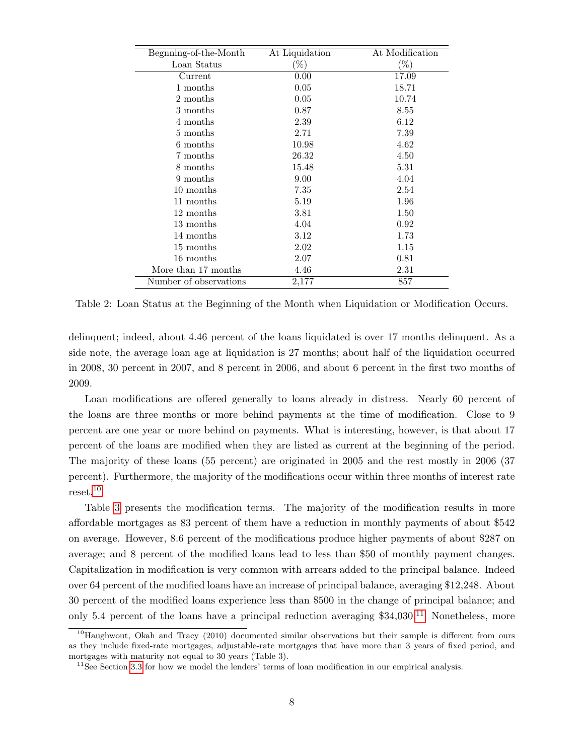<span id="page-9-0"></span>

| Begnning-of-the-Month  | At Liquidation | At Modification |
|------------------------|----------------|-----------------|
| Loan Status            | $(\%)$         | $(\%)$          |
| Current                | 0.00           | 17.09           |
| 1 months               | 0.05           | 18.71           |
| 2 months               | 0.05           | 10.74           |
| 3 months               | 0.87           | 8.55            |
| 4 months               | 2.39           | 6.12            |
| 5 months               | 2.71           | 7.39            |
| 6 months               | 10.98          | 4.62            |
| 7 months               | 26.32          | 4.50            |
| 8 months               | 15.48          | 5.31            |
| 9 months               | 9.00           | 4.04            |
| 10 months              | 7.35           | 2.54            |
| 11 months              | 5.19           | 1.96            |
| 12 months              | 3.81           | 1.50            |
| 13 months              | 4.04           | 0.92            |
| 14 months              | 3.12           | 1.73            |
| 15 months              | 2.02           | 1.15            |
| 16 months              | 2.07           | 0.81            |
| More than 17 months    | 4.46           | 2.31            |
| Number of observations | 2,177          | 857             |

Table 2: Loan Status at the Beginning of the Month when Liquidation or Modification Occurs.

delinquent; indeed, about 4.46 percent of the loans liquidated is over 17 months delinquent. As a side note, the average loan age at liquidation is 27 months; about half of the liquidation occurred in 2008, 30 percent in 2007, and 8 percent in 2006, and about 6 percent in the first two months of 2009.

Loan modifications are offered generally to loans already in distress. Nearly 60 percent of the loans are three months or more behind payments at the time of modification. Close to 9 percent are one year or more behind on payments. What is interesting, however, is that about 17 percent of the loans are modified when they are listed as current at the beginning of the period. The majority of these loans (55 percent) are originated in 2005 and the rest mostly in 2006 (37 percent). Furthermore, the majority of the modifications occur within three months of interest rate reset.[10](#page-1-0)

Table [3](#page-10-1) presents the modification terms. The majority of the modification results in more affordable mortgages as 83 percent of them have a reduction in monthly payments of about \$542 on average. However, 8.6 percent of the modifications produce higher payments of about \$287 on average; and 8 percent of the modified loans lead to less than \$50 of monthly payment changes. Capitalization in modification is very common with arrears added to the principal balance. Indeed over 64 percent of the modified loans have an increase of principal balance, averaging \$12,248. About 30 percent of the modified loans experience less than \$500 in the change of principal balance; and only 5.4 percent of the loans have a principal reduction averaging  $$34,030$ <sup>[11](#page-1-0)</sup> Nonetheless, more

 $10$ Haughwout, Okah and Tracy (2010) documented similar observations but their sample is different from ours as they include fixed-rate mortgages, adjustable-rate mortgages that have more than 3 years of fixed period, and mortgages with maturity not equal to 30 years (Table 3).

 $11$ See Section [3.3](#page-14-0) for how we model the lenders' terms of loan modification in our empirical analysis.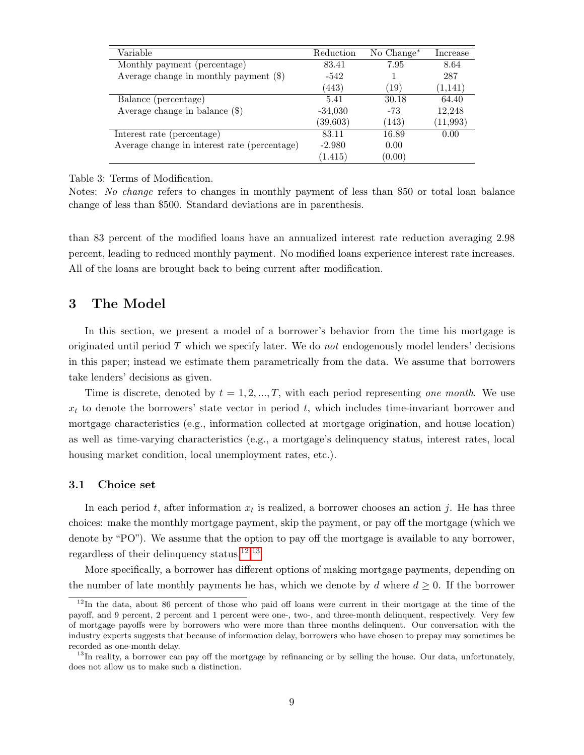<span id="page-10-1"></span>

| Variable                                     | Reduction | No $Change^*$ | Increase  |
|----------------------------------------------|-----------|---------------|-----------|
| Monthly payment (percentage)                 | 83.41     | 7.95          | 8.64      |
| Average change in monthly payment $(\$)$     | $-542$    |               | 287       |
|                                              | (443)     | (19)          | (1,141)   |
| Balance (percentage)                         | 5.41      | 30.18         | 64.40     |
| Average change in balance $(\$)$             | $-34,030$ | $-73$         | 12,248    |
|                                              | (39, 603) | (143)         | (11, 993) |
| Interest rate (percentage)                   | 83.11     | 16.89         | 0.00      |
| Average change in interest rate (percentage) | $-2.980$  | 0.00          |           |
|                                              | (1.415)   | (0.00)        |           |

Table 3: Terms of Modification.

Notes: No change refers to changes in monthly payment of less than \$50 or total loan balance change of less than \$500. Standard deviations are in parenthesis.

than 83 percent of the modified loans have an annualized interest rate reduction averaging 2.98 percent, leading to reduced monthly payment. No modified loans experience interest rate increases. All of the loans are brought back to being current after modification.

# <span id="page-10-0"></span>3 The Model

In this section, we present a model of a borrower's behavior from the time his mortgage is originated until period  $T$  which we specify later. We do not endogenously model lenders' decisions in this paper; instead we estimate them parametrically from the data. We assume that borrowers take lenders' decisions as given.

Time is discrete, denoted by  $t = 1, 2, ..., T$ , with each period representing one month. We use  $x_t$  to denote the borrowers' state vector in period t, which includes time-invariant borrower and mortgage characteristics (e.g., information collected at mortgage origination, and house location) as well as time-varying characteristics (e.g., a mortgage's delinquency status, interest rates, local housing market condition, local unemployment rates, etc.).

#### 3.1 Choice set

In each period t, after information  $x_t$  is realized, a borrower chooses an action j. He has three choices: make the monthly mortgage payment, skip the payment, or pay off the mortgage (which we denote by "PO"). We assume that the option to pay off the mortgage is available to any borrower, regardless of their delinquency status.[12](#page-1-0),[13](#page-1-0)

More specifically, a borrower has different options of making mortgage payments, depending on the number of late monthly payments he has, which we denote by d where  $d \geq 0$ . If the borrower

<sup>&</sup>lt;sup>12</sup>In the data, about 86 percent of those who paid off loans were current in their mortgage at the time of the payoff, and 9 percent, 2 percent and 1 percent were one-, two-, and three-month delinquent, respectively. Very few of mortgage payoffs were by borrowers who were more than three months delinquent. Our conversation with the industry experts suggests that because of information delay, borrowers who have chosen to prepay may sometimes be recorded as one-month delay.

 $13$ In reality, a borrower can pay off the mortgage by refinancing or by selling the house. Our data, unfortunately, does not allow us to make such a distinction.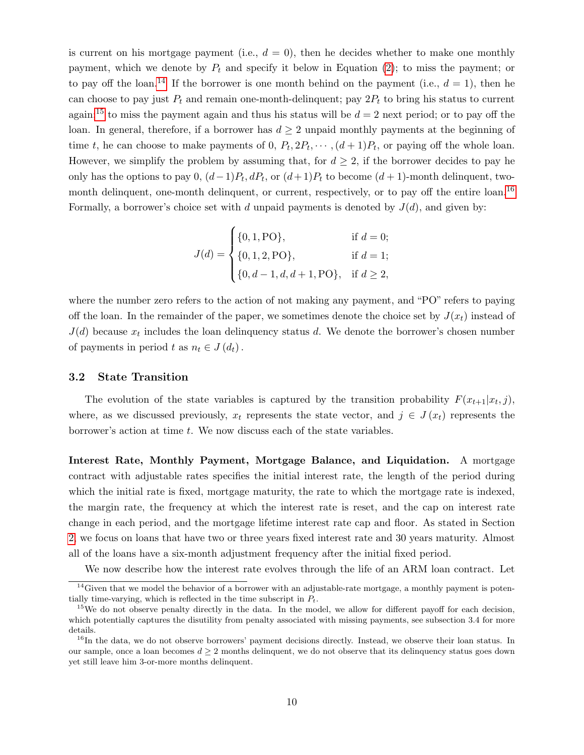is current on his mortgage payment (i.e.,  $d = 0$ ), then he decides whether to make one monthly payment, which we denote by  $P_t$  and specify it below in Equation [\(2\)](#page-13-0); to miss the payment; or to pay off the loan.<sup>[14](#page-1-0)</sup> If the borrower is one month behind on the payment (i.e.,  $d = 1$ ), then he can choose to pay just  $P_t$  and remain one-month-delinquent; pay  $2P_t$  to bring his status to current again;<sup>[15](#page-1-0)</sup> to miss the payment again and thus his status will be  $d = 2$  next period; or to pay off the loan. In general, therefore, if a borrower has  $d \geq 2$  unpaid monthly payments at the beginning of time t, he can choose to make payments of 0,  $P_t, 2P_t, \dots, (d+1)P_t$ , or paying off the whole loan. However, we simplify the problem by assuming that, for  $d \geq 2$ , if the borrower decides to pay he only has the options to pay 0,  $(d-1)P_t$ ,  $dP_t$ , or  $(d+1)P_t$  to become  $(d+1)$ -month delinquent, two-month delinquent, one-month delinquent, or current, respectively, or to pay off the entire loan.<sup>[16](#page-1-0)</sup> Formally, a borrower's choice set with d unpaid payments is denoted by  $J(d)$ , and given by:

$$
J(d) = \begin{cases} \{0, 1, \text{PO}\}, & \text{if } d = 0; \\ \{0, 1, 2, \text{PO}\}, & \text{if } d = 1; \\ \{0, d - 1, d, d + 1, \text{PO}\}, & \text{if } d \ge 2, \end{cases}
$$

where the number zero refers to the action of not making any payment, and "PO" refers to paying off the loan. In the remainder of the paper, we sometimes denote the choice set by  $J(x_t)$  instead of  $J(d)$  because  $x_t$  includes the loan delinquency status d. We denote the borrower's chosen number of payments in period t as  $n_t \in J(d_t)$ .

#### <span id="page-11-0"></span>3.2 State Transition

The evolution of the state variables is captured by the transition probability  $F(x_{t+1}|x_t, j)$ , where, as we discussed previously,  $x_t$  represents the state vector, and  $j \in J(x_t)$  represents the borrower's action at time t. We now discuss each of the state variables.

Interest Rate, Monthly Payment, Mortgage Balance, and Liquidation. A mortgage contract with adjustable rates specifies the initial interest rate, the length of the period during which the initial rate is fixed, mortgage maturity, the rate to which the mortgage rate is indexed, the margin rate, the frequency at which the interest rate is reset, and the cap on interest rate change in each period, and the mortgage lifetime interest rate cap and floor. As stated in Section [2,](#page-5-0) we focus on loans that have two or three years fixed interest rate and 30 years maturity. Almost all of the loans have a six-month adjustment frequency after the initial fixed period.

We now describe how the interest rate evolves through the life of an ARM loan contract. Let

<sup>&</sup>lt;sup>14</sup>Given that we model the behavior of a borrower with an adjustable-rate mortgage, a monthly payment is potentially time-varying, which is reflected in the time subscript in  $P_t$ .

 $15$ We do not observe penalty directly in the data. In the model, we allow for different payoff for each decision, which potentially captures the disutility from penalty associated with missing payments, see subsection 3.4 for more details.

<sup>&</sup>lt;sup>16</sup>In the data, we do not observe borrowers' payment decisions directly. Instead, we observe their loan status. In our sample, once a loan becomes  $d \geq 2$  months delinquent, we do not observe that its delinquency status goes down yet still leave him 3-or-more months delinquent.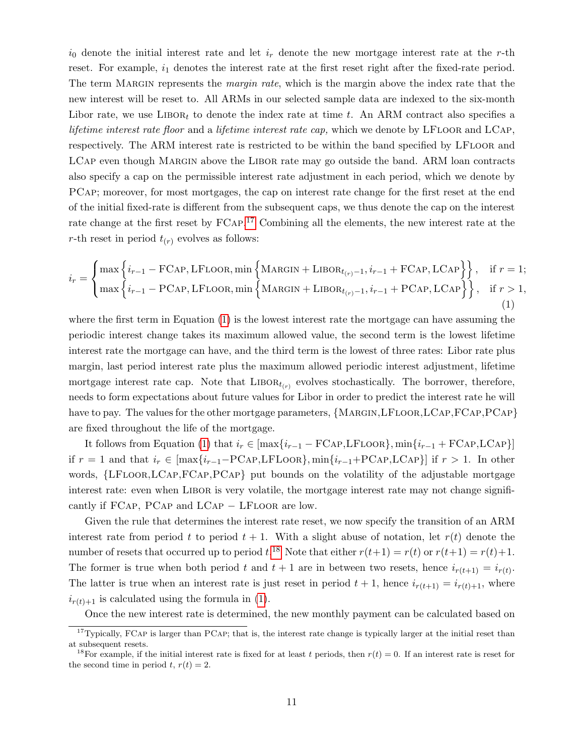$i_0$  denote the initial interest rate and let  $i_r$  denote the new mortgage interest rate at the r-th reset. For example,  $i_1$  denotes the interest rate at the first reset right after the fixed-rate period. The term MARGIN represents the *margin rate*, which is the margin above the index rate that the new interest will be reset to. All ARMs in our selected sample data are indexed to the six-month Libor rate, we use  $LIBOR_t$  to denote the index rate at time t. An ARM contract also specifies a lifetime interest rate floor and a lifetime interest rate cap, which we denote by LFLOOR and LCAP, respectively. The ARM interest rate is restricted to be within the band specified by LFLOOR and LCAP even though MARGIN above the LIBOR rate may go outside the band. ARM loan contracts also specify a cap on the permissible interest rate adjustment in each period, which we denote by PCap; moreover, for most mortgages, the cap on interest rate change for the first reset at the end of the initial fixed-rate is different from the subsequent caps, we thus denote the cap on the interest rate change at the first reset by FCAP.<sup>[17](#page-1-0)</sup> Combining all the elements, the new interest rate at the r-th reset in period  $t_{(r)}$  evolves as follows:

<span id="page-12-0"></span>
$$
i_r = \begin{cases} \max \left\{ i_{r-1} - \text{FCAP, LFLOOR, min} \left\{ \text{MARGIN} + \text{LIBOR}_{t_{(r)}-1}, i_{r-1} + \text{FCAP, LCAP} \right\} \right\}, & \text{if } r = 1; \\ \max \left\{ i_{r-1} - \text{PCAP, LFLOOR, min} \left\{ \text{MARGIN} + \text{LIBOR}_{t_{(r)}-1}, i_{r-1} + \text{PCAP, LCAP} \right\} \right\}, & \text{if } r > 1, \\ 1) \end{cases}
$$

where the first term in Equation [\(1\)](#page-12-0) is the lowest interest rate the mortgage can have assuming the periodic interest change takes its maximum allowed value, the second term is the lowest lifetime interest rate the mortgage can have, and the third term is the lowest of three rates: Libor rate plus margin, last period interest rate plus the maximum allowed periodic interest adjustment, lifetime mortgage interest rate cap. Note that  $\text{LIBOR}_{t(r)}$  evolves stochastically. The borrower, therefore, needs to form expectations about future values for Libor in order to predict the interest rate he will have to pay. The values for the other mortgage parameters, {MARGIN, LFLOOR, LCAP, FCAP, PCAP} are fixed throughout the life of the mortgage.

It follows from Equation [\(1\)](#page-12-0) that  $i_r \in [\max\{i_{r-1} - \text{FCAP}, \text{LFLOOR}\}, \min\{i_{r-1} + \text{FCAP}, \text{LCAP}\}]$ if  $r = 1$  and that  $i_r \in \left[\max\{i_{r-1} - \text{PCAP}, \text{LFLoop}\}\right]$ ,  $\min\{i_{r-1} + \text{PCAP}, \text{LCAP}\}\right]$  if  $r > 1$ . In other words, {LFloor,LCap,FCap,PCap} put bounds on the volatility of the adjustable mortgage interest rate: even when LIBOR is very volatile, the mortgage interest rate may not change significantly if FCap, PCap and LCap − LFloor are low.

Given the rule that determines the interest rate reset, we now specify the transition of an ARM interest rate from period t to period  $t + 1$ . With a slight abuse of notation, let  $r(t)$  denote the number of resets that occurred up to period t.<sup>[18](#page-1-0)</sup> Note that either  $r(t+1) = r(t)$  or  $r(t+1) = r(t)+1$ . The former is true when both period t and  $t + 1$  are in between two resets, hence  $i_{r(t+1)} = i_{r(t)}$ . The latter is true when an interest rate is just reset in period  $t + 1$ , hence  $i_{r(t+1)} = i_{r(t)+1}$ , where  $i_{r(t)+1}$  is calculated using the formula in [\(1\)](#page-12-0).

Once the new interest rate is determined, the new monthly payment can be calculated based on

 $17$ Typically, FCAP is larger than PCAP; that is, the interest rate change is typically larger at the initial reset than at subsequent resets.

<sup>&</sup>lt;sup>18</sup>For example, if the initial interest rate is fixed for at least t periods, then  $r(t) = 0$ . If an interest rate is reset for the second time in period t,  $r(t) = 2$ .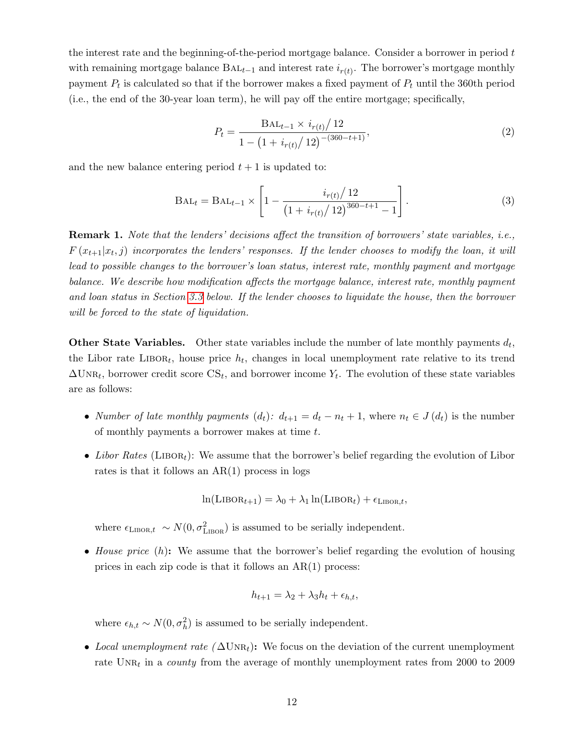the interest rate and the beginning-of-the-period mortgage balance. Consider a borrower in period t with remaining mortgage balance  $BAL_{t-1}$  and interest rate  $i_{r(t)}$ . The borrower's mortgage monthly payment  $P_t$  is calculated so that if the borrower makes a fixed payment of  $P_t$  until the 360th period (i.e., the end of the 30-year loan term), he will pay off the entire mortgage; specifically,

<span id="page-13-0"></span>
$$
P_t = \frac{\text{BAL}_{t-1} \times i_{r(t)} / 12}{1 - \left(1 + i_{r(t)} / 12\right)^{-(360 - t + 1)}},\tag{2}
$$

and the new balance entering period  $t + 1$  is updated to:

$$
BAL_t = BAL_{t-1} \times \left[1 - \frac{i_{r(t)}/12}{\left(1 + i_{r(t)}/12\right)^{360-t+1} - 1}\right].
$$
 (3)

Remark 1. Note that the lenders' decisions affect the transition of borrowers' state variables, i.e.,  $F(x_{t+1}|x_t, j)$  incorporates the lenders' responses. If the lender chooses to modify the loan, it will lead to possible changes to the borrower's loan status, interest rate, monthly payment and mortgage balance. We describe how modification affects the mortgage balance, interest rate, monthly payment and loan status in Section [3.3](#page-14-0) below. If the lender chooses to liquidate the house, then the borrower will be forced to the state of liquidation.

**Other State Variables.** Other state variables include the number of late monthly payments  $d_t$ , the Libor rate LIBOR<sub>t</sub>, house price  $h_t$ , changes in local unemployment rate relative to its trend  $\Delta \text{UNR}_t$ , borrower credit score  $\text{CS}_t$ , and borrower income  $Y_t$ . The evolution of these state variables are as follows:

- Number of late monthly payments  $(d_t): d_{t+1} = d_t n_t + 1$ , where  $n_t \in J(d_t)$  is the number of monthly payments a borrower makes at time  $t$ .
- Libor Rates (LIBOR<sub>t</sub>): We assume that the borrower's belief regarding the evolution of Libor rates is that it follows an  $AR(1)$  process in logs

$$
\ln(\text{LIBOR}_{t+1}) = \lambda_0 + \lambda_1 \ln(\text{LIBOR}_t) + \epsilon_{\text{LIBOR},t},
$$

where  $\epsilon_{\text{LIBOR},t} \sim N(0, \sigma_{\text{LIBOR}}^2)$  is assumed to be serially independent.

• House price (h): We assume that the borrower's belief regarding the evolution of housing prices in each zip code is that it follows an AR(1) process:

$$
h_{t+1} = \lambda_2 + \lambda_3 h_t + \epsilon_{h,t},
$$

where  $\epsilon_{h,t} \sim N(0, \sigma_h^2)$  is assumed to be serially independent.

• Local unemployment rate  $(\Delta \text{UNR}_t)$ : We focus on the deviation of the current unemployment rate  $\text{UNR}_t$  in a *county* from the average of monthly unemployment rates from 2000 to 2009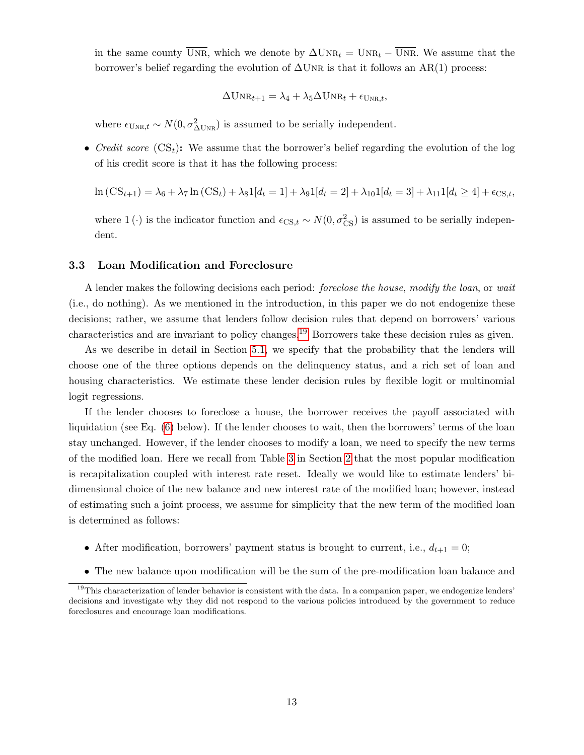in the same county  $\overline{UNR}$ , which we denote by  $\Delta UNR_t = UNR_t - \overline{UNR}$ . We assume that the borrower's belief regarding the evolution of  $\Delta$ UNR is that it follows an AR(1) process:

$$
\Delta \text{UNR}_{t+1} = \lambda_4 + \lambda_5 \Delta \text{UNR}_t + \epsilon_{\text{UNR},t},
$$

where  $\epsilon_{\text{UNR},t} \sim N(0, \sigma_{\Delta \text{UNR}}^2)$  is assumed to be serially independent.

• Credit score  $(\mathbf{CS}_t)$ : We assume that the borrower's belief regarding the evolution of the log of his credit score is that it has the following process:

$$
\ln\left(\text{CS}_{t+1}\right) = \lambda_6 + \lambda_7 \ln\left(\text{CS}_t\right) + \lambda_8 1[d_t = 1] + \lambda_9 1[d_t = 2] + \lambda_{10} 1[d_t = 3] + \lambda_{11} 1[d_t \ge 4] + \epsilon_{\text{CS},t},
$$

where 1 (·) is the indicator function and  $\epsilon_{CS,t} \sim N(0, \sigma_{CS}^2)$  is assumed to be serially independent.

#### <span id="page-14-0"></span>3.3 Loan Modification and Foreclosure

A lender makes the following decisions each period: foreclose the house, modify the loan, or wait (i.e., do nothing). As we mentioned in the introduction, in this paper we do not endogenize these decisions; rather, we assume that lenders follow decision rules that depend on borrowers' various characteristics and are invariant to policy changes.[19](#page-1-0) Borrowers take these decision rules as given.

As we describe in detail in Section [5.1,](#page-19-1) we specify that the probability that the lenders will choose one of the three options depends on the delinquency status, and a rich set of loan and housing characteristics. We estimate these lender decision rules by flexible logit or multinomial logit regressions.

If the lender chooses to foreclose a house, the borrower receives the payoff associated with liquidation (see Eq. [\(6\)](#page-16-0) below). If the lender chooses to wait, then the borrowers' terms of the loan stay unchanged. However, if the lender chooses to modify a loan, we need to specify the new terms of the modified loan. Here we recall from Table [3](#page-10-1) in Section [2](#page-5-0) that the most popular modification is recapitalization coupled with interest rate reset. Ideally we would like to estimate lenders' bidimensional choice of the new balance and new interest rate of the modified loan; however, instead of estimating such a joint process, we assume for simplicity that the new term of the modified loan is determined as follows:

- After modification, borrowers' payment status is brought to current, i.e.,  $d_{t+1} = 0$ ;
- The new balance upon modification will be the sum of the pre-modification loan balance and

 $19$ This characterization of lender behavior is consistent with the data. In a companion paper, we endogenize lenders' decisions and investigate why they did not respond to the various policies introduced by the government to reduce foreclosures and encourage loan modifications.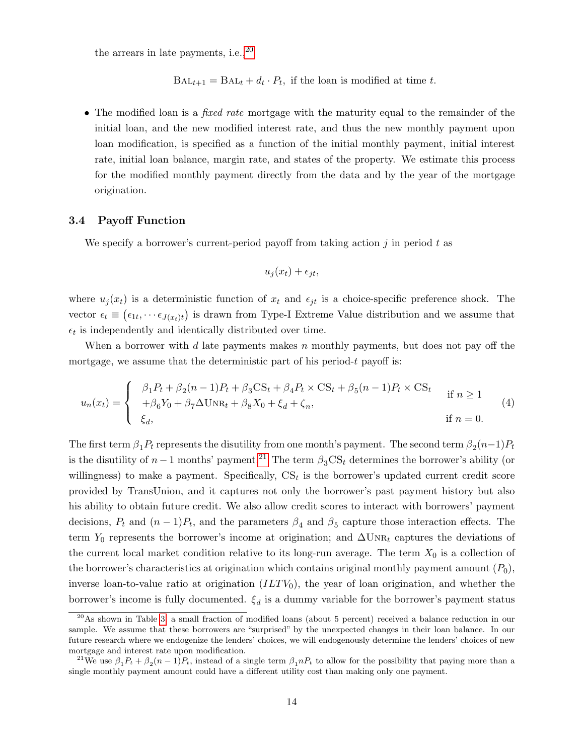the arrears in late payments, i.e.,  $20$ 

 $BAL_{t+1} = BAL_t + d_t \cdot P_t$ , if the loan is modified at time t.

• The modified loan is a *fixed rate* mortgage with the maturity equal to the remainder of the initial loan, and the new modified interest rate, and thus the new monthly payment upon loan modification, is specified as a function of the initial monthly payment, initial interest rate, initial loan balance, margin rate, and states of the property. We estimate this process for the modified monthly payment directly from the data and by the year of the mortgage origination.

#### 3.4 Payoff Function

We specify a borrower's current-period payoff from taking action  $j$  in period t as

$$
u_j(x_t) + \epsilon_{jt},
$$

where  $u_i(x_t)$  is a deterministic function of  $x_t$  and  $\epsilon_{it}$  is a choice-specific preference shock. The vector  $\epsilon_t \equiv (\epsilon_{1t}, \cdots \epsilon_{J(x_t)t})$  is drawn from Type-I Extreme Value distribution and we assume that  $\epsilon_t$  is independently and identically distributed over time.

When a borrower with  $d$  late payments makes  $n$  monthly payments, but does not pay off the mortgage, we assume that the deterministic part of his period-t payoff is:

<span id="page-15-0"></span>
$$
u_n(x_t) = \begin{cases} \beta_1 P_t + \beta_2 (n-1) P_t + \beta_3 \text{CS}_t + \beta_4 P_t \times \text{CS}_t + \beta_5 (n-1) P_t \times \text{CS}_t \\ + \beta_6 Y_0 + \beta_7 \Delta \text{UNR}_t + \beta_8 X_0 + \xi_d + \zeta_n, & \text{if } n = 0. \end{cases}
$$
(4)

The first term  $\beta_1 P_t$  represents the disutility from one month's payment. The second term  $\beta_2(n-1)P_t$ is the disutility of  $n-1$  months' payment.<sup>[21](#page-1-0)</sup> The term  $\beta_3 CS_t$  determines the borrower's ability (or willingness) to make a payment. Specifically,  $CS_t$  is the borrower's updated current credit score provided by TransUnion, and it captures not only the borrower's past payment history but also his ability to obtain future credit. We also allow credit scores to interact with borrowers' payment decisions,  $P_t$  and  $(n-1)P_t$ , and the parameters  $\beta_4$  and  $\beta_5$  capture those interaction effects. The term Y<sub>0</sub> represents the borrower's income at origination; and  $\Delta \text{UNR}_t$  captures the deviations of the current local market condition relative to its long-run average. The term  $X_0$  is a collection of the borrower's characteristics at origination which contains original monthly payment amount  $(P_0)$ , inverse loan-to-value ratio at origination  $(ILTV<sub>0</sub>)$ , the year of loan origination, and whether the borrower's income is fully documented.  $\xi_d$  is a dummy variable for the borrower's payment status

<sup>20</sup>As shown in Table [3,](#page-10-1) a small fraction of modified loans (about 5 percent) received a balance reduction in our sample. We assume that these borrowers are "surprised" by the unexpected changes in their loan balance. In our future research where we endogenize the lenders' choices, we will endogenously determine the lenders' choices of new mortgage and interest rate upon modification.

<sup>&</sup>lt;sup>21</sup>We use  $\beta_1 P_t + \beta_2 (n-1) P_t$ , instead of a single term  $\beta_1 n P_t$  to allow for the possibility that paying more than a single monthly payment amount could have a different utility cost than making only one payment.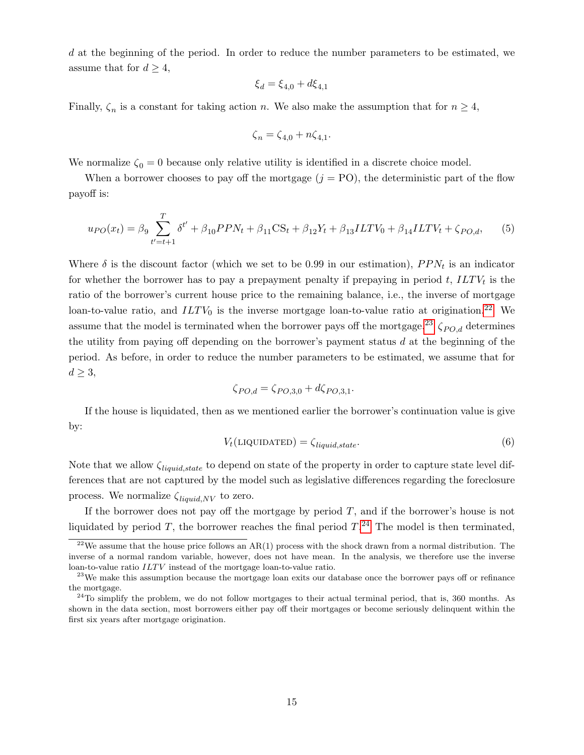d at the beginning of the period. In order to reduce the number parameters to be estimated, we assume that for  $d \geq 4$ ,

$$
\xi_d = \xi_{4,0} + d\xi_{4,1}
$$

Finally,  $\zeta_n$  is a constant for taking action n. We also make the assumption that for  $n \geq 4$ ,

$$
\zeta_n = \zeta_{4,0} + n\zeta_{4,1}.
$$

We normalize  $\zeta_0 = 0$  because only relative utility is identified in a discrete choice model.

When a borrower chooses to pay off the mortgage  $(j = PO)$ , the deterministic part of the flow payoff is:

<span id="page-16-1"></span>
$$
u_{PO}(x_t) = \beta_9 \sum_{t'=t+1}^{T} \delta^{t'} + \beta_{10} P P N_t + \beta_{11} \text{CS}_t + \beta_{12} Y_t + \beta_{13} ILTV_0 + \beta_{14} ILTV_t + \zeta_{PO,d},\tag{5}
$$

Where  $\delta$  is the discount factor (which we set to be 0.99 in our estimation),  $PPN_t$  is an indicator for whether the borrower has to pay a prepayment penalty if prepaying in period  $t$ ,  $ILTV_t$  is the ratio of the borrower's current house price to the remaining balance, i.e., the inverse of mortgage loan-to-value ratio, and  $ILTV_0$  is the inverse mortgage loan-to-value ratio at origination.<sup>[22](#page-1-0)</sup> We assume that the model is terminated when the borrower pays off the mortgage.<sup>[23](#page-1-0)</sup>  $\zeta_{PO,d}$  determines the utility from paying off depending on the borrower's payment status  $d$  at the beginning of the period. As before, in order to reduce the number parameters to be estimated, we assume that for  $d \geq 3$ ,

$$
\zeta_{PO,d} = \zeta_{PO,3,0} + d\zeta_{PO,3,1}.
$$

If the house is liquidated, then as we mentioned earlier the borrower's continuation value is give by:

<span id="page-16-0"></span>
$$
V_t(\text{LIQUIDATED}) = \zeta_{liquid, state}.
$$
\n
$$
(6)
$$

Note that we allow  $\zeta_{liquid,state}$  to depend on state of the property in order to capture state level differences that are not captured by the model such as legislative differences regarding the foreclosure process. We normalize  $\zeta_{liquid,NV}$  to zero.

If the borrower does not pay off the mortgage by period  $T$ , and if the borrower's house is not liquidated by period T, the borrower reaches the final period  $T<sup>24</sup>$  $T<sup>24</sup>$  $T<sup>24</sup>$ . The model is then terminated,

<sup>&</sup>lt;sup>22</sup>We assume that the house price follows an AR(1) process with the shock drawn from a normal distribution. The inverse of a normal random variable, however, does not have mean. In the analysis, we therefore use the inverse loan-to-value ratio  $ILTV$  instead of the mortgage loan-to-value ratio.

<sup>&</sup>lt;sup>23</sup>We make this assumption because the mortgage loan exits our database once the borrower pays off or refinance the mortgage.

<sup>&</sup>lt;sup>24</sup>To simplify the problem, we do not follow mortgages to their actual terminal period, that is, 360 months. As shown in the data section, most borrowers either pay off their mortgages or become seriously delinquent within the first six years after mortgage origination.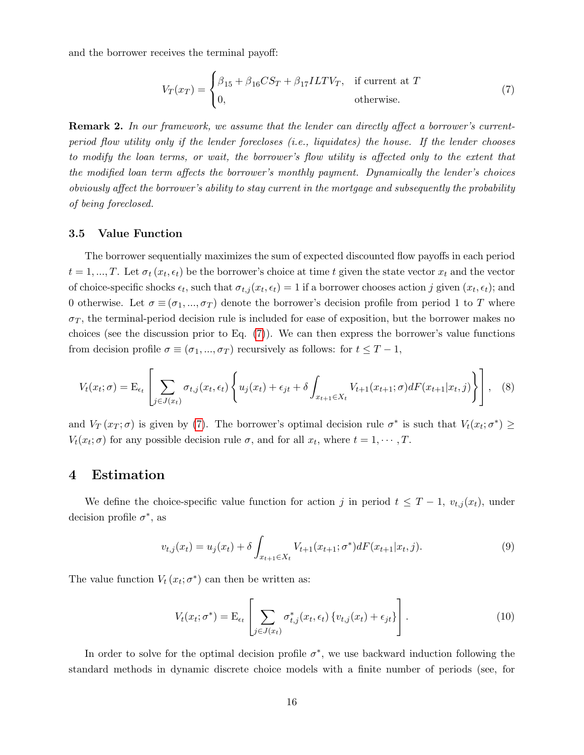and the borrower receives the terminal payoff:

<span id="page-17-1"></span>
$$
V_T(x_T) = \begin{cases} \beta_{15} + \beta_{16} CS_T + \beta_{17} ILTV_T, & \text{if current at } T\\ 0, & \text{otherwise.} \end{cases}
$$
(7)

**Remark 2.** In our framework, we assume that the lender can directly affect a borrower's currentperiod flow utility only if the lender forecloses (i.e., liquidates) the house. If the lender chooses to modify the loan terms, or wait, the borrower's flow utility is affected only to the extent that the modified loan term affects the borrower's monthly payment. Dynamically the lender's choices obviously affect the borrower's ability to stay current in the mortgage and subsequently the probability of being foreclosed.

#### 3.5 Value Function

The borrower sequentially maximizes the sum of expected discounted flow payoffs in each period  $t = 1, ..., T$ . Let  $\sigma_t(x_t, \epsilon_t)$  be the borrower's choice at time t given the state vector  $x_t$  and the vector of choice-specific shocks  $\epsilon_t$ , such that  $\sigma_{t,j}(x_t, \epsilon_t) = 1$  if a borrower chooses action j given  $(x_t, \epsilon_t)$ ; and 0 otherwise. Let  $\sigma \equiv (\sigma_1, ..., \sigma_T)$  denote the borrower's decision profile from period 1 to T where  $\sigma_T$ , the terminal-period decision rule is included for ease of exposition, but the borrower makes no choices (see the discussion prior to Eq.  $(7)$ ). We can then express the borrower's value functions from decision profile  $\sigma \equiv (\sigma_1, ..., \sigma_T)$  recursively as follows: for  $t \leq T - 1$ ,

$$
V_t(x_t; \sigma) = \mathcal{E}_{\epsilon_t} \left[ \sum_{j \in J(x_t)} \sigma_{t,j}(x_t, \epsilon_t) \left\{ u_j(x_t) + \epsilon_{jt} + \delta \int_{x_{t+1} \in X_t} V_{t+1}(x_{t+1}; \sigma) dF(x_{t+1}|x_t, j) \right\} \right], \quad (8)
$$

and  $V_T(x_T;\sigma)$  is given by [\(7\)](#page-17-1). The borrower's optimal decision rule  $\sigma^*$  is such that  $V_t(x_t;\sigma^*) \geq$  $V_t(x_t; \sigma)$  for any possible decision rule  $\sigma$ , and for all  $x_t$ , where  $t = 1, \cdots, T$ .

### <span id="page-17-0"></span>4 Estimation

We define the choice-specific value function for action j in period  $t \leq T-1$ ,  $v_{t,j}(x_t)$ , under decision profile  $\sigma^*$ , as

$$
v_{t,j}(x_t) = u_j(x_t) + \delta \int_{x_{t+1} \in X_t} V_{t+1}(x_{t+1}; \sigma^*) dF(x_{t+1}|x_t, j). \tag{9}
$$

The value function  $V_t(x_t; \sigma^*)$  can then be written as:

$$
V_t(x_t; \sigma^*) = \mathcal{E}_{\epsilon_t} \left[ \sum_{j \in J(x_t)} \sigma^*_{t,j}(x_t, \epsilon_t) \{ v_{t,j}(x_t) + \epsilon_{jt} \} \right]. \tag{10}
$$

In order to solve for the optimal decision profile  $\sigma^*$ , we use backward induction following the standard methods in dynamic discrete choice models with a finite number of periods (see, for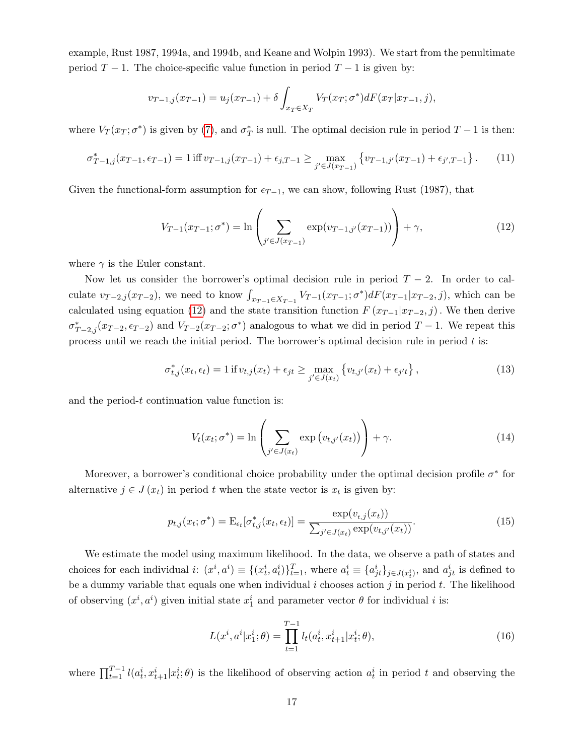example, Rust 1987, 1994a, and 1994b, and Keane and Wolpin 1993). We start from the penultimate period  $T - 1$ . The choice-specific value function in period  $T - 1$  is given by:

$$
v_{T-1,j}(x_{T-1}) = u_j(x_{T-1}) + \delta \int_{x_T \in X_T} V_T(x_T; \sigma^*) dF(x_T | x_{T-1}, j),
$$

where  $V_T(x_T;\sigma^*)$  is given by [\(7\)](#page-17-1), and  $\sigma^*_T$  is null. The optimal decision rule in period  $T-1$  is then:

$$
\sigma_{T-1,j}^*(x_{T-1}, \epsilon_{T-1}) = 1 \text{ iff } v_{T-1,j}(x_{T-1}) + \epsilon_{j,T-1} \ge \max_{j' \in J(x_{T-1})} \left\{ v_{T-1,j'}(x_{T-1}) + \epsilon_{j',T-1} \right\}. \tag{11}
$$

Given the functional-form assumption for  $\epsilon_{T-1}$ , we can show, following Rust (1987), that

<span id="page-18-0"></span>
$$
V_{T-1}(x_{T-1};\sigma^*) = \ln\left(\sum_{j' \in J(x_{T-1})} \exp(v_{T-1,j'}(x_{T-1}))\right) + \gamma,
$$
\n(12)

where  $\gamma$  is the Euler constant.

Now let us consider the borrower's optimal decision rule in period  $T - 2$ . In order to calculate  $v_{T-2,j}(x_{T-2})$ , we need to know  $\int_{x_{T-1}\in X_{T-1}} V_{T-1}(x_{T-1};\sigma^*) dF(x_{T-1}|x_{T-2},j)$ , which can be calculated using equation [\(12\)](#page-18-0) and the state transition function  $F(x_{T-1}|x_{T-2}, j)$ . We then derive  $\sigma_{T-2,j}^*(x_{T-2}, \epsilon_{T-2})$  and  $V_{T-2}(x_{T-2}; \sigma^*)$  analogous to what we did in period  $T-1$ . We repeat this process until we reach the initial period. The borrower's optimal decision rule in period  $t$  is:

$$
\sigma_{t,j}^*(x_t, \epsilon_t) = 1 \text{ if } v_{t,j}(x_t) + \epsilon_{jt} \ge \max_{j' \in J(x_t)} \left\{ v_{t,j'}(x_t) + \epsilon_{j't} \right\},\tag{13}
$$

and the period-t continuation value function is:

$$
V_t(x_t; \sigma^*) = \ln \left( \sum_{j' \in J(x_t)} \exp \left( v_{t,j'}(x_t) \right) \right) + \gamma. \tag{14}
$$

Moreover, a borrower's conditional choice probability under the optimal decision profile  $\sigma^*$  for alternative  $j \in J(x_t)$  in period t when the state vector is  $x_t$  is given by:

<span id="page-18-1"></span>
$$
p_{t,j}(x_t; \sigma^*) = \mathcal{E}_{\epsilon_t}[\sigma^*_{t,j}(x_t, \epsilon_t)] = \frac{\exp(v_{t,j}(x_t))}{\sum_{j' \in J(x_t)} \exp(v_{t,j'}(x_t))}.
$$
\n(15)

We estimate the model using maximum likelihood. In the data, we observe a path of states and choices for each individual  $i: (x^i, a^i) \equiv \{(x_t^i, a_t^i)\}_{t=1}^T$ , where  $a_t^i \equiv \{a_{jt}^i\}_{j \in J(x_t^i)}$ , and  $a_{jt}^i$  is defined to be a dummy variable that equals one when individual i chooses action j in period t. The likelihood of observing  $(x^i, a^i)$  given initial state  $x_1^i$  and parameter vector  $\theta$  for individual i is:

$$
L(x^i, a^i | x_1^i; \theta) = \prod_{t=1}^{T-1} l_t(a_t^i, x_{t+1}^i | x_t^i; \theta), \qquad (16)
$$

where  $\prod_{t=1}^{T-1} l(a_t^i, x_{t+1}^i | x_t^i; \theta)$  is the likelihood of observing action  $a_t^i$  in period t and observing the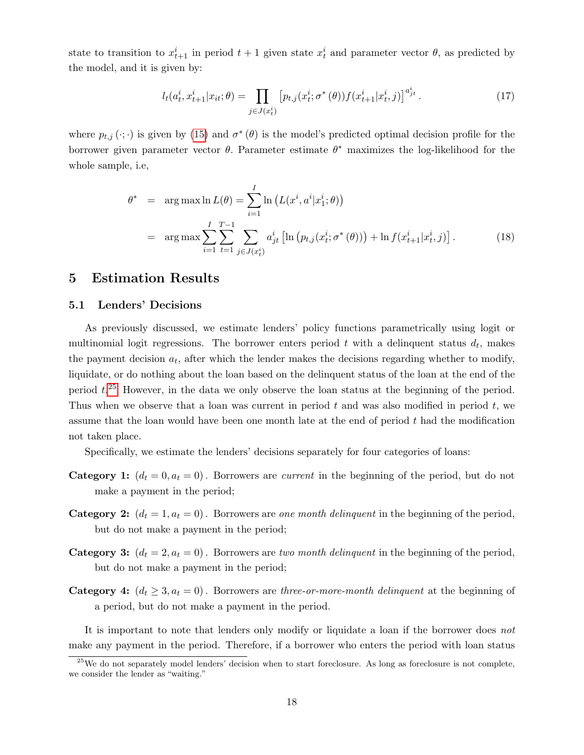state to transition to  $x_{t+1}^i$  in period  $t+1$  given state  $x_t^i$  and parameter vector  $\theta$ , as predicted by the model, and it is given by:

$$
l_t(a_t^i, x_{t+1}^i | x_{it}; \theta) = \prod_{j \in J(x_t^i)} \left[ p_{t,j}(x_t^i; \sigma^*(\theta)) f(x_{t+1}^i | x_t^i, j) \right]^{a_{jt}^i}.
$$
 (17)

where  $p_{t,j}(\cdot;\cdot)$  is given by [\(15\)](#page-18-1) and  $\sigma^*(\theta)$  is the model's predicted optimal decision profile for the borrower given parameter vector  $\theta$ . Parameter estimate  $\theta^*$  maximizes the log-likelihood for the whole sample, i.e,

$$
\theta^* = \arg \max \ln L(\theta) = \sum_{i=1}^I \ln \left( L(x^i, a^i | x_1^i; \theta) \right)
$$
  
= 
$$
\arg \max \sum_{i=1}^I \sum_{t=1}^{T-1} \sum_{j \in J(x_t^i)} a_{jt}^i \left[ \ln \left( p_{t,j}(x_t^i; \sigma^*(\theta)) \right) + \ln f(x_{t+1}^i | x_t^i, j) \right].
$$
 (18)

### <span id="page-19-0"></span>5 Estimation Results

#### <span id="page-19-1"></span>5.1 Lenders' Decisions

As previously discussed, we estimate lenders' policy functions parametrically using logit or multinomial logit regressions. The borrower enters period  $t$  with a delinquent status  $d_t$ , makes the payment decision  $a_t$ , after which the lender makes the decisions regarding whether to modify, liquidate, or do nothing about the loan based on the delinquent status of the loan at the end of the period  $t^{25}$  $t^{25}$  $t^{25}$  However, in the data we only observe the loan status at the beginning of the period. Thus when we observe that a loan was current in period  $t$  and was also modified in period  $t$ , we assume that the loan would have been one month late at the end of period t had the modification not taken place.

Specifically, we estimate the lenders' decisions separately for four categories of loans:

- **Category 1:**  $(d_t = 0, a_t = 0)$ . Borrowers are *current* in the beginning of the period, but do not make a payment in the period;
- **Category 2:**  $(d_t = 1, a_t = 0)$ . Borrowers are one month delinquent in the beginning of the period, but do not make a payment in the period;
- **Category 3:**  $(d_t = 2, a_t = 0)$ . Borrowers are two month delinquent in the beginning of the period, but do not make a payment in the period;
- **Category 4:**  $(d_t \geq 3, a_t = 0)$ . Borrowers are three-or-more-month delinquent at the beginning of a period, but do not make a payment in the period.

It is important to note that lenders only modify or liquidate a loan if the borrower does not make any payment in the period. Therefore, if a borrower who enters the period with loan status

<sup>&</sup>lt;sup>25</sup>We do not separately model lenders' decision when to start foreclosure. As long as foreclosure is not complete, we consider the lender as "waiting."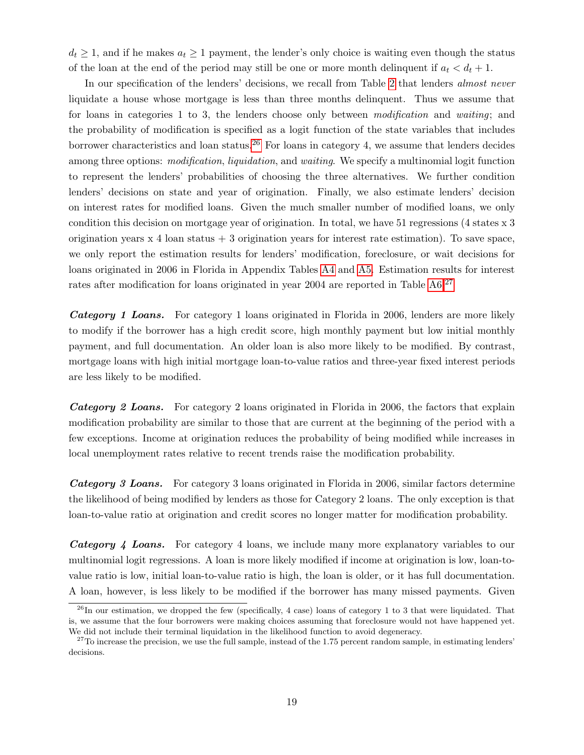$d_t \geq 1$ , and if he makes  $a_t \geq 1$  payment, the lender's only choice is waiting even though the status of the loan at the end of the period may still be one or more month delinquent if  $a_t < d_t + 1$ .

In our specification of the lenders' decisions, we recall from Table [2](#page-9-0) that lenders *almost never* liquidate a house whose mortgage is less than three months delinquent. Thus we assume that for loans in categories 1 to 3, the lenders choose only between modification and waiting; and the probability of modification is specified as a logit function of the state variables that includes borrower characteristics and loan status.<sup>[26](#page-1-0)</sup> For loans in category 4, we assume that lenders decides among three options: *modification, liquidation,* and *waiting*. We specify a multinomial logit function to represent the lenders' probabilities of choosing the three alternatives. We further condition lenders' decisions on state and year of origination. Finally, we also estimate lenders' decision on interest rates for modified loans. Given the much smaller number of modified loans, we only condition this decision on mortgage year of origination. In total, we have 51 regressions (4 states x 3 origination years  $x \neq 4$  loan status  $+3$  origination years for interest rate estimation). To save space, we only report the estimation results for lenders' modification, foreclosure, or wait decisions for loans originated in 2006 in Florida in Appendix Tables [A4](#page-51-0) and [A5.](#page-52-0) Estimation results for interest rates after modification for loans originated in year 2004 are reported in Table [A6.](#page-53-0)<sup>[27](#page-1-0)</sup>

Category 1 Loans. For category 1 loans originated in Florida in 2006, lenders are more likely to modify if the borrower has a high credit score, high monthly payment but low initial monthly payment, and full documentation. An older loan is also more likely to be modified. By contrast, mortgage loans with high initial mortgage loan-to-value ratios and three-year fixed interest periods are less likely to be modified.

**Category 2 Loans.** For category 2 loans originated in Florida in 2006, the factors that explain modification probability are similar to those that are current at the beginning of the period with a few exceptions. Income at origination reduces the probability of being modified while increases in local unemployment rates relative to recent trends raise the modification probability.

Category 3 Loans. For category 3 loans originated in Florida in 2006, similar factors determine the likelihood of being modified by lenders as those for Category 2 loans. The only exception is that loan-to-value ratio at origination and credit scores no longer matter for modification probability.

Category 4 Loans. For category 4 loans, we include many more explanatory variables to our multinomial logit regressions. A loan is more likely modified if income at origination is low, loan-tovalue ratio is low, initial loan-to-value ratio is high, the loan is older, or it has full documentation. A loan, however, is less likely to be modified if the borrower has many missed payments. Given

 $^{26}$ In our estimation, we dropped the few (specifically, 4 case) loans of category 1 to 3 that were liquidated. That is, we assume that the four borrowers were making choices assuming that foreclosure would not have happened yet. We did not include their terminal liquidation in the likelihood function to avoid degeneracy.

 $27$ To increase the precision, we use the full sample, instead of the 1.75 percent random sample, in estimating lenders' decisions.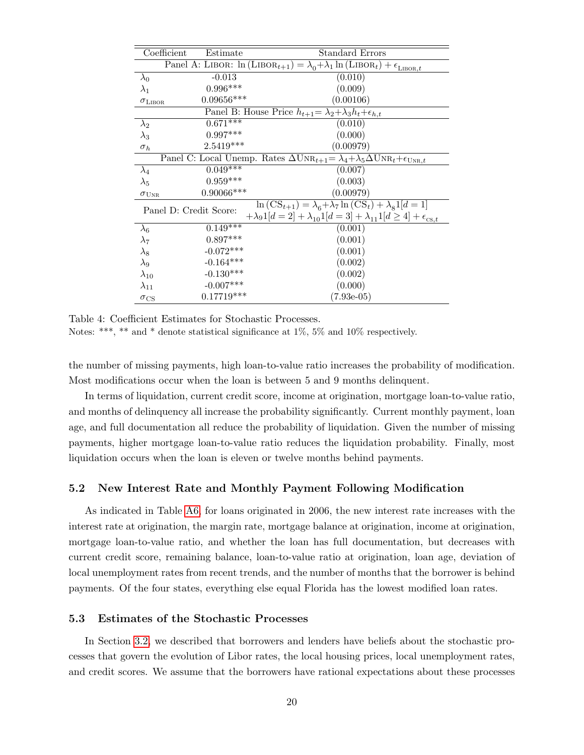<span id="page-21-0"></span>

| Coefficient            | Estimate         | Standard Errors                                                                                                               |
|------------------------|------------------|-------------------------------------------------------------------------------------------------------------------------------|
|                        |                  | Panel A: LIBOR: $\ln(LIBOR_{t+1}) = \lambda_0 + \lambda_1 \ln(LIBOR_t) + \epsilon_{LIBOR,t}$                                  |
| $\lambda_0$            | $-0.013$         | (0.010)                                                                                                                       |
| $\lambda_1$            | $0.996***$       | (0.009)                                                                                                                       |
| $\sigma_{\rm LIBOR}$   | $0.09656***$     | (0.00106)                                                                                                                     |
|                        |                  | Panel B: House Price $h_{t+1} = \lambda_2 + \lambda_3 h_t + \epsilon_{h,t}$                                                   |
| $\lambda_2$            | $0.671***$       | (0.010)                                                                                                                       |
| $\lambda_3$            | $0.997***$       | (0.000)                                                                                                                       |
| $\sigma_h$             | $2.5419***$      | (0.00979)                                                                                                                     |
|                        |                  | Panel C: Local Unemp. Rates $\Delta \text{UNR}_{t+1} = \lambda_4 + \lambda_5 \Delta \text{UNR}_t + \epsilon_{\text{UNR},t}$   |
| $\lambda_4$            | $0.049***$       | (0.007)                                                                                                                       |
| $\lambda_5$            | $0.959***$       | (0.003)                                                                                                                       |
| $\sigma_{\rm UNR}$     | $0.90066***$     | (0.00979)                                                                                                                     |
| Panel D: Credit Score: |                  | $\ln\left(\mathrm{CS}_{t+1}\right) = \lambda_{\mathrm{s}} + \lambda_{7} \ln\left(\mathrm{CS}_{t}\right) + \lambda_{8} 1[d=1]$ |
|                        |                  | $+\lambda_9 1[d = 2] + \lambda_{10} 1[d = 3] + \lambda_{11} 1[d \ge 4] + \epsilon_{\text{cs},t}$                              |
| $\lambda_6$            | $0.149$ ***      | (0.001)                                                                                                                       |
| $\lambda_7$            | $0.897***$       | (0.001)                                                                                                                       |
| $\lambda_8$            | $-0.072***$      | (0.001)                                                                                                                       |
| $\lambda_9$            | $-0.164***$      | (0.002)                                                                                                                       |
| $\lambda_{10}$         | $-0.130^{***}\,$ | (0.002)                                                                                                                       |
| $\lambda_{11}$         | $-0.007***$      | (0.000)                                                                                                                       |
| $\sigma_{\rm CS}$      | $0.17719***$     | $(7.93e-05)$                                                                                                                  |

Table 4: Coefficient Estimates for Stochastic Processes.

Notes: \*\*\*, \*\* and \* denote statistical significance at 1%, 5% and 10% respectively.

the number of missing payments, high loan-to-value ratio increases the probability of modification. Most modifications occur when the loan is between 5 and 9 months delinquent.

In terms of liquidation, current credit score, income at origination, mortgage loan-to-value ratio, and months of delinquency all increase the probability significantly. Current monthly payment, loan age, and full documentation all reduce the probability of liquidation. Given the number of missing payments, higher mortgage loan-to-value ratio reduces the liquidation probability. Finally, most liquidation occurs when the loan is eleven or twelve months behind payments.

#### 5.2 New Interest Rate and Monthly Payment Following Modification

As indicated in Table [A6,](#page-53-0) for loans originated in 2006, the new interest rate increases with the interest rate at origination, the margin rate, mortgage balance at origination, income at origination, mortgage loan-to-value ratio, and whether the loan has full documentation, but decreases with current credit score, remaining balance, loan-to-value ratio at origination, loan age, deviation of local unemployment rates from recent trends, and the number of months that the borrower is behind payments. Of the four states, everything else equal Florida has the lowest modified loan rates.

#### 5.3 Estimates of the Stochastic Processes

In Section [3.2,](#page-11-0) we described that borrowers and lenders have beliefs about the stochastic processes that govern the evolution of Libor rates, the local housing prices, local unemployment rates, and credit scores. We assume that the borrowers have rational expectations about these processes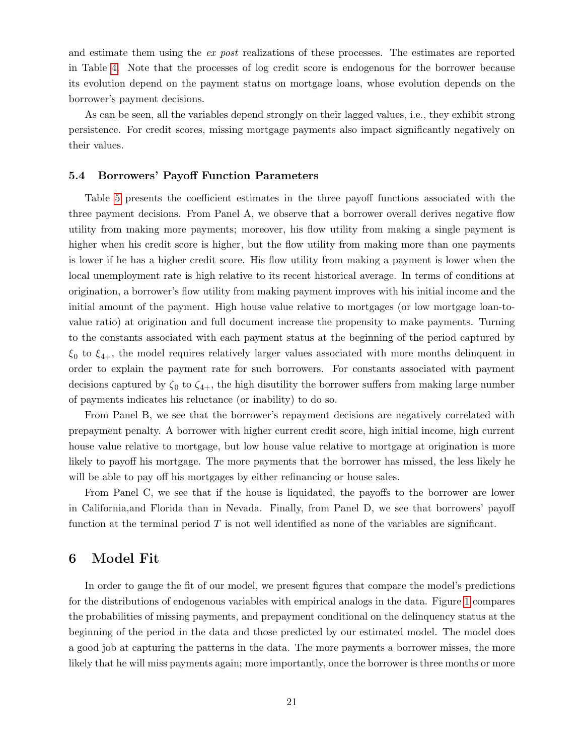and estimate them using the *ex post* realizations of these processes. The estimates are reported in Table [4.](#page-21-0) Note that the processes of log credit score is endogenous for the borrower because its evolution depend on the payment status on mortgage loans, whose evolution depends on the borrower's payment decisions.

As can be seen, all the variables depend strongly on their lagged values, i.e., they exhibit strong persistence. For credit scores, missing mortgage payments also impact significantly negatively on their values.

#### 5.4 Borrowers' Payoff Function Parameters

Table [5](#page-23-0) presents the coefficient estimates in the three payoff functions associated with the three payment decisions. From Panel A, we observe that a borrower overall derives negative flow utility from making more payments; moreover, his flow utility from making a single payment is higher when his credit score is higher, but the flow utility from making more than one payments is lower if he has a higher credit score. His flow utility from making a payment is lower when the local unemployment rate is high relative to its recent historical average. In terms of conditions at origination, a borrower's flow utility from making payment improves with his initial income and the initial amount of the payment. High house value relative to mortgages (or low mortgage loan-tovalue ratio) at origination and full document increase the propensity to make payments. Turning to the constants associated with each payment status at the beginning of the period captured by  $\xi_0$  to  $\xi_{4+}$ , the model requires relatively larger values associated with more months delinquent in order to explain the payment rate for such borrowers. For constants associated with payment decisions captured by  $\zeta_0$  to  $\zeta_{4+}$ , the high disutility the borrower suffers from making large number of payments indicates his reluctance (or inability) to do so.

From Panel B, we see that the borrower's repayment decisions are negatively correlated with prepayment penalty. A borrower with higher current credit score, high initial income, high current house value relative to mortgage, but low house value relative to mortgage at origination is more likely to payoff his mortgage. The more payments that the borrower has missed, the less likely he will be able to pay off his mortgages by either refinancing or house sales.

From Panel C, we see that if the house is liquidated, the payoffs to the borrower are lower in California,and Florida than in Nevada. Finally, from Panel D, we see that borrowers' payoff function at the terminal period  $T$  is not well identified as none of the variables are significant.

### <span id="page-22-0"></span>6 Model Fit

In order to gauge the fit of our model, we present figures that compare the model's predictions for the distributions of endogenous variables with empirical analogs in the data. Figure [1](#page-24-0) compares the probabilities of missing payments, and prepayment conditional on the delinquency status at the beginning of the period in the data and those predicted by our estimated model. The model does a good job at capturing the patterns in the data. The more payments a borrower misses, the more likely that he will miss payments again; more importantly, once the borrower is three months or more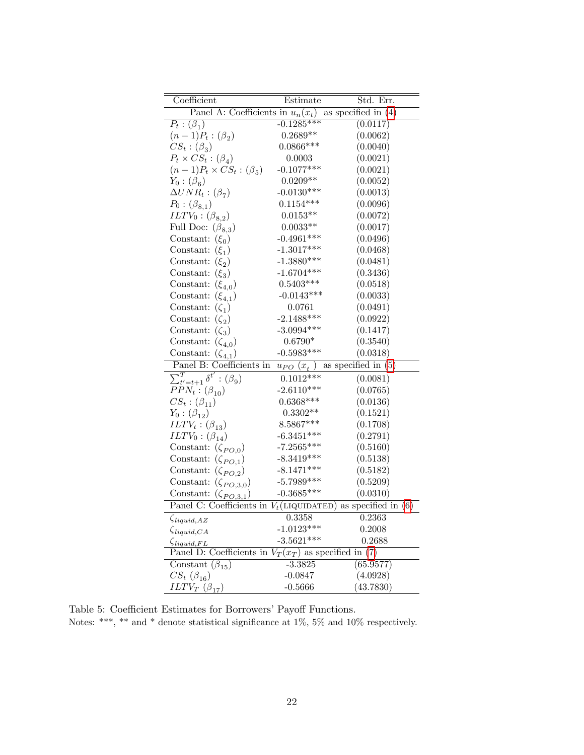<span id="page-23-0"></span>

| Coefficient                                              | Estimate            | Std. Err.             |
|----------------------------------------------------------|---------------------|-----------------------|
| Panel A: Coefficients in $u_n(x_t)$                      |                     | as specified in $(4)$ |
| $P_t: (\beta_1)$                                         | $-0.1285***$        | (0.0117)              |
| $(n-1)P_t: (\beta_2)$                                    | $0.2689**$          | (0.0062)              |
| $CS_t:(\beta_3)$                                         | $0.0866***$         | (0.0040)              |
| $P_t \times CS_t : (\beta_4)$                            | 0.0003              | (0.0021)              |
| $(n-1)P_t \times CS_t : (\beta_5)$                       | $-0.1077***$        | (0.0021)              |
| $Y_0$ : $(\beta_6)$                                      | $0.0209**$          | (0.0052)              |
| $\Delta UNR_t: (\beta_7)$                                | $-0.0130***$        | (0.0013)              |
| $P_0: (\beta_{8,1})$                                     | $0.1154***$         | (0.0096)              |
| $ILTV_0: (\beta_{8,2})$                                  | $0.0153**$          | (0.0072)              |
| Full Doc: $(\beta_{8,3})$                                | $0.0033^{\ast\ast}$ | (0.0017)              |
| Constant: $(\xi_0)$                                      | $-0.4961***$        | (0.0496)              |
| Constant: $(\xi_1)$                                      | $-1.3017***$        | (0.0468)              |
| Constant:<br>$(\xi_2)$                                   | $-1.3880***$        | (0.0481)              |
| $(\xi_3)$<br>Constant:                                   | $-1.6704***$        | (0.3436)              |
| Constant:<br>$(\xi_{4,0})$                               | $0.5403***$         | (0.0518)              |
| Constant:<br>$(\xi_{4,1})$                               | $-0.0143***$        | (0.0033)              |
| Constant:<br>$(\zeta_1)$                                 | 0.0761              | (0.0491)              |
| Constant:<br>$(\zeta_2)$                                 | $-2.1488***$        | (0.0922)              |
| Constant:<br>$(\zeta_3)$                                 | $-3.0994***$        | (0.1417)              |
| Constant:<br>$(\zeta_{4,0})$                             | $0.6790*$           | (0.3540)              |
| Constant:<br>$(\zeta_{4,1})$                             | $-0.5983***$        | (0.0318)              |
| Panel B: Coefficients in                                 | $u_{PO}$ $(x_t)$    | as specified in $(5)$ |
| $\overline{\sum_{t'=t+1}^{T} \delta^{t'}}$ : $(\beta_9)$ | $0.1012***$         | (0.0081)              |
| $PPN_t: (\beta_{10})$                                    | $-2.6110***$        | (0.0765)              |
| $CS_t: (\beta_{11})$                                     | $0.6368***$         | (0.0136)              |
| $Y_0: (\beta_{12})$                                      | $0.3302**$          | (0.1521)              |
| $ILTV_t: (\beta_{13})$                                   | $8.5867***$         | (0.1708)              |
| $ILTV_0: (\beta_{14})$                                   | $-6.3451***$        | (0.2791)              |
| Constant: $(\zeta_{PO,0})$                               | $-7.2565***$        | (0.5160)              |
| Constant: $(\zeta_{PO,1})$                               | $-8.3419***$        | (0.5138)              |
| Constant: $(\zeta_{PO,2})$                               | $-8.1471***$        | (0.5182)              |
| Constant: $(\zeta_{PO,3,0})$                             | $-5.7989***$        | (0.5209)              |
| Constant: $(\zeta_{PQ,3,1})$                             | $-0.3685***$        | (0.0310)              |
| Panel C: Coefficients in $V_t$ (LIQUIDATED)              |                     | as specified in $(6)$ |
| $\zeta_{liquid,AZ}$                                      | 0.3358              | 0.2363                |
| $\zeta_{liquid,CA}$                                      | $-1.0123***$        | 0.2008                |
| $\zeta_{liquid, FL}$                                     | $-3.5621***$        | 0.2688                |
| Panel D: Coefficients in $V_T(x_T)$ as specified in (7)  |                     |                       |
| Constant $(\beta_{15})$                                  | $-3.3825$           | (65.9577)             |
| $CS_{t}(\beta_{16})$                                     | $-0.0847$           | (4.0928)              |
| $ILTV_T(\beta_{17})$                                     | $-0.5666$           | (43.7830)             |

Table 5: Coefficient Estimates for Borrowers' Payoff Functions. Notes: \*\*\*, \*\* and \* denote statistical significance at  $1\%,\,5\%$  and  $10\%$  respectively.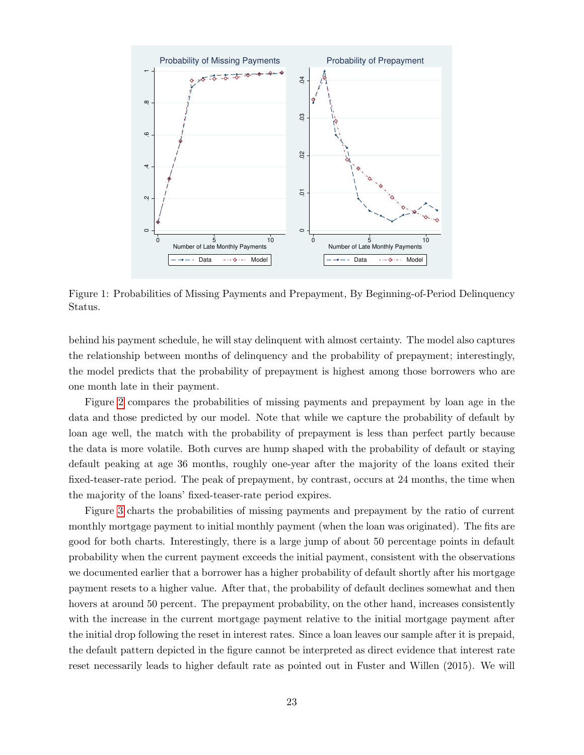<span id="page-24-0"></span>

Figure 1: Probabilities of Missing Payments and Prepayment, By Beginning-of-Period Delinquency Status.

behind his payment schedule, he will stay delinquent with almost certainty. The model also captures the relationship between months of delinquency and the probability of prepayment; interestingly, the model predicts that the probability of prepayment is highest among those borrowers who are one month late in their payment.

Figure [2](#page-25-0) compares the probabilities of missing payments and prepayment by loan age in the data and those predicted by our model. Note that while we capture the probability of default by loan age well, the match with the probability of prepayment is less than perfect partly because the data is more volatile. Both curves are hump shaped with the probability of default or staying default peaking at age 36 months, roughly one-year after the majority of the loans exited their fixed-teaser-rate period. The peak of prepayment, by contrast, occurs at 24 months, the time when the majority of the loans' fixed-teaser-rate period expires.

Figure [3](#page-25-1) charts the probabilities of missing payments and prepayment by the ratio of current monthly mortgage payment to initial monthly payment (when the loan was originated). The fits are good for both charts. Interestingly, there is a large jump of about 50 percentage points in default probability when the current payment exceeds the initial payment, consistent with the observations we documented earlier that a borrower has a higher probability of default shortly after his mortgage payment resets to a higher value. After that, the probability of default declines somewhat and then hovers at around 50 percent. The prepayment probability, on the other hand, increases consistently with the increase in the current mortgage payment relative to the initial mortgage payment after the initial drop following the reset in interest rates. Since a loan leaves our sample after it is prepaid, the default pattern depicted in the figure cannot be interpreted as direct evidence that interest rate reset necessarily leads to higher default rate as pointed out in Fuster and Willen (2015). We will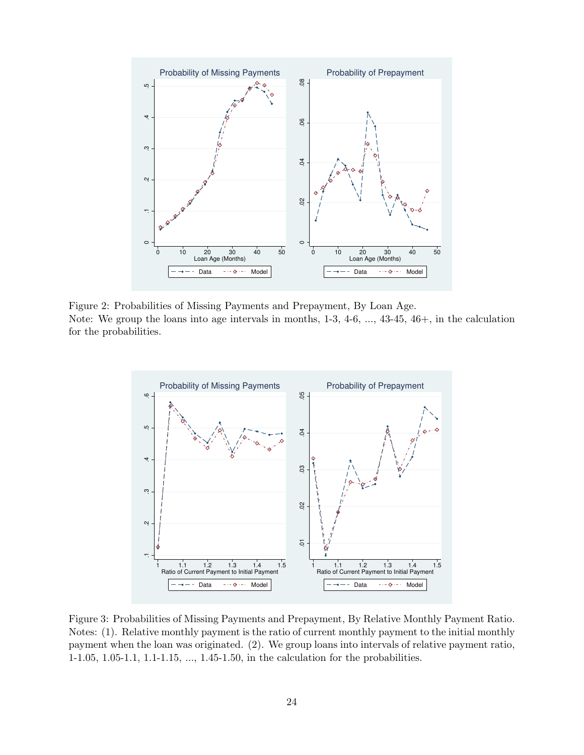<span id="page-25-0"></span>

Figure 2: Probabilities of Missing Payments and Prepayment, By Loan Age. Note: We group the loans into age intervals in months, 1-3, 4-6, ..., 43-45, 46+, in the calculation for the probabilities.

<span id="page-25-1"></span>

Figure 3: Probabilities of Missing Payments and Prepayment, By Relative Monthly Payment Ratio. Notes: (1). Relative monthly payment is the ratio of current monthly payment to the initial monthly payment when the loan was originated. (2). We group loans into intervals of relative payment ratio, 1-1.05, 1.05-1.1, 1.1-1.15, ..., 1.45-1.50, in the calculation for the probabilities.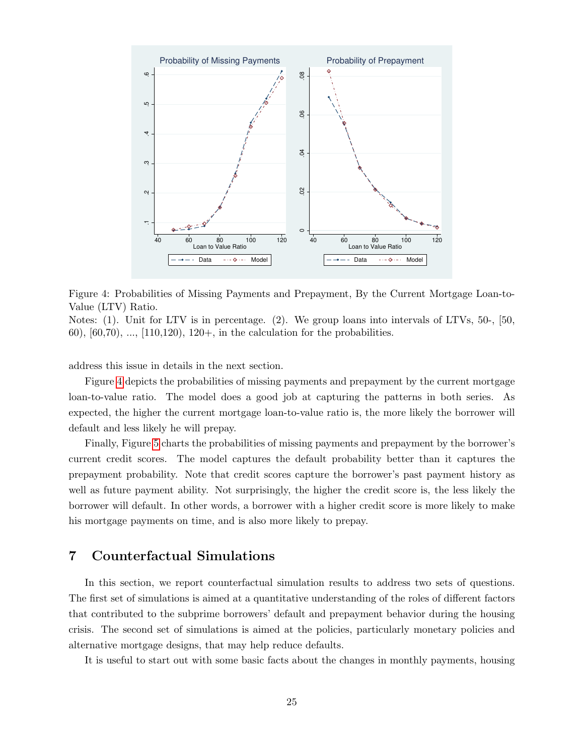<span id="page-26-1"></span>

Figure 4: Probabilities of Missing Payments and Prepayment, By the Current Mortgage Loan-to-Value (LTV) Ratio.

Notes: (1). Unit for LTV is in percentage. (2). We group loans into intervals of LTVs, 50-, [50, 60),  $[60, 70)$ , ...,  $[110, 120)$ ,  $120+$ , in the calculation for the probabilities.

address this issue in details in the next section.

Figure [4](#page-26-1) depicts the probabilities of missing payments and prepayment by the current mortgage loan-to-value ratio. The model does a good job at capturing the patterns in both series. As expected, the higher the current mortgage loan-to-value ratio is, the more likely the borrower will default and less likely he will prepay.

Finally, Figure [5](#page-27-0) charts the probabilities of missing payments and prepayment by the borrower's current credit scores. The model captures the default probability better than it captures the prepayment probability. Note that credit scores capture the borrower's past payment history as well as future payment ability. Not surprisingly, the higher the credit score is, the less likely the borrower will default. In other words, a borrower with a higher credit score is more likely to make his mortgage payments on time, and is also more likely to prepay.

# <span id="page-26-0"></span>7 Counterfactual Simulations

In this section, we report counterfactual simulation results to address two sets of questions. The first set of simulations is aimed at a quantitative understanding of the roles of different factors that contributed to the subprime borrowers' default and prepayment behavior during the housing crisis. The second set of simulations is aimed at the policies, particularly monetary policies and alternative mortgage designs, that may help reduce defaults.

It is useful to start out with some basic facts about the changes in monthly payments, housing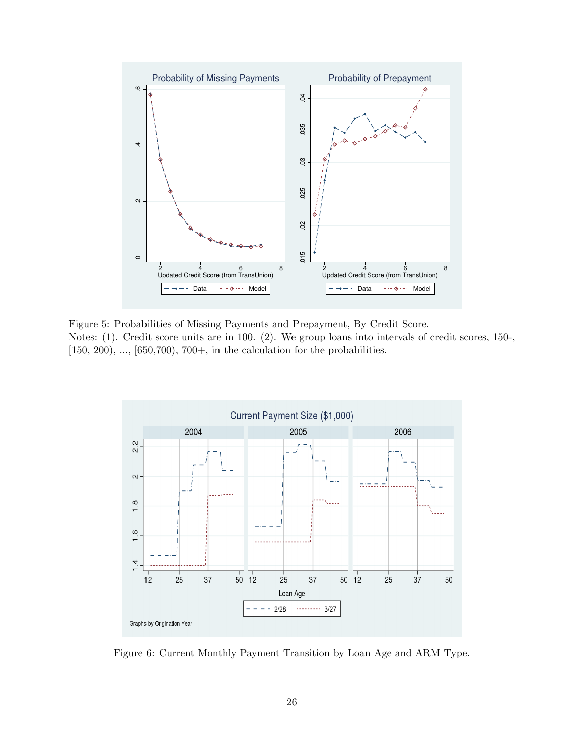<span id="page-27-0"></span>

Figure 5: Probabilities of Missing Payments and Prepayment, By Credit Score. Notes: (1). Credit score units are in 100. (2). We group loans into intervals of credit scores, 150-,  $[150, 200), ..., [650, 700), 700+,$  in the calculation for the probabilities.

<span id="page-27-1"></span>

Figure 6: Current Monthly Payment Transition by Loan Age and ARM Type.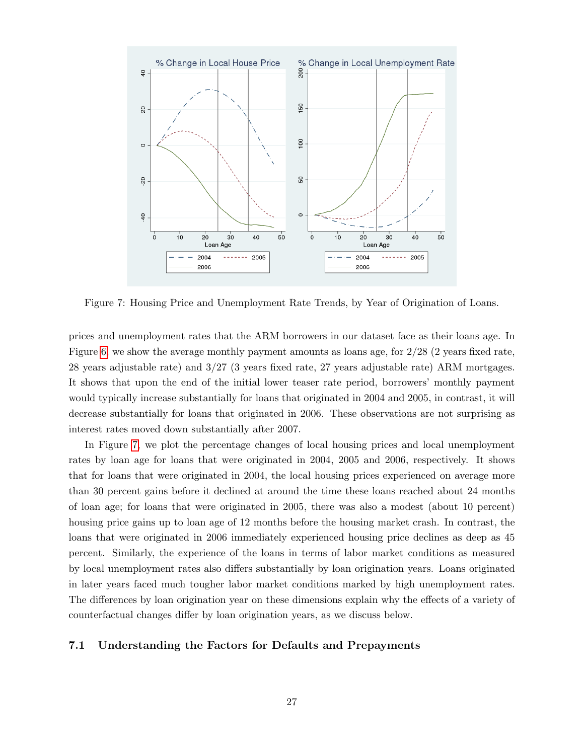<span id="page-28-0"></span>

Figure 7: Housing Price and Unemployment Rate Trends, by Year of Origination of Loans.

prices and unemployment rates that the ARM borrowers in our dataset face as their loans age. In Figure [6,](#page-27-1) we show the average monthly payment amounts as loans age, for 2/28 (2 years fixed rate, 28 years adjustable rate) and 3/27 (3 years fixed rate, 27 years adjustable rate) ARM mortgages. It shows that upon the end of the initial lower teaser rate period, borrowers' monthly payment would typically increase substantially for loans that originated in 2004 and 2005, in contrast, it will decrease substantially for loans that originated in 2006. These observations are not surprising as interest rates moved down substantially after 2007.

In Figure [7,](#page-28-0) we plot the percentage changes of local housing prices and local unemployment rates by loan age for loans that were originated in 2004, 2005 and 2006, respectively. It shows that for loans that were originated in 2004, the local housing prices experienced on average more than 30 percent gains before it declined at around the time these loans reached about 24 months of loan age; for loans that were originated in 2005, there was also a modest (about 10 percent) housing price gains up to loan age of 12 months before the housing market crash. In contrast, the loans that were originated in 2006 immediately experienced housing price declines as deep as 45 percent. Similarly, the experience of the loans in terms of labor market conditions as measured by local unemployment rates also differs substantially by loan origination years. Loans originated in later years faced much tougher labor market conditions marked by high unemployment rates. The differences by loan origination year on these dimensions explain why the effects of a variety of counterfactual changes differ by loan origination years, as we discuss below.

#### 7.1 Understanding the Factors for Defaults and Prepayments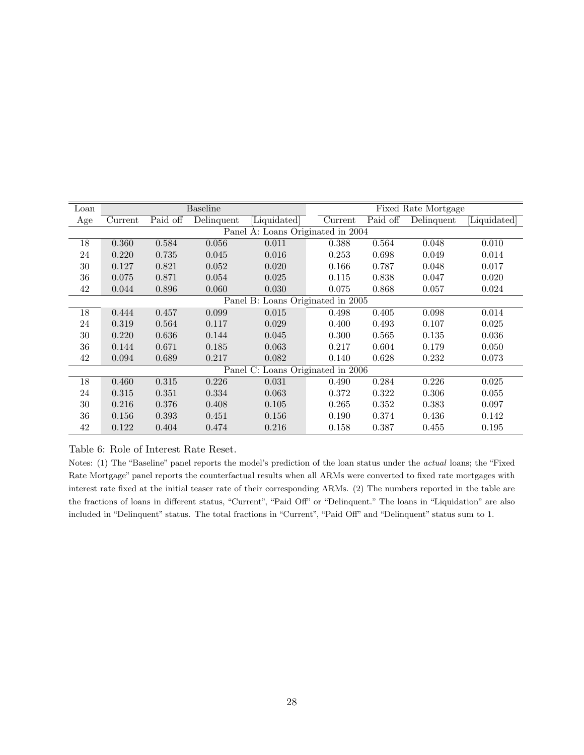<span id="page-29-0"></span>

| Loan |         |          | <b>Baseline</b> |                                   |         | Fixed Rate Mortgage |            |            |
|------|---------|----------|-----------------|-----------------------------------|---------|---------------------|------------|------------|
| Age  | Current | Paid off | Delinquent      | Liquidated                        | Current | Paid off            | Delinquent | Liquidated |
|      |         |          |                 | Panel A: Loans Originated in 2004 |         |                     |            |            |
| 18   | 0.360   | 0.584    | 0.056           | 0.011                             | 0.388   | 0.564               | 0.048      | 0.010      |
| 24   | 0.220   | 0.735    | 0.045           | 0.016                             | 0.253   | 0.698               | 0.049      | 0.014      |
| 30   | 0.127   | 0.821    | 0.052           | 0.020                             | 0.166   | 0.787               | 0.048      | 0.017      |
| 36   | 0.075   | 0.871    | 0.054           | 0.025                             | 0.115   | 0.838               | 0.047      | 0.020      |
| 42   | 0.044   | 0.896    | 0.060           | 0.030                             | 0.075   | 0.868               | 0.057      | 0.024      |
|      |         |          |                 | Panel B: Loans Originated in 2005 |         |                     |            |            |
| 18   | 0.444   | 0.457    | 0.099           | 0.015                             | 0.498   | 0.405               | 0.098      | 0.014      |
| 24   | 0.319   | 0.564    | 0.117           | 0.029                             | 0.400   | 0.493               | 0.107      | 0.025      |
| 30   | 0.220   | 0.636    | 0.144           | 0.045                             | 0.300   | 0.565               | 0.135      | 0.036      |
| 36   | 0.144   | 0.671    | 0.185           | 0.063                             | 0.217   | 0.604               | 0.179      | 0.050      |
| 42   | 0.094   | 0.689    | 0.217           | 0.082                             | 0.140   | 0.628               | 0.232      | 0.073      |
|      |         |          |                 | Panel C: Loans Originated in 2006 |         |                     |            |            |
| 18   | 0.460   | 0.315    | 0.226           | 0.031                             | 0.490   | 0.284               | 0.226      | 0.025      |
| 24   | 0.315   | 0.351    | 0.334           | 0.063                             | 0.372   | 0.322               | 0.306      | 0.055      |
| 30   | 0.216   | 0.376    | 0.408           | 0.105                             | 0.265   | 0.352               | 0.383      | 0.097      |
| 36   | 0.156   | 0.393    | 0.451           | 0.156                             | 0.190   | 0.374               | 0.436      | 0.142      |
| 42   | 0.122   | 0.404    | 0.474           | 0.216                             | 0.158   | 0.387               | 0.455      | 0.195      |

Table 6: Role of Interest Rate Reset.

Notes: (1) The "Baseline" panel reports the model's prediction of the loan status under the actual loans; the "Fixed Rate Mortgage" panel reports the counterfactual results when all ARMs were converted to fixed rate mortgages with interest rate fixed at the initial teaser rate of their corresponding ARMs. (2) The numbers reported in the table are the fractions of loans in different status, "Current", "Paid Off" or "Delinquent." The loans in "Liquidation" are also included in "Delinquent" status. The total fractions in "Current", "Paid Off" and "Delinquent" status sum to 1.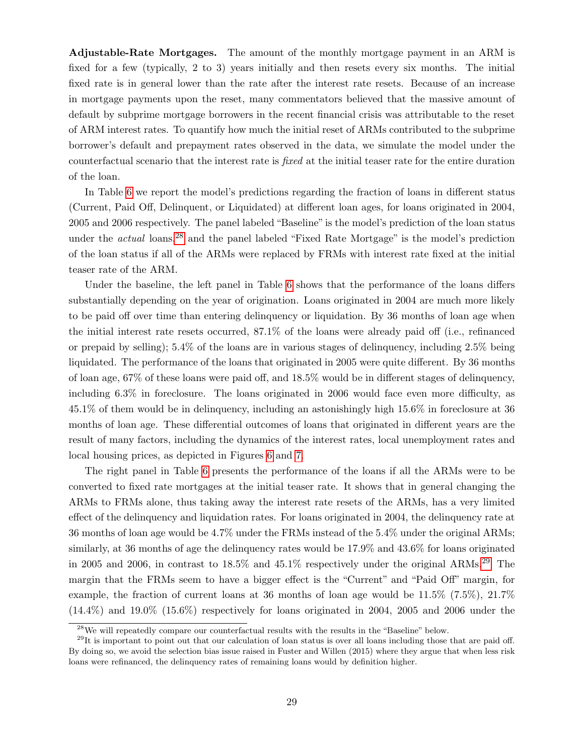Adjustable-Rate Mortgages. The amount of the monthly mortgage payment in an ARM is fixed for a few (typically, 2 to 3) years initially and then resets every six months. The initial fixed rate is in general lower than the rate after the interest rate resets. Because of an increase in mortgage payments upon the reset, many commentators believed that the massive amount of default by subprime mortgage borrowers in the recent financial crisis was attributable to the reset of ARM interest rates. To quantify how much the initial reset of ARMs contributed to the subprime borrower's default and prepayment rates observed in the data, we simulate the model under the counterfactual scenario that the interest rate is fixed at the initial teaser rate for the entire duration of the loan.

In Table [6](#page-29-0) we report the model's predictions regarding the fraction of loans in different status (Current, Paid Off, Delinquent, or Liquidated) at different loan ages, for loans originated in 2004, 2005 and 2006 respectively. The panel labeled "Baseline"is the model's prediction of the loan status under the *actual* loans,<sup>[28](#page-1-0)</sup> and the panel labeled "Fixed Rate Mortgage" is the model's prediction of the loan status if all of the ARMs were replaced by FRMs with interest rate fixed at the initial teaser rate of the ARM.

Under the baseline, the left panel in Table [6](#page-29-0) shows that the performance of the loans differs substantially depending on the year of origination. Loans originated in 2004 are much more likely to be paid off over time than entering delinquency or liquidation. By 36 months of loan age when the initial interest rate resets occurred, 87.1% of the loans were already paid off (i.e., refinanced or prepaid by selling); 5.4% of the loans are in various stages of delinquency, including 2.5% being liquidated. The performance of the loans that originated in 2005 were quite different. By 36 months of loan age, 67% of these loans were paid off, and 18.5% would be in different stages of delinquency, including 6.3% in foreclosure. The loans originated in 2006 would face even more difficulty, as 45.1% of them would be in delinquency, including an astonishingly high 15.6% in foreclosure at 36 months of loan age. These differential outcomes of loans that originated in different years are the result of many factors, including the dynamics of the interest rates, local unemployment rates and local housing prices, as depicted in Figures [6](#page-27-1) and [7.](#page-28-0)

The right panel in Table [6](#page-29-0) presents the performance of the loans if all the ARMs were to be converted to fixed rate mortgages at the initial teaser rate. It shows that in general changing the ARMs to FRMs alone, thus taking away the interest rate resets of the ARMs, has a very limited effect of the delinquency and liquidation rates. For loans originated in 2004, the delinquency rate at 36 months of loan age would be 4.7% under the FRMs instead of the 5.4% under the original ARMs; similarly, at 36 months of age the delinquency rates would be 17.9% and 43.6% for loans originated in 2005 and 2006, in contrast to  $18.5\%$  and  $45.1\%$  respectively under the original ARMs.<sup>[29](#page-1-0)</sup> The margin that the FRMs seem to have a bigger effect is the "Current" and "Paid Off" margin, for example, the fraction of current loans at 36 months of loan age would be 11.5% (7.5%), 21.7%  $(14.4\%)$  and  $19.0\%$   $(15.6\%)$  respectively for loans originated in 2004, 2005 and 2006 under the

<sup>28</sup>We will repeatedly compare our counterfactual results with the results in the "Baseline" below.

 $^{29}$ It is important to point out that our calculation of loan status is over all loans including those that are paid off. By doing so, we avoid the selection bias issue raised in Fuster and Willen (2015) where they argue that when less risk loans were refinanced, the delinquency rates of remaining loans would by definition higher.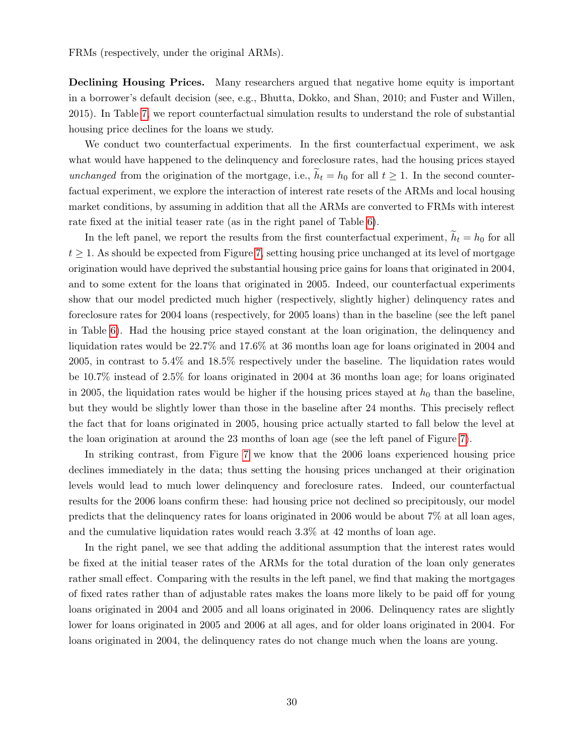FRMs (respectively, under the original ARMs).

Declining Housing Prices. Many researchers argued that negative home equity is important in a borrower's default decision (see, e.g., Bhutta, Dokko, and Shan, 2010; and Fuster and Willen, 2015). In Table [7,](#page-32-0) we report counterfactual simulation results to understand the role of substantial housing price declines for the loans we study.

We conduct two counterfactual experiments. In the first counterfactual experiment, we ask what would have happened to the delinquency and foreclosure rates, had the housing prices stayed unchanged from the origination of the mortgage, i.e.,  $\widetilde{h}_t = h_0$  for all  $t \geq 1$ . In the second counterfactual experiment, we explore the interaction of interest rate resets of the ARMs and local housing market conditions, by assuming in addition that all the ARMs are converted to FRMs with interest rate fixed at the initial teaser rate (as in the right panel of Table [6\)](#page-29-0).

In the left panel, we report the results from the first counterfactual experiment,  $h_t = h_0$  for all  $t \geq 1$ . As should be expected from Figure [7,](#page-28-0) setting housing price unchanged at its level of mortgage origination would have deprived the substantial housing price gains for loans that originated in 2004, and to some extent for the loans that originated in 2005. Indeed, our counterfactual experiments show that our model predicted much higher (respectively, slightly higher) delinquency rates and foreclosure rates for 2004 loans (respectively, for 2005 loans) than in the baseline (see the left panel in Table [6\)](#page-29-0). Had the housing price stayed constant at the loan origination, the delinquency and liquidation rates would be 22.7% and 17.6% at 36 months loan age for loans originated in 2004 and 2005, in contrast to 5.4% and 18.5% respectively under the baseline. The liquidation rates would be 10.7% instead of 2.5% for loans originated in 2004 at 36 months loan age; for loans originated in 2005, the liquidation rates would be higher if the housing prices stayed at  $h_0$  than the baseline, but they would be slightly lower than those in the baseline after 24 months. This precisely reflect the fact that for loans originated in 2005, housing price actually started to fall below the level at the loan origination at around the 23 months of loan age (see the left panel of Figure [7\)](#page-28-0).

In striking contrast, from Figure [7](#page-28-0) we know that the 2006 loans experienced housing price declines immediately in the data; thus setting the housing prices unchanged at their origination levels would lead to much lower delinquency and foreclosure rates. Indeed, our counterfactual results for the 2006 loans confirm these: had housing price not declined so precipitously, our model predicts that the delinquency rates for loans originated in 2006 would be about 7% at all loan ages, and the cumulative liquidation rates would reach 3.3% at 42 months of loan age.

In the right panel, we see that adding the additional assumption that the interest rates would be fixed at the initial teaser rates of the ARMs for the total duration of the loan only generates rather small effect. Comparing with the results in the left panel, we find that making the mortgages of fixed rates rather than of adjustable rates makes the loans more likely to be paid off for young loans originated in 2004 and 2005 and all loans originated in 2006. Delinquency rates are slightly lower for loans originated in 2005 and 2006 at all ages, and for older loans originated in 2004. For loans originated in 2004, the delinquency rates do not change much when the loans are young.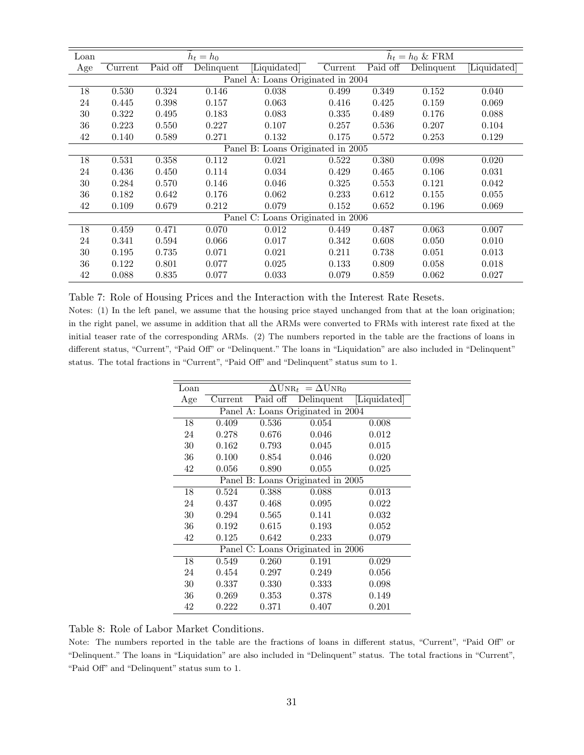<span id="page-32-0"></span>

| Loan |         |          | $h_t = h_0$ |                                   |         |          | $h_t = h_0 \&\text{ FRM}$ |            |
|------|---------|----------|-------------|-----------------------------------|---------|----------|---------------------------|------------|
| Age  | Current | Paid off | Delinquent  | Liquidated                        | Current | Paid off | Delinquent                | Liquidated |
|      |         |          |             | Panel A: Loans Originated in 2004 |         |          |                           |            |
| 18   | 0.530   | 0.324    | 0.146       | 0.038                             | 0.499   | 0.349    | 0.152                     | 0.040      |
| 24   | 0.445   | 0.398    | 0.157       | 0.063                             | 0.416   | 0.425    | 0.159                     | 0.069      |
| 30   | 0.322   | 0.495    | 0.183       | 0.083                             | 0.335   | 0.489    | 0.176                     | 0.088      |
| 36   | 0.223   | 0.550    | 0.227       | 0.107                             | 0.257   | 0.536    | 0.207                     | 0.104      |
| 42   | 0.140   | 0.589    | 0.271       | 0.132                             | 0.175   | 0.572    | 0.253                     | 0.129      |
|      |         |          |             | Panel B: Loans Originated in 2005 |         |          |                           |            |
| 18   | 0.531   | 0.358    | 0.112       | 0.021                             | 0.522   | 0.380    | 0.098                     | 0.020      |
| 24   | 0.436   | 0.450    | 0.114       | 0.034                             | 0.429   | 0.465    | 0.106                     | 0.031      |
| 30   | 0.284   | 0.570    | 0.146       | 0.046                             | 0.325   | 0.553    | 0.121                     | 0.042      |
| 36   | 0.182   | 0.642    | 0.176       | 0.062                             | 0.233   | 0.612    | 0.155                     | 0.055      |
| 42   | 0.109   | 0.679    | 0.212       | 0.079                             | 0.152   | 0.652    | 0.196                     | 0.069      |
|      |         |          |             | Panel C: Loans Originated in 2006 |         |          |                           |            |
| 18   | 0.459   | 0.471    | 0.070       | 0.012                             | 0.449   | 0.487    | 0.063                     | 0.007      |
| 24   | 0.341   | 0.594    | 0.066       | 0.017                             | 0.342   | 0.608    | 0.050                     | 0.010      |
| 30   | 0.195   | 0.735    | 0.071       | 0.021                             | 0.211   | 0.738    | 0.051                     | 0.013      |
| 36   | 0.122   | 0.801    | 0.077       | 0.025                             | 0.133   | 0.809    | 0.058                     | 0.018      |
| 42   | 0.088   | 0.835    | 0.077       | 0.033                             | 0.079   | 0.859    | 0.062                     | 0.027      |

Table 7: Role of Housing Prices and the Interaction with the Interest Rate Resets.

<span id="page-32-1"></span>Notes: (1) In the left panel, we assume that the housing price stayed unchanged from that at the loan origination; in the right panel, we assume in addition that all the ARMs were converted to FRMs with interest rate fixed at the initial teaser rate of the corresponding ARMs. (2) The numbers reported in the table are the fractions of loans in different status, "Current", "Paid Off" or "Delinquent." The loans in "Liquidation" are also included in "Delinquent" status. The total fractions in "Current", "Paid Off" and "Delinquent" status sum to 1.

| Loan | $\Delta \text{UNR}_t = \Delta \text{UNR}_0$ |            |                                   |              |  |  |  |  |  |
|------|---------------------------------------------|------------|-----------------------------------|--------------|--|--|--|--|--|
| Age  | Current                                     | Paid off   | Delinquent                        | [Liquidated] |  |  |  |  |  |
|      |                                             |            | Panel A: Loans Originated in 2004 |              |  |  |  |  |  |
| 18   | 0.409                                       | 0.536      | 0.054                             | 0.008        |  |  |  |  |  |
| 24   | 0.278                                       | 0.676      | 0.046                             | 0.012        |  |  |  |  |  |
| 30   | 0.162                                       | 0.793      | 0.045                             | 0.015        |  |  |  |  |  |
| 36   | 0.100                                       | 0.854      | 0.046                             | 0.020        |  |  |  |  |  |
| 42   | 0.056                                       | 0.890      | 0.055                             | 0.025        |  |  |  |  |  |
|      |                                             |            | Panel B: Loans Originated in 2005 |              |  |  |  |  |  |
| 18   | 0.524                                       | 0.388      | 0.088                             | 0.013        |  |  |  |  |  |
| 24   | 0.437                                       | 0.468      | 0.095                             | 0.022        |  |  |  |  |  |
| 30   | 0.294                                       | 0.565      | 0.141                             | 0.032        |  |  |  |  |  |
| 36   | 0.192                                       | 0.615      | 0.193                             | 0.052        |  |  |  |  |  |
| 42   | 0.125                                       | 0.642      | 0.233                             | 0.079        |  |  |  |  |  |
|      |                                             |            | Panel C: Loans Originated in 2006 |              |  |  |  |  |  |
| 18   | 0.549                                       | 0.260      | 0.191                             | 0.029        |  |  |  |  |  |
| 24   | 0.454                                       | 0.297      | 0.249                             | 0.056        |  |  |  |  |  |
| 30   | 0.337                                       | 0.330      | 0.333                             | 0.098        |  |  |  |  |  |
| 36   | 0.269                                       | ${ 0.353}$ | 0.378                             | 0.149        |  |  |  |  |  |
| 42   | 0.222                                       | 0.371      | 0.407                             | 0.201        |  |  |  |  |  |

Table 8: Role of Labor Market Conditions.

Note: The numbers reported in the table are the fractions of loans in different status, "Current", "Paid Off" or "Delinquent." The loans in "Liquidation" are also included in "Delinquent" status. The total fractions in "Current", "Paid Off" and "Delinquent" status sum to 1.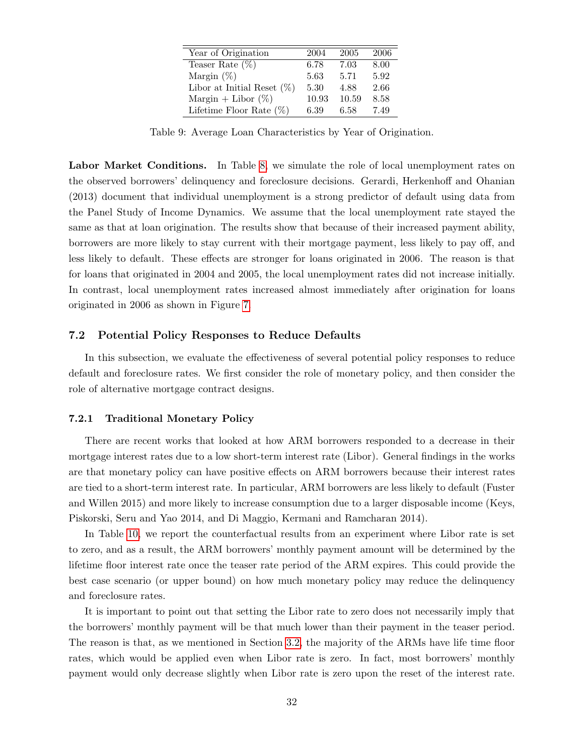<span id="page-33-0"></span>

| Year of Origination           | 2004  | 2005  | 2006 |
|-------------------------------|-------|-------|------|
| Teaser Rate $(\%)$            | 6.78  | 7.03  | 8.00 |
| Margin $(\%)$                 | 5.63  | 5.71  | 5.92 |
| Libor at Initial Reset $(\%)$ | 5.30  | 4.88  | 2.66 |
| Margin + Libor $(\%)$         | 10.93 | 10.59 | 8.58 |
| Lifetime Floor Rate $(\%)$    | 6.39  | 6.58  | 7.49 |

Table 9: Average Loan Characteristics by Year of Origination.

Labor Market Conditions. In Table [8,](#page-32-1) we simulate the role of local unemployment rates on the observed borrowers' delinquency and foreclosure decisions. Gerardi, Herkenhoff and Ohanian (2013) document that individual unemployment is a strong predictor of default using data from the Panel Study of Income Dynamics. We assume that the local unemployment rate stayed the same as that at loan origination. The results show that because of their increased payment ability, borrowers are more likely to stay current with their mortgage payment, less likely to pay off, and less likely to default. These effects are stronger for loans originated in 2006. The reason is that for loans that originated in 2004 and 2005, the local unemployment rates did not increase initially. In contrast, local unemployment rates increased almost immediately after origination for loans originated in 2006 as shown in Figure [7.](#page-28-0)

#### 7.2 Potential Policy Responses to Reduce Defaults

In this subsection, we evaluate the effectiveness of several potential policy responses to reduce default and foreclosure rates. We first consider the role of monetary policy, and then consider the role of alternative mortgage contract designs.

#### 7.2.1 Traditional Monetary Policy

There are recent works that looked at how ARM borrowers responded to a decrease in their mortgage interest rates due to a low short-term interest rate (Libor). General findings in the works are that monetary policy can have positive effects on ARM borrowers because their interest rates are tied to a short-term interest rate. In particular, ARM borrowers are less likely to default (Fuster and Willen 2015) and more likely to increase consumption due to a larger disposable income (Keys, Piskorski, Seru and Yao 2014, and Di Maggio, Kermani and Ramcharan 2014).

In Table [10,](#page-34-0) we report the counterfactual results from an experiment where Libor rate is set to zero, and as a result, the ARM borrowers' monthly payment amount will be determined by the lifetime floor interest rate once the teaser rate period of the ARM expires. This could provide the best case scenario (or upper bound) on how much monetary policy may reduce the delinquency and foreclosure rates.

It is important to point out that setting the Libor rate to zero does not necessarily imply that the borrowers' monthly payment will be that much lower than their payment in the teaser period. The reason is that, as we mentioned in Section [3.2,](#page-11-0) the majority of the ARMs have life time floor rates, which would be applied even when Libor rate is zero. In fact, most borrowers' monthly payment would only decrease slightly when Libor rate is zero upon the reset of the interest rate.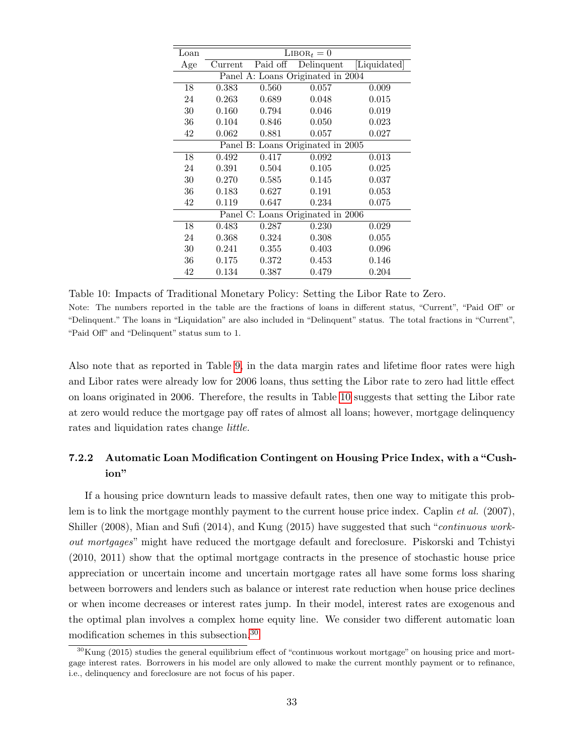<span id="page-34-0"></span>

| Loan | $LIBOR_t = 0$                     |             |                                   |              |  |  |  |  |  |
|------|-----------------------------------|-------------|-----------------------------------|--------------|--|--|--|--|--|
| Age  | Current                           | Paid off    | Delinquent                        | [Liquidated] |  |  |  |  |  |
|      |                                   |             | Panel A: Loans Originated in 2004 |              |  |  |  |  |  |
| 18   | 0.383                             | 0.560       | 0.057                             | 0.009        |  |  |  |  |  |
| 24   | 0.263                             | 0.689       | 0.048                             | 0.015        |  |  |  |  |  |
| 30   | 0.160                             | 0.794       | 0.046                             | 0.019        |  |  |  |  |  |
| 36   | 0.104                             | 0.846       | 0.050                             | 0.023        |  |  |  |  |  |
| 42   | 0.062                             | 0.881       | 0.057                             | 0.027        |  |  |  |  |  |
|      | Panel B: Loans Originated in 2005 |             |                                   |              |  |  |  |  |  |
| 18   | 0.492                             | 0.417       | 0.092                             | 0.013        |  |  |  |  |  |
| 24   | 0.391                             | 0.504       | 0.105                             | 0.025        |  |  |  |  |  |
| 30   | 0.270                             | 0.585       | 0.145                             | 0.037        |  |  |  |  |  |
| 36   | 0.183                             | 0.627       | 0.191                             | 0.053        |  |  |  |  |  |
| 42   | 0.119                             | 0.647       | 0.234                             | 0.075        |  |  |  |  |  |
|      |                                   |             | Panel C: Loans Originated in 2006 |              |  |  |  |  |  |
| 18   | 0.483                             | 0.287       | 0.230                             | 0.029        |  |  |  |  |  |
| 24   | 0.368                             | 0.324       | 0.308                             | 0.055        |  |  |  |  |  |
| 30   | 0.241                             | $\;\:0.355$ | 0.403                             | 0.096        |  |  |  |  |  |
| 36   | 0.175                             | 0.372       | 0.453                             | 0.146        |  |  |  |  |  |
| 42   | 0.134                             | 0.387       | 0.479                             | 0.204        |  |  |  |  |  |

Table 10: Impacts of Traditional Monetary Policy: Setting the Libor Rate to Zero. Note: The numbers reported in the table are the fractions of loans in different status, "Current", "Paid Off" or "Delinquent." The loans in "Liquidation" are also included in "Delinquent" status. The total fractions in "Current", "Paid Off" and "Delinquent" status sum to 1.

Also note that as reported in Table [9,](#page-33-0) in the data margin rates and lifetime floor rates were high and Libor rates were already low for 2006 loans, thus setting the Libor rate to zero had little effect on loans originated in 2006. Therefore, the results in Table [10](#page-34-0) suggests that setting the Libor rate at zero would reduce the mortgage pay off rates of almost all loans; however, mortgage delinquency rates and liquidation rates change little.

# 7.2.2 Automatic Loan Modification Contingent on Housing Price Index, with a "Cushion"

If a housing price downturn leads to massive default rates, then one way to mitigate this problem is to link the mortgage monthly payment to the current house price index. Caplin *et al.* (2007), Shiller (2008), Mian and Sufi (2014), and Kung (2015) have suggested that such "continuous workout mortgages" might have reduced the mortgage default and foreclosure. Piskorski and Tchistyi (2010, 2011) show that the optimal mortgage contracts in the presence of stochastic house price appreciation or uncertain income and uncertain mortgage rates all have some forms loss sharing between borrowers and lenders such as balance or interest rate reduction when house price declines or when income decreases or interest rates jump. In their model, interest rates are exogenous and the optimal plan involves a complex home equity line. We consider two different automatic loan modification schemes in this subsection.[30](#page-1-0)

 $30$ Kung (2015) studies the general equilibrium effect of "continuous workout mortgage" on housing price and mortgage interest rates. Borrowers in his model are only allowed to make the current monthly payment or to refinance, i.e., delinquency and foreclosure are not focus of his paper.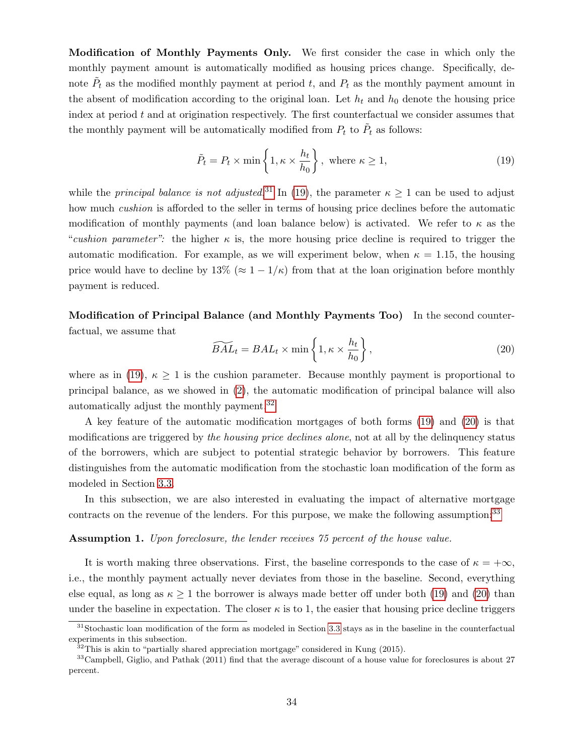Modification of Monthly Payments Only. We first consider the case in which only the monthly payment amount is automatically modified as housing prices change. Specifically, denote  $\tilde{P}_t$  as the modified monthly payment at period t, and  $P_t$  as the monthly payment amount in the absent of modification according to the original loan. Let  $h_t$  and  $h_0$  denote the housing price index at period  $t$  and at origination respectively. The first counterfactual we consider assumes that the monthly payment will be automatically modified from  $P_t$  to  $\tilde{P}_t$  as follows:

<span id="page-35-0"></span>
$$
\tilde{P}_t = P_t \times \min\left\{1, \kappa \times \frac{h_t}{h_0}\right\}, \text{ where } \kappa \ge 1,
$$
\n(19)

while the *principal balance is not adjusted.*<sup>[31](#page-1-0)</sup> In [\(19\)](#page-35-0), the parameter  $\kappa \ge 1$  can be used to adjust how much *cushion* is afforded to the seller in terms of housing price declines before the automatic modification of monthly payments (and loan balance below) is activated. We refer to  $\kappa$  as the "cushion parameter": the higher  $\kappa$  is, the more housing price decline is required to trigger the automatic modification. For example, as we will experiment below, when  $\kappa = 1.15$ , the housing price would have to decline by  $13\% (\approx 1 - 1/\kappa)$  from that at the loan origination before monthly payment is reduced.

Modification of Principal Balance (and Monthly Payments Too) In the second counterfactual, we assume that

<span id="page-35-1"></span>
$$
\widetilde{BAL}_t = BAL_t \times \min\left\{1, \kappa \times \frac{h_t}{h_0}\right\},\tag{20}
$$

where as in [\(19\)](#page-35-0),  $\kappa \geq 1$  is the cushion parameter. Because monthly payment is proportional to principal balance, as we showed in [\(2\)](#page-13-0), the automatic modification of principal balance will also automatically adjust the monthly payment.[32](#page-1-0)

A key feature of the automatic modification mortgages of both forms [\(19\)](#page-35-0) and [\(20\)](#page-35-1) is that modifications are triggered by the housing price declines alone, not at all by the delinquency status of the borrowers, which are subject to potential strategic behavior by borrowers. This feature distinguishes from the automatic modification from the stochastic loan modification of the form as modeled in Section [3.3.](#page-14-0)

In this subsection, we are also interested in evaluating the impact of alternative mortgage contracts on the revenue of the lenders. For this purpose, we make the following assumption:<sup>[33](#page-1-0)</sup>

#### <span id="page-35-2"></span>Assumption 1. Upon foreclosure, the lender receives 75 percent of the house value.

It is worth making three observations. First, the baseline corresponds to the case of  $\kappa = +\infty$ , i.e., the monthly payment actually never deviates from those in the baseline. Second, everything else equal, as long as  $\kappa \geq 1$  the borrower is always made better off under both [\(19\)](#page-35-0) and [\(20\)](#page-35-1) than under the baseline in expectation. The closer  $\kappa$  is to 1, the easier that housing price decline triggers

<sup>&</sup>lt;sup>31</sup>Stochastic loan modification of the form as modeled in Section [3.3](#page-14-0) stays as in the baseline in the counterfactual experiments in this subsection.

 $32$ This is akin to "partially shared appreciation mortgage" considered in Kung (2015).

 $33$ Campbell, Giglio, and Pathak (2011) find that the average discount of a house value for foreclosures is about 27 percent.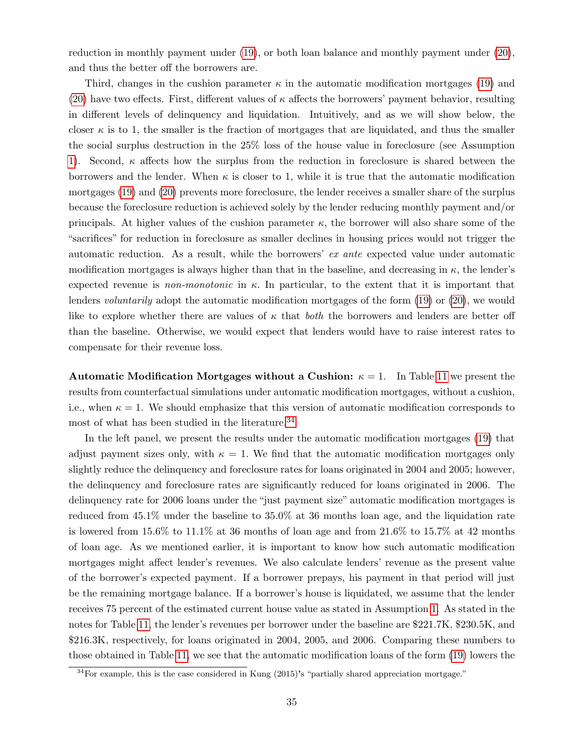reduction in monthly payment under [\(19\)](#page-35-0), or both loan balance and monthly payment under [\(20\)](#page-35-1), and thus the better off the borrowers are.

Third, changes in the cushion parameter  $\kappa$  in the automatic modification mortgages [\(19\)](#page-35-0) and [\(20\)](#page-35-1) have two effects. First, different values of  $\kappa$  affects the borrowers' payment behavior, resulting in different levels of delinquency and liquidation. Intuitively, and as we will show below, the closer  $\kappa$  is to 1, the smaller is the fraction of mortgages that are liquidated, and thus the smaller the social surplus destruction in the 25% loss of the house value in foreclosure (see Assumption [1\)](#page-35-2). Second,  $\kappa$  affects how the surplus from the reduction in foreclosure is shared between the borrowers and the lender. When  $\kappa$  is closer to 1, while it is true that the automatic modification mortgages [\(19\)](#page-35-0) and [\(20\)](#page-35-1) prevents more foreclosure, the lender receives a smaller share of the surplus because the foreclosure reduction is achieved solely by the lender reducing monthly payment and/or principals. At higher values of the cushion parameter  $\kappa$ , the borrower will also share some of the "sacrifices" for reduction in foreclosure as smaller declines in housing prices would not trigger the automatic reduction. As a result, while the borrowers' ex ante expected value under automatic modification mortgages is always higher than that in the baseline, and decreasing in  $\kappa$ , the lender's expected revenue is *non-monotonic* in  $\kappa$ . In particular, to the extent that it is important that lenders *voluntarily* adopt the automatic modification mortgages of the form [\(19\)](#page-35-0) or [\(20\)](#page-35-1), we would like to explore whether there are values of  $\kappa$  that *both* the borrowers and lenders are better off than the baseline. Otherwise, we would expect that lenders would have to raise interest rates to compensate for their revenue loss.

Automatic Modification Mortgages without a Cushion:  $\kappa = 1$ . In Table [11](#page-37-0) we present the results from counterfactual simulations under automatic modification mortgages, without a cushion, i.e., when  $\kappa = 1$ . We should emphasize that this version of automatic modification corresponds to most of what has been studied in the literature.<sup>[34](#page-1-0)</sup>

In the left panel, we present the results under the automatic modification mortgages [\(19\)](#page-35-0) that adjust payment sizes only, with  $\kappa = 1$ . We find that the automatic modification mortgages only slightly reduce the delinquency and foreclosure rates for loans originated in 2004 and 2005; however, the delinquency and foreclosure rates are significantly reduced for loans originated in 2006. The delinquency rate for 2006 loans under the "just payment size" automatic modification mortgages is reduced from 45.1% under the baseline to 35.0% at 36 months loan age, and the liquidation rate is lowered from  $15.6\%$  to  $11.1\%$  at 36 months of loan age and from  $21.6\%$  to  $15.7\%$  at 42 months of loan age. As we mentioned earlier, it is important to know how such automatic modification mortgages might affect lender's revenues. We also calculate lenders' revenue as the present value of the borrower's expected payment. If a borrower prepays, his payment in that period will just be the remaining mortgage balance. If a borrower's house is liquidated, we assume that the lender receives 75 percent of the estimated current house value as stated in Assumption [1.](#page-35-2) As stated in the notes for Table [11,](#page-37-0) the lender's revenues per borrower under the baseline are \$221.7K, \$230.5K, and \$216.3K, respectively, for loans originated in 2004, 2005, and 2006. Comparing these numbers to those obtained in Table [11,](#page-37-0) we see that the automatic modification loans of the form [\(19\)](#page-35-0) lowers the

<sup>34</sup>For example, this is the case considered in Kung (2015)'s "partially shared appreciation mortgage."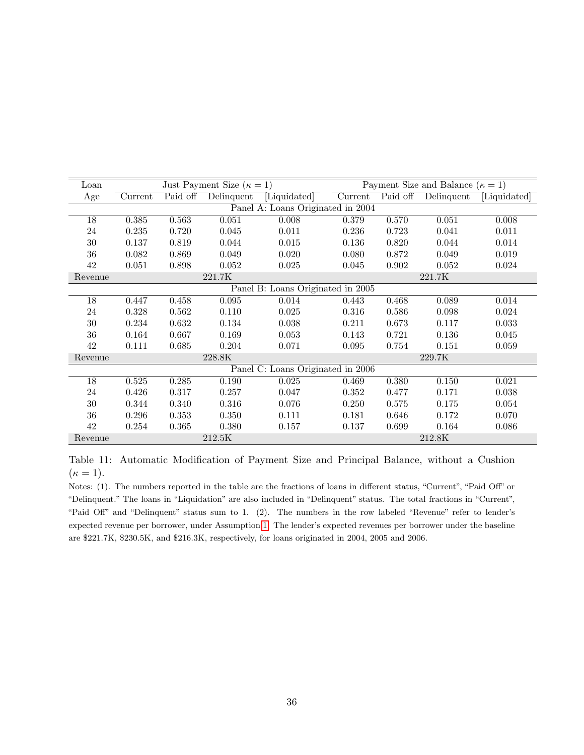<span id="page-37-0"></span>

| Loan                              |         |          | Just Payment Size ( $\kappa = 1$ ) |                                   |         |          | Payment Size and Balance ( $\kappa = 1$ ) |              |
|-----------------------------------|---------|----------|------------------------------------|-----------------------------------|---------|----------|-------------------------------------------|--------------|
| Age                               | Current | Paid off | Delinquent                         | [Liquidated]                      | Current | Paid off | Delinquent                                | [Liquidated] |
| Panel A: Loans Originated in 2004 |         |          |                                    |                                   |         |          |                                           |              |
| 18                                | 0.385   | 0.563    | 0.051                              | 0.008                             | 0.379   | 0.570    | 0.051                                     | 0.008        |
| 24                                | 0.235   | 0.720    | 0.045                              | 0.011                             | 0.236   | 0.723    | 0.041                                     | 0.011        |
| 30                                | 0.137   | 0.819    | 0.044                              | 0.015                             | 0.136   | 0.820    | 0.044                                     | 0.014        |
| 36                                | 0.082   | 0.869    | 0.049                              | 0.020                             | 0.080   | 0.872    | 0.049                                     | 0.019        |
| 42                                | 0.051   | 0.898    | 0.052                              | 0.025                             | 0.045   | 0.902    | 0.052                                     | 0.024        |
| Revenue                           |         |          | 221.7K                             |                                   |         |          | 221.7K                                    |              |
|                                   |         |          |                                    | Panel B: Loans Originated in 2005 |         |          |                                           |              |
| 18                                | 0.447   | 0.458    | 0.095                              | 0.014                             | 0.443   | 0.468    | 0.089                                     | 0.014        |
| 24                                | 0.328   | 0.562    | 0.110                              | 0.025                             | 0.316   | 0.586    | 0.098                                     | 0.024        |
| 30                                | 0.234   | 0.632    | 0.134                              | 0.038                             | 0.211   | 0.673    | 0.117                                     | 0.033        |
| 36                                | 0.164   | 0.667    | 0.169                              | 0.053                             | 0.143   | 0.721    | 0.136                                     | 0.045        |
| 42                                | 0.111   | 0.685    | 0.204                              | 0.071                             | 0.095   | 0.754    | 0.151                                     | 0.059        |
| Revenue                           |         |          | 228.8K                             |                                   |         |          | 229.7K                                    |              |
|                                   |         |          |                                    | Panel C: Loans Originated in 2006 |         |          |                                           |              |
| 18                                | 0.525   | 0.285    | 0.190                              | 0.025                             | 0.469   | 0.380    | 0.150                                     | 0.021        |
| 24                                | 0.426   | 0.317    | 0.257                              | 0.047                             | 0.352   | 0.477    | 0.171                                     | 0.038        |
| 30                                | 0.344   | 0.340    | 0.316                              | 0.076                             | 0.250   | 0.575    | 0.175                                     | 0.054        |
| 36                                | 0.296   | 0.353    | 0.350                              | 0.111                             | 0.181   | 0.646    | 0.172                                     | 0.070        |
| 42                                | 0.254   | 0.365    | 0.380                              | 0.157                             | 0.137   | 0.699    | 0.164                                     | 0.086        |
| Revenue                           |         |          | 212.5K                             |                                   |         |          | 212.8K                                    |              |

Table 11: Automatic Modification of Payment Size and Principal Balance, without a Cushion  $(\kappa = 1).$ 

Notes: (1). The numbers reported in the table are the fractions of loans in different status, "Current", "Paid Off" or "Delinquent." The loans in "Liquidation" are also included in "Delinquent" status. The total fractions in "Current", "Paid Off" and "Delinquent" status sum to 1. (2). The numbers in the row labeled "Revenue" refer to lender's expected revenue per borrower, under Assumption [1.](#page-35-2) The lender's expected revenues per borrower under the baseline are \$221.7K, \$230.5K, and \$216.3K, respectively, for loans originated in 2004, 2005 and 2006.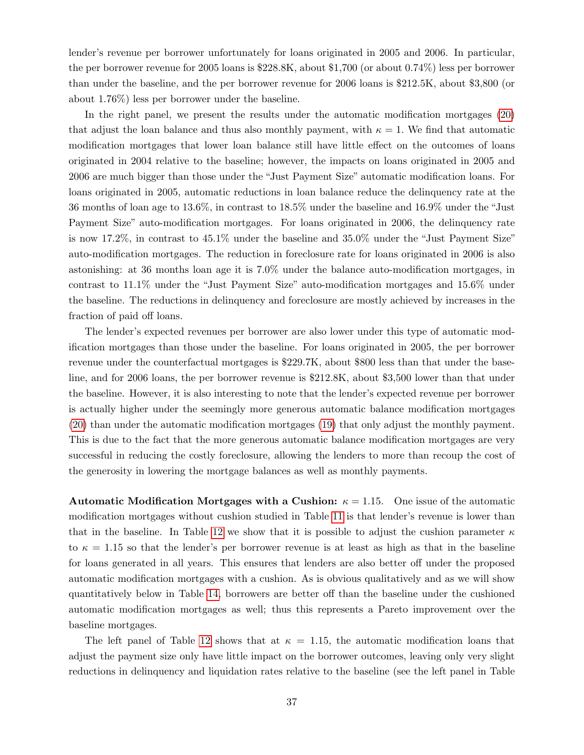lender's revenue per borrower unfortunately for loans originated in 2005 and 2006. In particular, the per borrower revenue for 2005 loans is \$228.8K, about \$1,700 (or about 0.74%) less per borrower than under the baseline, and the per borrower revenue for 2006 loans is \$212.5K, about \$3,800 (or about 1.76%) less per borrower under the baseline.

In the right panel, we present the results under the automatic modification mortgages [\(20\)](#page-35-1) that adjust the loan balance and thus also monthly payment, with  $\kappa = 1$ . We find that automatic modification mortgages that lower loan balance still have little effect on the outcomes of loans originated in 2004 relative to the baseline; however, the impacts on loans originated in 2005 and 2006 are much bigger than those under the "Just Payment Size" automatic modification loans. For loans originated in 2005, automatic reductions in loan balance reduce the delinquency rate at the 36 months of loan age to 13.6%, in contrast to 18.5% under the baseline and 16.9% under the "Just Payment Size" auto-modification mortgages. For loans originated in 2006, the delinquency rate is now 17.2%, in contrast to 45.1% under the baseline and 35.0% under the "Just Payment Size" auto-modification mortgages. The reduction in foreclosure rate for loans originated in 2006 is also astonishing: at 36 months loan age it is 7.0% under the balance auto-modification mortgages, in contrast to 11.1% under the "Just Payment Size" auto-modification mortgages and 15.6% under the baseline. The reductions in delinquency and foreclosure are mostly achieved by increases in the fraction of paid off loans.

The lender's expected revenues per borrower are also lower under this type of automatic modification mortgages than those under the baseline. For loans originated in 2005, the per borrower revenue under the counterfactual mortgages is \$229.7K, about \$800 less than that under the baseline, and for 2006 loans, the per borrower revenue is \$212.8K, about \$3,500 lower than that under the baseline. However, it is also interesting to note that the lender's expected revenue per borrower is actually higher under the seemingly more generous automatic balance modification mortgages [\(20\)](#page-35-1) than under the automatic modification mortgages [\(19\)](#page-35-0) that only adjust the monthly payment. This is due to the fact that the more generous automatic balance modification mortgages are very successful in reducing the costly foreclosure, allowing the lenders to more than recoup the cost of the generosity in lowering the mortgage balances as well as monthly payments.

Automatic Modification Mortgages with a Cushion:  $\kappa = 1.15$ . One issue of the automatic modification mortgages without cushion studied in Table [11](#page-37-0) is that lender's revenue is lower than that in the baseline. In Table [12](#page-39-0) we show that it is possible to adjust the cushion parameter  $\kappa$ to  $\kappa = 1.15$  so that the lender's per borrower revenue is at least as high as that in the baseline for loans generated in all years. This ensures that lenders are also better off under the proposed automatic modification mortgages with a cushion. As is obvious qualitatively and as we will show quantitatively below in Table [14,](#page-43-1) borrowers are better off than the baseline under the cushioned automatic modification mortgages as well; thus this represents a Pareto improvement over the baseline mortgages.

The left panel of Table [12](#page-39-0) shows that at  $\kappa = 1.15$ , the automatic modification loans that adjust the payment size only have little impact on the borrower outcomes, leaving only very slight reductions in delinquency and liquidation rates relative to the baseline (see the left panel in Table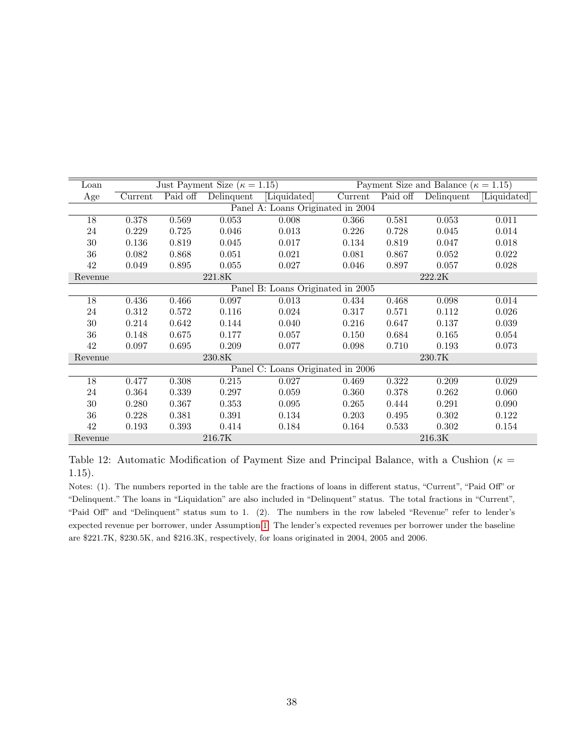<span id="page-39-0"></span>

| Loan    |                                   |          | Just Payment Size ( $\kappa = 1.15$ ) |                                   |         |          | Payment Size and Balance ( $\kappa = 1.15$ ) |              |  |
|---------|-----------------------------------|----------|---------------------------------------|-----------------------------------|---------|----------|----------------------------------------------|--------------|--|
| Age     | Current                           | Paid off | Delinquent                            | Liquidated                        | Current | Paid off | Delinquent                                   | [Liquidated] |  |
|         | Panel A: Loans Originated in 2004 |          |                                       |                                   |         |          |                                              |              |  |
| 18      | 0.378                             | 0.569    | 0.053                                 | 0.008                             | 0.366   | 0.581    | 0.053                                        | 0.011        |  |
| 24      | 0.229                             | 0.725    | 0.046                                 | 0.013                             | 0.226   | 0.728    | 0.045                                        | 0.014        |  |
| 30      | 0.136                             | 0.819    | 0.045                                 | 0.017                             | 0.134   | 0.819    | 0.047                                        | 0.018        |  |
| 36      | 0.082                             | 0.868    | 0.051                                 | 0.021                             | 0.081   | 0.867    | 0.052                                        | 0.022        |  |
| 42      | 0.049                             | 0.895    | 0.055                                 | 0.027                             | 0.046   | 0.897    | 0.057                                        | 0.028        |  |
| Revenue |                                   |          | 221.8K                                |                                   |         |          | 222.2K                                       |              |  |
|         |                                   |          |                                       | Panel B: Loans Originated in 2005 |         |          |                                              |              |  |
| 18      | 0.436                             | 0.466    | 0.097                                 | 0.013                             | 0.434   | 0.468    | 0.098                                        | 0.014        |  |
| 24      | 0.312                             | 0.572    | 0.116                                 | 0.024                             | 0.317   | 0.571    | 0.112                                        | 0.026        |  |
| $30\,$  | 0.214                             | 0.642    | 0.144                                 | 0.040                             | 0.216   | 0.647    | 0.137                                        | 0.039        |  |
| 36      | 0.148                             | 0.675    | 0.177                                 | 0.057                             | 0.150   | 0.684    | 0.165                                        | 0.054        |  |
| 42      | 0.097                             | 0.695    | 0.209                                 | 0.077                             | 0.098   | 0.710    | 0.193                                        | 0.073        |  |
| Revenue |                                   |          | 230.8K                                |                                   |         |          | 230.7K                                       |              |  |
|         |                                   |          |                                       | Panel C: Loans Originated in 2006 |         |          |                                              |              |  |
| 18      | 0.477                             | 0.308    | 0.215                                 | 0.027                             | 0.469   | 0.322    | 0.209                                        | 0.029        |  |
| 24      | 0.364                             | 0.339    | 0.297                                 | 0.059                             | 0.360   | 0.378    | 0.262                                        | 0.060        |  |
| 30      | 0.280                             | 0.367    | 0.353                                 | 0.095                             | 0.265   | 0.444    | 0.291                                        | 0.090        |  |
| 36      | 0.228                             | 0.381    | 0.391                                 | 0.134                             | 0.203   | 0.495    | 0.302                                        | 0.122        |  |
| 42      | 0.193                             | 0.393    | 0.414                                 | 0.184                             | 0.164   | 0.533    | 0.302                                        | 0.154        |  |
| Revenue |                                   |          | 216.7K                                |                                   |         |          | 216.3K                                       |              |  |

Table 12: Automatic Modification of Payment Size and Principal Balance, with a Cushion ( $\kappa =$ 1.15).

Notes: (1). The numbers reported in the table are the fractions of loans in different status, "Current", "Paid Off" or "Delinquent." The loans in "Liquidation" are also included in "Delinquent" status. The total fractions in "Current", "Paid Off" and "Delinquent" status sum to 1. (2). The numbers in the row labeled "Revenue" refer to lender's expected revenue per borrower, under Assumption [1.](#page-35-2) The lender's expected revenues per borrower under the baseline are \$221.7K, \$230.5K, and \$216.3K, respectively, for loans originated in 2004, 2005 and 2006.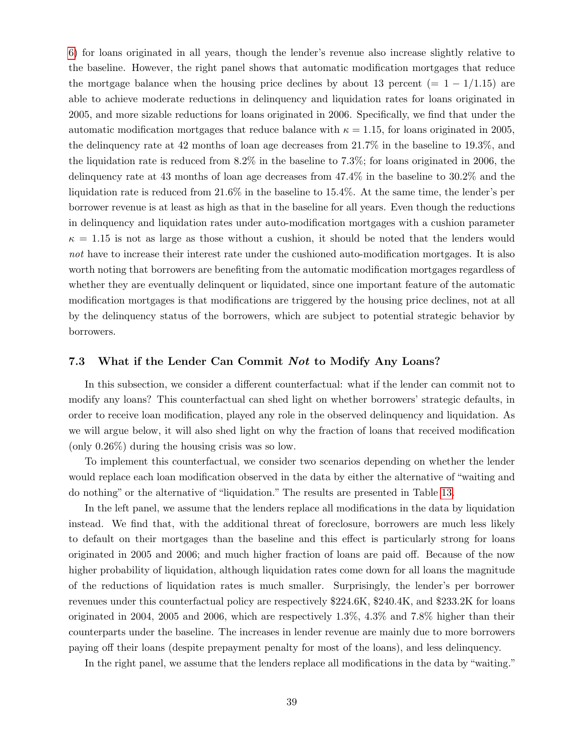[6\)](#page-29-0) for loans originated in all years, though the lender's revenue also increase slightly relative to the baseline. However, the right panel shows that automatic modification mortgages that reduce the mortgage balance when the housing price declines by about 13 percent (=  $1 - 1/1.15$ ) are able to achieve moderate reductions in delinquency and liquidation rates for loans originated in 2005, and more sizable reductions for loans originated in 2006. Specifically, we find that under the automatic modification mortgages that reduce balance with  $\kappa = 1.15$ , for loans originated in 2005, the delinquency rate at 42 months of loan age decreases from 21.7% in the baseline to 19.3%, and the liquidation rate is reduced from 8.2% in the baseline to 7.3%; for loans originated in 2006, the delinquency rate at 43 months of loan age decreases from 47.4% in the baseline to 30.2% and the liquidation rate is reduced from 21.6% in the baseline to 15.4%. At the same time, the lender's per borrower revenue is at least as high as that in the baseline for all years. Even though the reductions in delinquency and liquidation rates under auto-modification mortgages with a cushion parameter  $\kappa = 1.15$  is not as large as those without a cushion, it should be noted that the lenders would not have to increase their interest rate under the cushioned auto-modification mortgages. It is also worth noting that borrowers are benefiting from the automatic modification mortgages regardless of whether they are eventually delinquent or liquidated, since one important feature of the automatic modification mortgages is that modifications are triggered by the housing price declines, not at all by the delinquency status of the borrowers, which are subject to potential strategic behavior by borrowers.

#### 7.3 What if the Lender Can Commit Not to Modify Any Loans?

In this subsection, we consider a different counterfactual: what if the lender can commit not to modify any loans? This counterfactual can shed light on whether borrowers' strategic defaults, in order to receive loan modification, played any role in the observed delinquency and liquidation. As we will argue below, it will also shed light on why the fraction of loans that received modification (only 0.26%) during the housing crisis was so low.

To implement this counterfactual, we consider two scenarios depending on whether the lender would replace each loan modification observed in the data by either the alternative of "waiting and do nothing" or the alternative of "liquidation." The results are presented in Table [13.](#page-41-0)

In the left panel, we assume that the lenders replace all modifications in the data by liquidation instead. We find that, with the additional threat of foreclosure, borrowers are much less likely to default on their mortgages than the baseline and this effect is particularly strong for loans originated in 2005 and 2006; and much higher fraction of loans are paid off. Because of the now higher probability of liquidation, although liquidation rates come down for all loans the magnitude of the reductions of liquidation rates is much smaller. Surprisingly, the lender's per borrower revenues under this counterfactual policy are respectively \$224.6K, \$240.4K, and \$233.2K for loans originated in 2004, 2005 and 2006, which are respectively 1.3%, 4.3% and 7.8% higher than their counterparts under the baseline. The increases in lender revenue are mainly due to more borrowers paying off their loans (despite prepayment penalty for most of the loans), and less delinquency.

In the right panel, we assume that the lenders replace all modifications in the data by "waiting."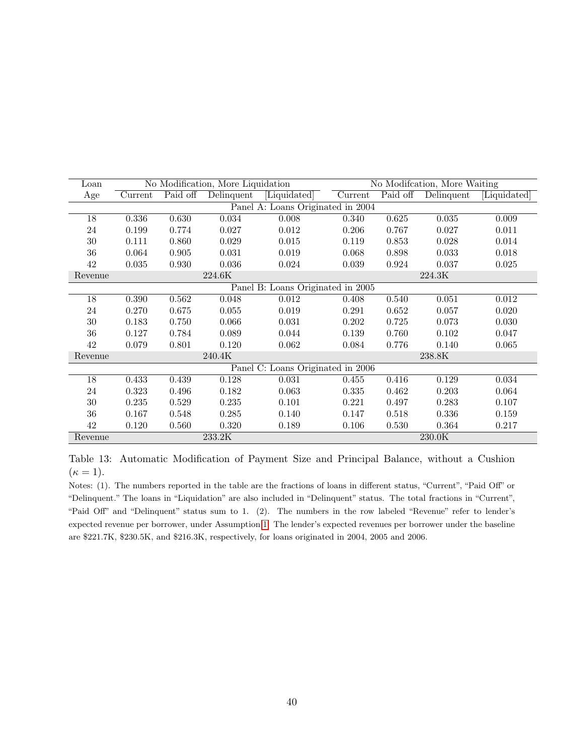<span id="page-41-0"></span>

| Loan    |                                   |          | No Modification, More Liquidation |                                   |         |          | No Modification, More Waiting |              |
|---------|-----------------------------------|----------|-----------------------------------|-----------------------------------|---------|----------|-------------------------------|--------------|
| Age     | Current                           | Paid off | Delinquent                        | [Liquidated]                      | Current | Paid off | Delinquent                    | [Liquidated] |
|         | Panel A: Loans Originated in 2004 |          |                                   |                                   |         |          |                               |              |
| 18      | 0.336                             | 0.630    | 0.034                             | 0.008                             | 0.340   | 0.625    | 0.035                         | 0.009        |
| 24      | 0.199                             | 0.774    | 0.027                             | 0.012                             | 0.206   | 0.767    | 0.027                         | 0.011        |
| 30      | 0.111                             | 0.860    | 0.029                             | 0.015                             | 0.119   | 0.853    | 0.028                         | 0.014        |
| 36      | 0.064                             | 0.905    | 0.031                             | 0.019                             | 0.068   | 0.898    | 0.033                         | 0.018        |
| 42      | 0.035                             | 0.930    | 0.036                             | 0.024                             | 0.039   | 0.924    | 0.037                         | 0.025        |
| Revenue |                                   |          | 224.6K                            |                                   |         |          | 224.3K                        |              |
|         |                                   |          |                                   | Panel B: Loans Originated in 2005 |         |          |                               |              |
| 18      | 0.390                             | 0.562    | 0.048                             | 0.012                             | 0.408   | 0.540    | 0.051                         | 0.012        |
| 24      | 0.270                             | 0.675    | 0.055                             | 0.019                             | 0.291   | 0.652    | 0.057                         | 0.020        |
| $30\,$  | 0.183                             | 0.750    | 0.066                             | 0.031                             | 0.202   | 0.725    | 0.073                         | 0.030        |
| 36      | 0.127                             | 0.784    | 0.089                             | 0.044                             | 0.139   | 0.760    | 0.102                         | 0.047        |
| 42      | 0.079                             | 0.801    | 0.120                             | 0.062                             | 0.084   | 0.776    | 0.140                         | 0.065        |
| Revenue |                                   |          | 240.4K                            |                                   |         |          | 238.8K                        |              |
|         |                                   |          |                                   | Panel C: Loans Originated in 2006 |         |          |                               |              |
| 18      | 0.433                             | 0.439    | 0.128                             | 0.031                             | 0.455   | 0.416    | 0.129                         | 0.034        |
| 24      | 0.323                             | 0.496    | 0.182                             | 0.063                             | 0.335   | 0.462    | 0.203                         | 0.064        |
| $30\,$  | 0.235                             | 0.529    | 0.235                             | 0.101                             | 0.221   | 0.497    | 0.283                         | 0.107        |
| 36      | 0.167                             | 0.548    | 0.285                             | 0.140                             | 0.147   | 0.518    | 0.336                         | 0.159        |
| 42      | 0.120                             | 0.560    | 0.320                             | 0.189                             | 0.106   | 0.530    | 0.364                         | 0.217        |
| Revenue |                                   |          | $233.2\mathrm{K}$                 |                                   |         |          | $230.0\mathrm{K}$             |              |

Table 13: Automatic Modification of Payment Size and Principal Balance, without a Cushion  $(\kappa = 1).$ 

Notes: (1). The numbers reported in the table are the fractions of loans in different status, "Current", "Paid Off" or "Delinquent." The loans in "Liquidation" are also included in "Delinquent" status. The total fractions in "Current", "Paid Off" and "Delinquent" status sum to 1. (2). The numbers in the row labeled "Revenue" refer to lender's expected revenue per borrower, under Assumption [1.](#page-35-2) The lender's expected revenues per borrower under the baseline are \$221.7K, \$230.5K, and \$216.3K, respectively, for loans originated in 2004, 2005 and 2006.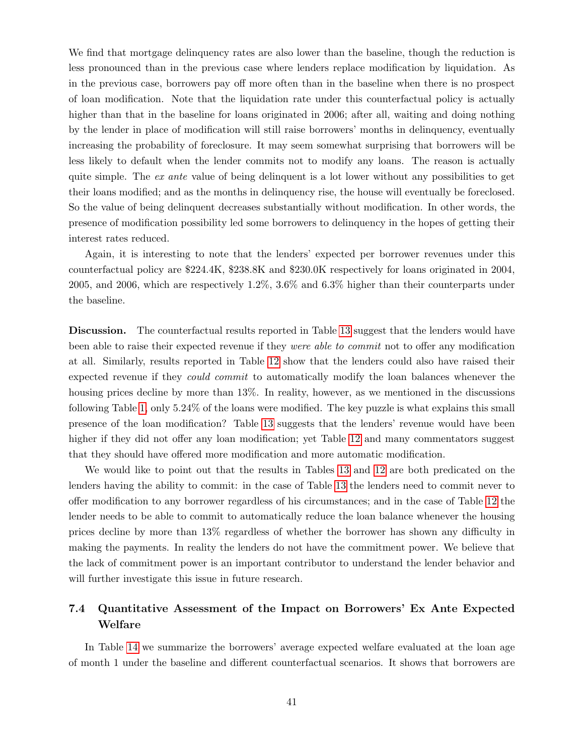We find that mortgage delinquency rates are also lower than the baseline, though the reduction is less pronounced than in the previous case where lenders replace modification by liquidation. As in the previous case, borrowers pay off more often than in the baseline when there is no prospect of loan modification. Note that the liquidation rate under this counterfactual policy is actually higher than that in the baseline for loans originated in 2006; after all, waiting and doing nothing by the lender in place of modification will still raise borrowers' months in delinquency, eventually increasing the probability of foreclosure. It may seem somewhat surprising that borrowers will be less likely to default when the lender commits not to modify any loans. The reason is actually quite simple. The ex ante value of being delinquent is a lot lower without any possibilities to get their loans modified; and as the months in delinquency rise, the house will eventually be foreclosed. So the value of being delinquent decreases substantially without modification. In other words, the presence of modification possibility led some borrowers to delinquency in the hopes of getting their interest rates reduced.

Again, it is interesting to note that the lenders' expected per borrower revenues under this counterfactual policy are \$224.4K, \$238.8K and \$230.0K respectively for loans originated in 2004, 2005, and 2006, which are respectively 1.2%, 3.6% and 6.3% higher than their counterparts under the baseline.

Discussion. The counterfactual results reported in Table [13](#page-41-0) suggest that the lenders would have been able to raise their expected revenue if they *were able to commit* not to offer any modification at all. Similarly, results reported in Table [12](#page-39-0) show that the lenders could also have raised their expected revenue if they *could commit* to automatically modify the loan balances whenever the housing prices decline by more than 13%. In reality, however, as we mentioned in the discussions following Table [1,](#page-7-0) only 5.24% of the loans were modified. The key puzzle is what explains this small presence of the loan modification? Table [13](#page-41-0) suggests that the lenders' revenue would have been higher if they did not offer any loan modification; yet Table [12](#page-39-0) and many commentators suggest that they should have offered more modification and more automatic modification.

We would like to point out that the results in Tables [13](#page-41-0) and [12](#page-39-0) are both predicated on the lenders having the ability to commit: in the case of Table [13](#page-41-0) the lenders need to commit never to offer modification to any borrower regardless of his circumstances; and in the case of Table [12](#page-39-0) the lender needs to be able to commit to automatically reduce the loan balance whenever the housing prices decline by more than 13% regardless of whether the borrower has shown any difficulty in making the payments. In reality the lenders do not have the commitment power. We believe that the lack of commitment power is an important contributor to understand the lender behavior and will further investigate this issue in future research.

# 7.4 Quantitative Assessment of the Impact on Borrowers' Ex Ante Expected Welfare

In Table [14](#page-43-1) we summarize the borrowers' average expected welfare evaluated at the loan age of month 1 under the baseline and different counterfactual scenarios. It shows that borrowers are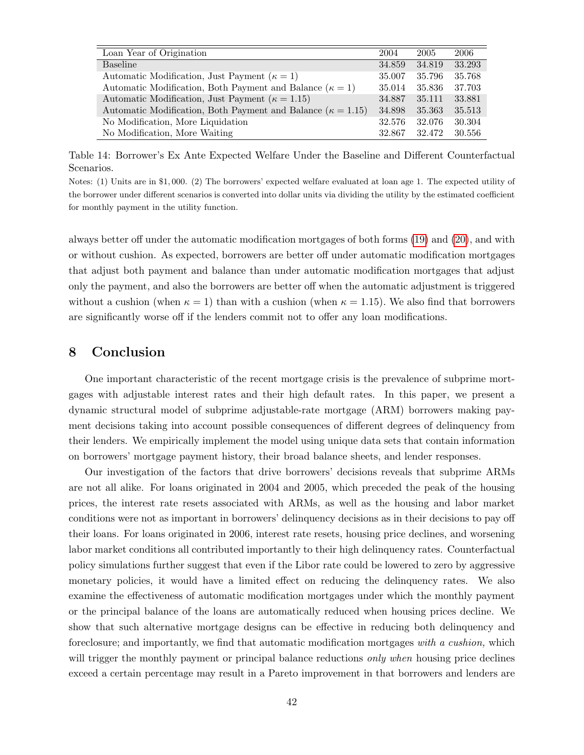<span id="page-43-1"></span>

| Loan Year of Origination                                             | 2004   | 2005   | 2006   |
|----------------------------------------------------------------------|--------|--------|--------|
| <b>Baseline</b>                                                      | 34.859 | 34.819 | 33.293 |
| Automatic Modification, Just Payment ( $\kappa = 1$ )                | 35.007 | 35.796 | 35.768 |
| Automatic Modification, Both Payment and Balance ( $\kappa = 1$ )    | 35.014 | 35.836 | 37.703 |
| Automatic Modification, Just Payment ( $\kappa = 1.15$ )             | 34.887 | 35.111 | 33.881 |
| Automatic Modification, Both Payment and Balance ( $\kappa = 1.15$ ) | 34.898 | 35.363 | 35.513 |
| No Modification, More Liquidation                                    | 32.576 | 32.076 | 30.304 |
| No Modification, More Waiting                                        | 32.867 | 32.472 | 30.556 |

Table 14: Borrower's Ex Ante Expected Welfare Under the Baseline and Different Counterfactual Scenarios.

Notes: (1) Units are in \$1, 000. (2) The borrowers' expected welfare evaluated at loan age 1. The expected utility of the borrower under different scenarios is converted into dollar units via dividing the utility by the estimated coefficient for monthly payment in the utility function.

always better off under the automatic modification mortgages of both forms [\(19\)](#page-35-0) and [\(20\)](#page-35-1), and with or without cushion. As expected, borrowers are better off under automatic modification mortgages that adjust both payment and balance than under automatic modification mortgages that adjust only the payment, and also the borrowers are better off when the automatic adjustment is triggered without a cushion (when  $\kappa = 1$ ) than with a cushion (when  $\kappa = 1.15$ ). We also find that borrowers are significantly worse off if the lenders commit not to offer any loan modifications.

# <span id="page-43-0"></span>8 Conclusion

One important characteristic of the recent mortgage crisis is the prevalence of subprime mortgages with adjustable interest rates and their high default rates. In this paper, we present a dynamic structural model of subprime adjustable-rate mortgage (ARM) borrowers making payment decisions taking into account possible consequences of different degrees of delinquency from their lenders. We empirically implement the model using unique data sets that contain information on borrowers' mortgage payment history, their broad balance sheets, and lender responses.

Our investigation of the factors that drive borrowers' decisions reveals that subprime ARMs are not all alike. For loans originated in 2004 and 2005, which preceded the peak of the housing prices, the interest rate resets associated with ARMs, as well as the housing and labor market conditions were not as important in borrowers' delinquency decisions as in their decisions to pay off their loans. For loans originated in 2006, interest rate resets, housing price declines, and worsening labor market conditions all contributed importantly to their high delinquency rates. Counterfactual policy simulations further suggest that even if the Libor rate could be lowered to zero by aggressive monetary policies, it would have a limited effect on reducing the delinquency rates. We also examine the effectiveness of automatic modification mortgages under which the monthly payment or the principal balance of the loans are automatically reduced when housing prices decline. We show that such alternative mortgage designs can be effective in reducing both delinquency and foreclosure; and importantly, we find that automatic modification mortgages with a cushion, which will trigger the monthly payment or principal balance reductions *only when* housing price declines exceed a certain percentage may result in a Pareto improvement in that borrowers and lenders are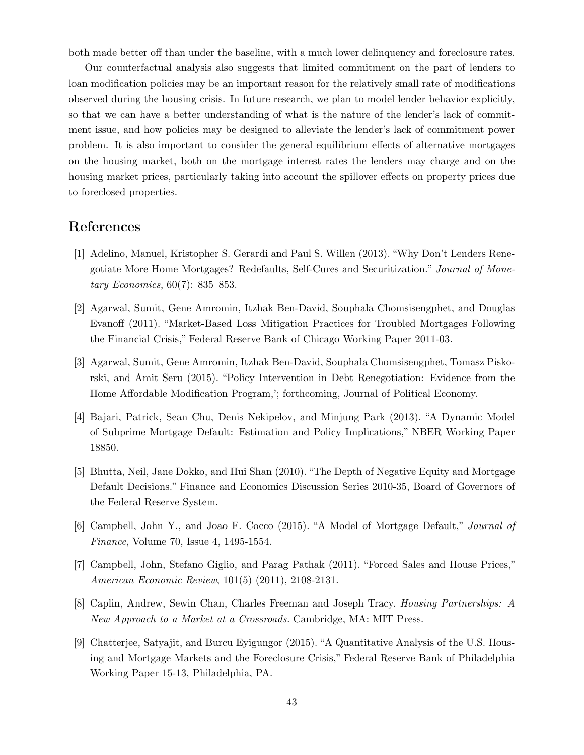both made better off than under the baseline, with a much lower delinquency and foreclosure rates.

Our counterfactual analysis also suggests that limited commitment on the part of lenders to loan modification policies may be an important reason for the relatively small rate of modifications observed during the housing crisis. In future research, we plan to model lender behavior explicitly, so that we can have a better understanding of what is the nature of the lender's lack of commitment issue, and how policies may be designed to alleviate the lender's lack of commitment power problem. It is also important to consider the general equilibrium effects of alternative mortgages on the housing market, both on the mortgage interest rates the lenders may charge and on the housing market prices, particularly taking into account the spillover effects on property prices due to foreclosed properties.

# References

- [1] Adelino, Manuel, Kristopher S. Gerardi and Paul S. Willen (2013). "Why Don't Lenders Renegotiate More Home Mortgages? Redefaults, Self-Cures and Securitization." Journal of Monetary Economics, 60(7): 835–853.
- [2] Agarwal, Sumit, Gene Amromin, Itzhak Ben-David, Souphala Chomsisengphet, and Douglas Evanoff (2011). "Market-Based Loss Mitigation Practices for Troubled Mortgages Following the Financial Crisis," Federal Reserve Bank of Chicago Working Paper 2011-03.
- [3] Agarwal, Sumit, Gene Amromin, Itzhak Ben-David, Souphala Chomsisengphet, Tomasz Piskorski, and Amit Seru (2015). "Policy Intervention in Debt Renegotiation: Evidence from the Home Affordable Modification Program,'; forthcoming, Journal of Political Economy.
- [4] Bajari, Patrick, Sean Chu, Denis Nekipelov, and Minjung Park (2013). "A Dynamic Model of Subprime Mortgage Default: Estimation and Policy Implications," NBER Working Paper 18850.
- [5] Bhutta, Neil, Jane Dokko, and Hui Shan (2010). "The Depth of Negative Equity and Mortgage Default Decisions." Finance and Economics Discussion Series 2010-35, Board of Governors of the Federal Reserve System.
- [6] Campbell, John Y., and Joao F. Cocco (2015). "A Model of Mortgage Default," Journal of Finance, Volume 70, Issue 4, 1495-1554.
- [7] Campbell, John, Stefano Giglio, and Parag Pathak (2011). "Forced Sales and House Prices," American Economic Review, 101(5) (2011), 2108-2131.
- [8] Caplin, Andrew, Sewin Chan, Charles Freeman and Joseph Tracy. Housing Partnerships: A New Approach to a Market at a Crossroads. Cambridge, MA: MIT Press.
- [9] Chatterjee, Satyajit, and Burcu Eyigungor (2015). "A Quantitative Analysis of the U.S. Housing and Mortgage Markets and the Foreclosure Crisis," Federal Reserve Bank of Philadelphia Working Paper 15-13, Philadelphia, PA.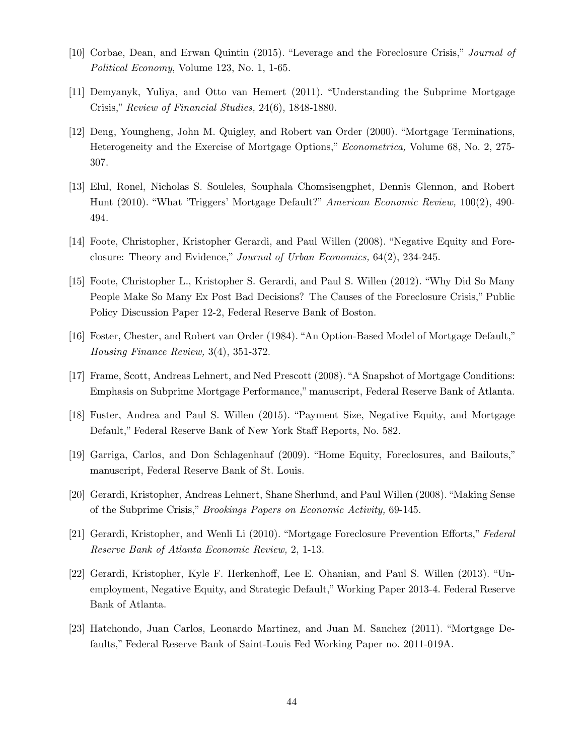- [10] Corbae, Dean, and Erwan Quintin (2015). "Leverage and the Foreclosure Crisis," Journal of Political Economy, Volume 123, No. 1, 1-65.
- [11] Demyanyk, Yuliya, and Otto van Hemert (2011). "Understanding the Subprime Mortgage Crisis," Review of Financial Studies, 24(6), 1848-1880.
- [12] Deng, Youngheng, John M. Quigley, and Robert van Order (2000). "Mortgage Terminations, Heterogeneity and the Exercise of Mortgage Options," Econometrica, Volume 68, No. 2, 275- 307.
- [13] Elul, Ronel, Nicholas S. Souleles, Souphala Chomsisengphet, Dennis Glennon, and Robert Hunt (2010). "What 'Triggers' Mortgage Default?" American Economic Review, 100(2), 490- 494.
- [14] Foote, Christopher, Kristopher Gerardi, and Paul Willen (2008). "Negative Equity and Foreclosure: Theory and Evidence," Journal of Urban Economics, 64(2), 234-245.
- [15] Foote, Christopher L., Kristopher S. Gerardi, and Paul S. Willen (2012). "Why Did So Many People Make So Many Ex Post Bad Decisions? The Causes of the Foreclosure Crisis," Public Policy Discussion Paper 12-2, Federal Reserve Bank of Boston.
- [16] Foster, Chester, and Robert van Order (1984). "An Option-Based Model of Mortgage Default," Housing Finance Review, 3(4), 351-372.
- [17] Frame, Scott, Andreas Lehnert, and Ned Prescott (2008). "A Snapshot of Mortgage Conditions: Emphasis on Subprime Mortgage Performance," manuscript, Federal Reserve Bank of Atlanta.
- [18] Fuster, Andrea and Paul S. Willen (2015). "Payment Size, Negative Equity, and Mortgage Default," Federal Reserve Bank of New York Staff Reports, No. 582.
- [19] Garriga, Carlos, and Don Schlagenhauf (2009). "Home Equity, Foreclosures, and Bailouts," manuscript, Federal Reserve Bank of St. Louis.
- [20] Gerardi, Kristopher, Andreas Lehnert, Shane Sherlund, and Paul Willen (2008). "Making Sense of the Subprime Crisis," Brookings Papers on Economic Activity, 69-145.
- [21] Gerardi, Kristopher, and Wenli Li (2010). "Mortgage Foreclosure Prevention Efforts," Federal Reserve Bank of Atlanta Economic Review, 2, 1-13.
- [22] Gerardi, Kristopher, Kyle F. Herkenhoff, Lee E. Ohanian, and Paul S. Willen (2013). "Unemployment, Negative Equity, and Strategic Default," Working Paper 2013-4. Federal Reserve Bank of Atlanta.
- [23] Hatchondo, Juan Carlos, Leonardo Martinez, and Juan M. Sanchez (2011). "Mortgage Defaults," Federal Reserve Bank of Saint-Louis Fed Working Paper no. 2011-019A.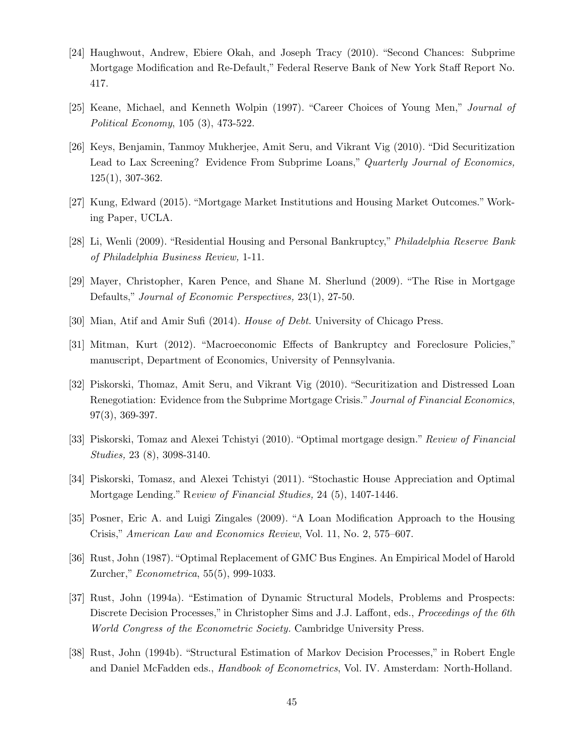- [24] Haughwout, Andrew, Ebiere Okah, and Joseph Tracy (2010). "Second Chances: Subprime Mortgage Modification and Re-Default," Federal Reserve Bank of New York Staff Report No. 417.
- [25] Keane, Michael, and Kenneth Wolpin (1997). "Career Choices of Young Men," Journal of Political Economy, 105 (3), 473-522.
- [26] Keys, Benjamin, Tanmoy Mukherjee, Amit Seru, and Vikrant Vig (2010). "Did Securitization Lead to Lax Screening? Evidence From Subprime Loans," Quarterly Journal of Economics, 125(1), 307-362.
- [27] Kung, Edward (2015). "Mortgage Market Institutions and Housing Market Outcomes." Working Paper, UCLA.
- [28] Li, Wenli (2009). "Residential Housing and Personal Bankruptcy," Philadelphia Reserve Bank of Philadelphia Business Review, 1-11.
- [29] Mayer, Christopher, Karen Pence, and Shane M. Sherlund (2009). "The Rise in Mortgage Defaults," Journal of Economic Perspectives, 23(1), 27-50.
- [30] Mian, Atif and Amir Sufi (2014). House of Debt. University of Chicago Press.
- [31] Mitman, Kurt (2012). "Macroeconomic Effects of Bankruptcy and Foreclosure Policies," manuscript, Department of Economics, University of Pennsylvania.
- [32] Piskorski, Thomaz, Amit Seru, and Vikrant Vig (2010). "Securitization and Distressed Loan Renegotiation: Evidence from the Subprime Mortgage Crisis." Journal of Financial Economics, 97(3), 369-397.
- [33] Piskorski, Tomaz and Alexei Tchistyi (2010). "Optimal mortgage design." Review of Financial Studies, 23 (8), 3098-3140.
- [34] Piskorski, Tomasz, and Alexei Tchistyi (2011). "Stochastic House Appreciation and Optimal Mortgage Lending." Review of Financial Studies, 24 (5), 1407-1446.
- [35] Posner, Eric A. and Luigi Zingales (2009). "A Loan Modification Approach to the Housing Crisis," American Law and Economics Review, Vol. 11, No. 2, 575–607.
- [36] Rust, John (1987). "Optimal Replacement of GMC Bus Engines. An Empirical Model of Harold Zurcher," Econometrica, 55(5), 999-1033.
- [37] Rust, John (1994a). "Estimation of Dynamic Structural Models, Problems and Prospects: Discrete Decision Processes," in Christopher Sims and J.J. Laffont, eds., Proceedings of the 6th World Congress of the Econometric Society. Cambridge University Press.
- [38] Rust, John (1994b). "Structural Estimation of Markov Decision Processes," in Robert Engle and Daniel McFadden eds., Handbook of Econometrics, Vol. IV. Amsterdam: North-Holland.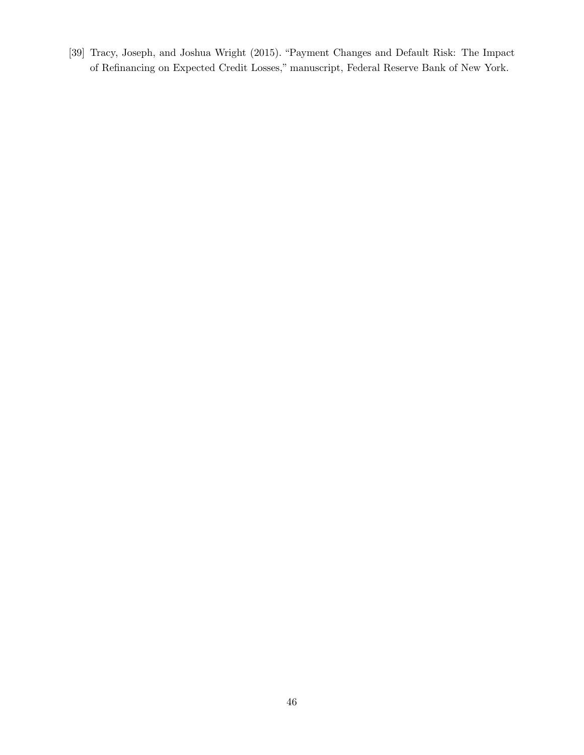[39] Tracy, Joseph, and Joshua Wright (2015). "Payment Changes and Default Risk: The Impact of Refinancing on Expected Credit Losses," manuscript, Federal Reserve Bank of New York.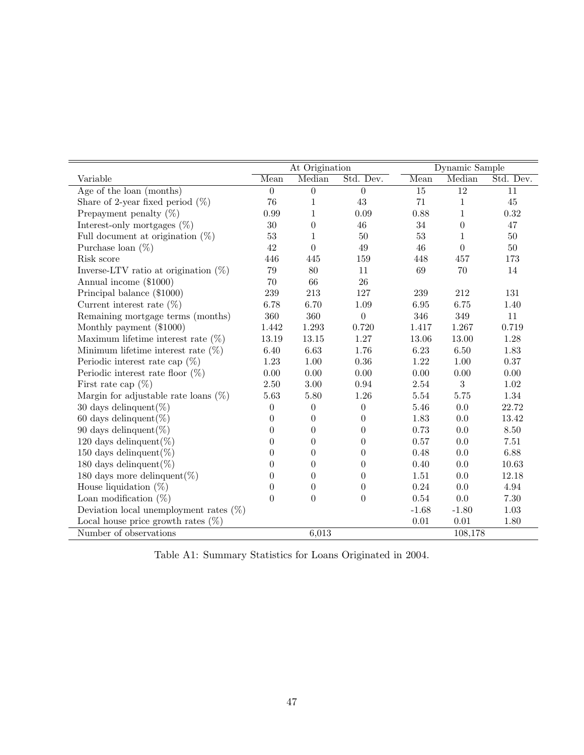<span id="page-48-0"></span>

|                                           | At Origination   |                  |                  | Dynamic Sample  |                 |           |
|-------------------------------------------|------------------|------------------|------------------|-----------------|-----------------|-----------|
| Variable                                  | Mean             | Median           | Std. Dev.        | Mean            | Median          | Std. Dev. |
| Age of the loan (months)                  | $\overline{0}$   | $\boldsymbol{0}$ | $\boldsymbol{0}$ | $\overline{15}$ | $\overline{12}$ | 11        |
| Share of 2-year fixed period $(\%)$       | 76               | 1                | $43\,$           | 71              | 1               | $45\,$    |
| Prepayment penalty $(\%)$                 | 0.99             | $\mathbf 1$      | 0.09             | 0.88            | 1               | 0.32      |
| Interest-only mortgages $(\%)$            | 30               | $\theta$         | 46               | 34              | $\theta$        | 47        |
| Full document at origination $(\%)$       | 53               | 1                | 50               | 53              | 1               | 50        |
| Purchase loan $(\%)$                      | 42               | $\Omega$         | 49               | 46              | $\theta$        | $50\,$    |
| Risk score                                | 446              | 445              | 159              | 448             | 457             | 173       |
| Inverse-LTV ratio at origination $(\%)$   | $79\,$           | 80               | 11               | $69\,$          | 70              | 14        |
| Annual income (\$1000)                    | 70               | 66               | $26\,$           |                 |                 |           |
| Principal balance (\$1000)                | 239              | 213              | 127              | 239             | 212             | 131       |
| Current interest rate $(\%)$              | 6.78             | 6.70             | 1.09             | 6.95            | 6.75            | 1.40      |
| Remaining mortgage terms (months)         | 360              | 360              | $\boldsymbol{0}$ | 346             | 349             | 11        |
| Monthly payment (\$1000)                  | 1.442            | 1.293            | 0.720            | 1.417           | 1.267           | 0.719     |
| Maximum lifetime interest rate $(\%)$     | 13.19            | 13.15            | 1.27             | 13.06           | 13.00           | 1.28      |
| Minimum lifetime interest rate $(\%)$     | 6.40             | 6.63             | 1.76             | 6.23            | 6.50            | 1.83      |
| Periodic interest rate cap $(\%)$         | $1.23\,$         | $1.00\,$         | 0.36             | 1.22            | 1.00            | $0.37\,$  |
| Periodic interest rate floor $(\%)$       | $0.00\,$         | $0.00\,$         | 0.00             | $0.00\,$        | 0.00            | $0.00\,$  |
| First rate cap $(\%)$                     | 2.50             | 3.00             | 0.94             | $2.54\,$        | 3               | $1.02\,$  |
| Margin for adjustable rate loans $(\%)$   | 5.63             | $5.80\,$         | 1.26             | $5.54\,$        | 5.75            | 1.34      |
| 30 days delinquent $(\%)$                 | $\boldsymbol{0}$ | $\boldsymbol{0}$ | $\boldsymbol{0}$ | 5.46            | $0.0\,$         | 22.72     |
| 60 days delinquent $(\%)$                 | $\theta$         | $\theta$         | $\theta$         | 1.83            | 0.0             | 13.42     |
| 90 days delinquent $(\%)$                 | $\theta$         | $\theta$         | $\theta$         | 0.73            | 0.0             | 8.50      |
| 120 days delinquent $(\%)$                | $\theta$         | $\theta$         | $\theta$         | 0.57            | 0.0             | 7.51      |
| 150 days delinquent $(\%)$                | $\boldsymbol{0}$ | $\theta$         | $\theta$         | $0.48\,$        | 0.0             | 6.88      |
| 180 days delinquent $(\%)$                | $\theta$         | $\theta$         | $\Omega$         | 0.40            | 0.0             | 10.63     |
| 180 days more delinquent $(\%)$           | $\theta$         | $\overline{0}$   | $\theta$         | 1.51            | 0.0             | 12.18     |
| House liquidation $(\%)$                  | $\overline{0}$   | $\theta$         | $\theta$         | $0.24\,$        | 0.0             | 4.94      |
| Loan modification $(\%)$                  | $\overline{0}$   | $\theta$         | $\theta$         | $0.54\,$        | $0.0\,$         | $7.30\,$  |
| Deviation local unemployment rates $(\%)$ |                  |                  |                  | $-1.68$         | $-1.80$         | $1.03\,$  |
| Local house price growth rates $(\%)$     |                  |                  |                  | $0.01\,$        | 0.01            | 1.80      |
| Number of observations                    |                  | 6,013            |                  |                 | 108,178         |           |

Table A1: Summary Statistics for Loans Originated in 2004.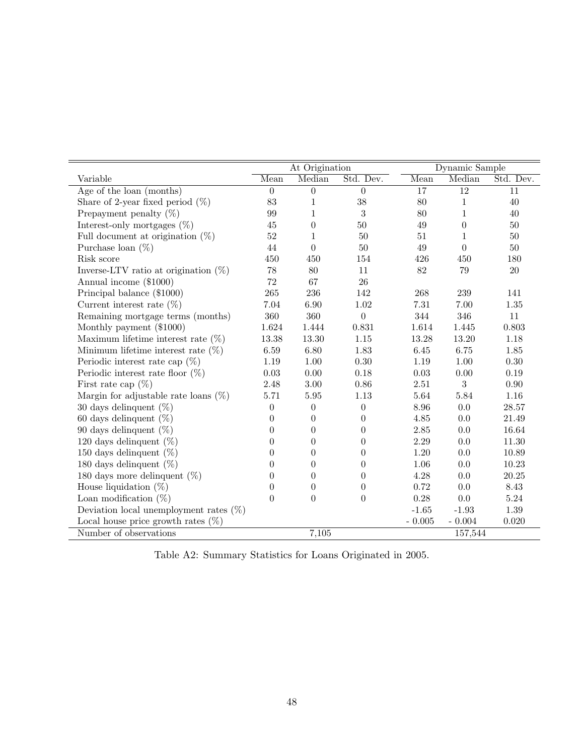|                                           | At Origination   |                  |                  | Dynamic Sample  |                 |           |
|-------------------------------------------|------------------|------------------|------------------|-----------------|-----------------|-----------|
| Variable                                  | Mean             | Median           | Std. Dev.        | Mean            | Median          | Std. Dev. |
| Age of the loan (months)                  | $\boldsymbol{0}$ | $\boldsymbol{0}$ | $\boldsymbol{0}$ | $\overline{17}$ | $\overline{12}$ | 11        |
| Share of 2-year fixed period $(\%)$       | 83               | 1                | 38               | 80              | 1               | 40        |
| Prepayment penalty $(\%)$                 | 99               | 1                | 3                | 80              | 1               | 40        |
| Interest-only mortgages $(\%)$            | 45               | $\boldsymbol{0}$ | 50               | 49              | $\theta$        | 50        |
| Full document at origination $(\%)$       | $52\,$           | 1                | 50               | $51\,$          | 1               | $50\,$    |
| Purchase loan $(\%)$                      | 44               | $\overline{0}$   | $50\,$           | 49              | $\theta$        | $50\,$    |
| Risk score                                | 450              | 450              | 154              | 426             | 450             | 180       |
| Inverse-LTV ratio at origination $(\%)$   | 78               | 80               | 11               | 82              | 79              | $20\,$    |
| Annual income (\$1000)                    | $72\,$           | 67               | 26               |                 |                 |           |
| Principal balance (\$1000)                | 265              | 236              | 142              | 268             | 239             | 141       |
| Current interest rate $(\%)$              | 7.04             | 6.90             | 1.02             | 7.31            | 7.00            | 1.35      |
| Remaining mortgage terms (months)         | 360              | 360              | $\overline{0}$   | 344             | 346             | 11        |
| Monthly payment (\$1000)                  | 1.624            | 1.444            | 0.831            | 1.614           | 1.445           | 0.803     |
| Maximum lifetime interest rate $(\%)$     | 13.38            | 13.30            | 1.15             | 13.28           | 13.20           | 1.18      |
| Minimum lifetime interest rate $(\%)$     | 6.59             | $6.80\,$         | 1.83             | 6.45            | 6.75            | $1.85\,$  |
| Periodic interest rate cap $(\%)$         | 1.19             | 1.00             | $0.30\,$         | 1.19            | 1.00            | 0.30      |
| Periodic interest rate floor $(\%)$       | 0.03             | 0.00             | 0.18             | 0.03            | 0.00            | 0.19      |
| First rate cap $(\%)$                     | 2.48             | 3.00             | 0.86             | $2.51\,$        | 3               | 0.90      |
| Margin for adjustable rate loans $(\%)$   | 5.71             | $5.95\,$         | $1.13\,$         | 5.64            | 5.84            | 1.16      |
| 30 days delinquent $(\%)$                 | $\boldsymbol{0}$ | $\overline{0}$   | $\theta$         | 8.96            | 0.0             | 28.57     |
| 60 days delinquent $(\%)$                 | 0                | $\theta$         | 0                | 4.85            | 0.0             | 21.49     |
| 90 days delinquent $(\%)$                 | $\boldsymbol{0}$ | $\theta$         | 0                | 2.85            | 0.0             | 16.64     |
| 120 days delinquent $(\%)$                | $\boldsymbol{0}$ | $\boldsymbol{0}$ | $\overline{0}$   | $2.29\,$        | 0.0             | 11.30     |
| 150 days delinquent $(\%)$                | 0                | $\boldsymbol{0}$ | $\overline{0}$   | $1.20\,$        | 0.0             | 10.89     |
| 180 days delinquent $(\%)$                | 0                | $\theta$         | 0                | $1.06\,$        | 0.0             | 10.23     |
| 180 days more delinquent $(\%)$           | 0                | $\theta$         | 0                | 4.28            | 0.0             | 20.25     |
| House liquidation $(\%)$                  | $\boldsymbol{0}$ | $\boldsymbol{0}$ | $\theta$         | 0.72            | 0.0             | 8.43      |
| Loan modification $(\%)$                  | $\overline{0}$   | $\overline{0}$   | $\overline{0}$   | 0.28            | $0.0\,$         | $5.24\,$  |
| Deviation local unemployment rates $(\%)$ |                  |                  |                  | $-1.65$         | $-1.93$         | $1.39\,$  |
| Local house price growth rates $(\%)$     |                  |                  |                  | $-0.005$        | $-0.004$        | 0.020     |
| Number of observations                    |                  | 7,105            |                  |                 | 157,544         |           |

Table A2: Summary Statistics for Loans Originated in 2005.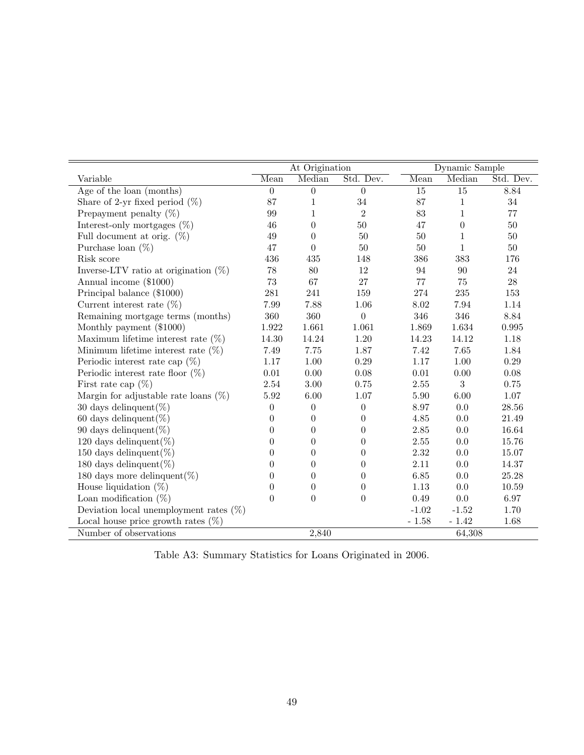<span id="page-50-0"></span>

|                                           | At Origination   |                  |                  | Dynamic Sample  |                 |           |
|-------------------------------------------|------------------|------------------|------------------|-----------------|-----------------|-----------|
| Variable                                  | Mean             | Median           | Std. Dev.        | Mean            | Median          | Std. Dev. |
| Age of the loan (months)                  | $\overline{0}$   | $\theta$         | $\overline{0}$   | $\overline{15}$ | $\overline{15}$ | 8.84      |
| Share of 2-yr fixed period $(\%)$         | 87               | 1                | 34               | 87              | 1               | 34        |
| Prepayment penalty $(\%)$                 | 99               | 1                | $\overline{2}$   | 83              | 1               | 77        |
| Interest-only mortgages $(\%)$            | 46               | $\theta$         | 50               | 47              | $\theta$        | 50        |
| Full document at orig. $(\%)$             | 49               | $\theta$         | 50               | 50              | 1               | $50\,$    |
| Purchase loan $(\%)$                      | 47               | $\theta$         | $50\,$           | $50\,$          | 1               | $50\,$    |
| Risk score                                | 436              | 435              | 148              | 386             | 383             | 176       |
| Inverse-LTV ratio at origination $(\%)$   | 78               | 80               | 12               | 94              | 90              | 24        |
| Annual income (\$1000)                    | 73               | 67               | 27               | 77              | 75              | 28        |
| Principal balance (\$1000)                | $\bf 281$        | 241              | 159              | 274             | 235             | 153       |
| Current interest rate $(\%)$              | 7.99             | 7.88             | 1.06             | $8.02\,$        | 7.94            | 1.14      |
| Remaining mortgage terms (months)         | 360              | 360              | $\overline{0}$   | $346\,$         | 346             | 8.84      |
| Monthly payment (\$1000)                  | 1.922            | 1.661            | 1.061            | 1.869           | 1.634           | 0.995     |
| Maximum lifetime interest rate $(\%)$     | 14.30            | 14.24            | 1.20             | 14.23           | 14.12           | 1.18      |
| Minimum lifetime interest rate $(\%)$     | 7.49             | 7.75             | 1.87             | 7.42            | 7.65            | 1.84      |
| Periodic interest rate cap $(\%)$         | 1.17             | $1.00\,$         | 0.29             | $1.17\,$        | 1.00            | $0.29\,$  |
| Periodic interest rate floor $(\%)$       | $0.01\,$         | 0.00             | 0.08             | $0.01\,$        | 0.00            | $0.08\,$  |
| First rate cap $(\%)$                     | 2.54             | $3.00\,$         | 0.75             | $2.55\,$        | 3               | 0.75      |
| Margin for adjustable rate loans $(\%)$   | 5.92             | 6.00             | 1.07             | 5.90            | 6.00            | 1.07      |
| 30 days delinquent $(\%)$                 | $\boldsymbol{0}$ | $\theta$         | $\boldsymbol{0}$ | 8.97            | 0.0             | $28.56\,$ |
| 60 days delinquent $(\%)$                 | $\theta$         | $\theta$         | $\Omega$         | $4.85\,$        | 0.0             | 21.49     |
| 90 days delinquent $(\%)$                 | $\theta$         | $\overline{0}$   | $\theta$         | $2.85\,$        | 0.0             | 16.64     |
| 120 days delinquent $(\%)$                | $\boldsymbol{0}$ | $\boldsymbol{0}$ | $\boldsymbol{0}$ | $2.55\,$        | 0.0             | 15.76     |
| 150 days delinquent $(\%)$                | $\overline{0}$   | $\boldsymbol{0}$ | $\boldsymbol{0}$ | $2.32\,$        | $0.0\,$         | 15.07     |
| 180 days delinquent $(\%)$                | $\theta$         | $\theta$         | $\theta$         | 2.11            | 0.0             | 14.37     |
| 180 days more delinquent $(\%)$           | $\theta$         | $\theta$         | $\theta$         | 6.85            | 0.0             | 25.28     |
| House liquidation $(\%)$                  | $\theta$         | $\theta$         | $\theta$         | 1.13            | 0.0             | $10.59\,$ |
| Loan modification $(\%)$                  | $\overline{0}$   | $\theta$         | $\Omega$         | $0.49\,$        | $0.0\,$         | 6.97      |
| Deviation local unemployment rates $(\%)$ |                  |                  |                  | $-1.02$         | $-1.52$         | 1.70      |
| Local house price growth rates $(\%)$     |                  |                  |                  | $-1.58$         | $-1.42$         | 1.68      |
| Number of observations                    |                  | 2,840            |                  |                 | 64,308          |           |

Table A3: Summary Statistics for Loans Originated in 2006.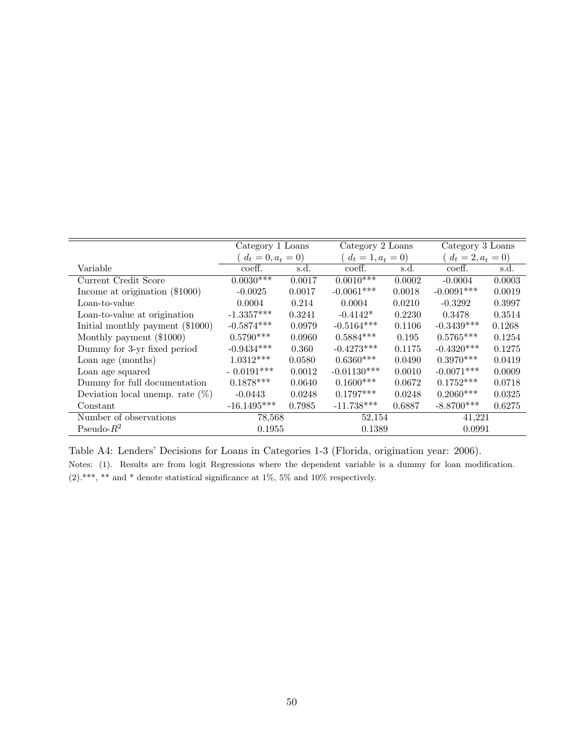<span id="page-51-0"></span>

|                            | Category 1 Loans |                      | Category 2 Loans |                      |                            |  |
|----------------------------|------------------|----------------------|------------------|----------------------|----------------------------|--|
| $(d_t = 0, a_t = 0)$       |                  | $(d_t = 1, a_t = 0)$ |                  | $(d_t = 2, a_t = 0)$ |                            |  |
| $\overline{\text{coeff.}}$ | s.d.             | coeff.               | s.d.             | coeff.               | s.d.                       |  |
|                            | 0.0017           |                      | 0.0002           | $-0.0004$            | 0.0003                     |  |
| $-0.0025$                  | 0.0017           | $-0.0061***$         | 0.0018           | $-0.0091***$         | 0.0019                     |  |
| 0.0004                     | 0.214            | 0.0004               | 0.0210           | $-0.3292$            | 0.3997                     |  |
| $-1.3357***$               | 0.3241           | $-0.4142*$           | 0.2230           | 0.3478               | 0.3514                     |  |
| $-0.5874***$               | 0.0979           | $-0.5164***$         | 0.1106           | $-0.3439***$         | 0.1268                     |  |
| $0.5790***$                | 0.0960           | $0.5884***$          | 0.195            | $0.5765***$          | 0.1254                     |  |
| $-0.9434***$               | 0.360            | $-0.4273***$         | 0.1175           | $-0.4320***$         | 0.1275                     |  |
| $1.0312***$                | 0.0580           | $0.6360***$          | 0.0490           | $0.3970***$          | 0.0419                     |  |
| $-0.0191***$               | 0.0012           | $-0.01130***$        | 0.0010           | $-0.0071***$         | 0.0009                     |  |
| $0.1878***$                | 0.0640           | $0.1600***$          | 0.0672           | $0.1752***$          | 0.0718                     |  |
| $-0.0443$                  | 0.0248           | $0.1797***$          | 0.0248           | $0.2060***$          | 0.0325                     |  |
| $-16.1495***$              | 0.7985           | $-11.738***$         | 0.6887           | $-8.8700***$         | 0.6275                     |  |
|                            | 78,568           |                      | 52,154           |                      | 41,221                     |  |
|                            |                  |                      |                  |                      |                            |  |
|                            | $0.0030***$      | 0.1955               | $0.0010***$      | 0.1389               | Category 3 Loans<br>0.0991 |  |

Table A4: Lenders' Decisions for Loans in Categories 1-3 (Florida, origination year: 2006).

Notes: (1). Results are from logit Regressions where the dependent variable is a dummy for loan modification. (2).\*\*\*, \*\* and \* denote statistical significance at 1%, 5% and 10% respectively.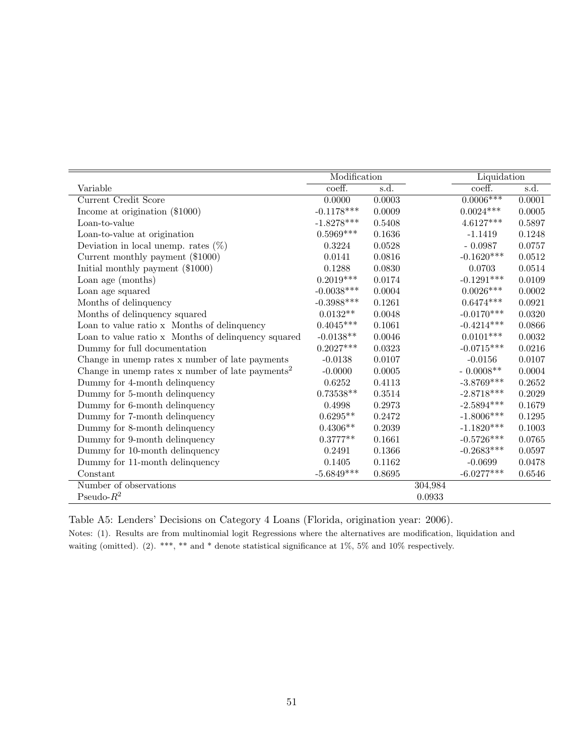<span id="page-52-0"></span>

|                                                              | Modification                 |        | Liquidation  |            |
|--------------------------------------------------------------|------------------------------|--------|--------------|------------|
| Variable                                                     | $\overline{\mathrm{coeff.}}$ | s.d.   | coeff.       | s.d.       |
| <b>Current Credit Score</b>                                  | 0.0000                       | 0.0003 | $0.0006***$  | 0.0001     |
| Income at origination (\$1000)                               | $-0.1178***$                 | 0.0009 | $0.0024***$  | 0.0005     |
| Loan-to-value                                                | $-1.8278***$                 | 0.5408 | $4.6127***$  | 0.5897     |
| Loan-to-value at origination                                 | $0.5969***$                  | 0.1636 | $-1.1419$    | 0.1248     |
| Deviation in local unemp. rates $(\%)$                       | 0.3224                       | 0.0528 | $-0.0987$    | 0.0757     |
| Current monthly payment (\$1000)                             | 0.0141                       | 0.0816 | $-0.1620***$ | 0.0512     |
| Initial monthly payment (\$1000)                             | 0.1288                       | 0.0830 | 0.0703       | 0.0514     |
| Loan age (months)                                            | $0.2019***$                  | 0.0174 | $-0.1291***$ | 0.0109     |
| Loan age squared                                             | $-0.0038***$                 | 0.0004 | $0.0026***$  | 0.0002     |
| Months of delinquency                                        | $-0.3988***$                 | 0.1261 | $0.6474***$  | 0.0921     |
| Months of delinquency squared                                | $0.0132**$                   | 0.0048 | $-0.0170***$ | 0.0320     |
| Loan to value ratio x Months of delinquency                  | $0.4045***$                  | 0.1061 | $-0.4214***$ | 0.0866     |
| Loan to value ratio x Months of delinquency squared          | $-0.0138**$                  | 0.0046 | $0.0101***$  | 0.0032     |
| Dummy for full documentation                                 | $0.2027***$                  | 0.0323 | $-0.0715***$ | 0.0216     |
| Change in unemp rates x number of late payments              | $-0.0138$                    | 0.0107 | $-0.0156$    | 0.0107     |
| Change in unemp rates x number of late payments <sup>2</sup> | $-0.0000$                    | 0.0005 | $-0.0008**$  | 0.0004     |
| Dummy for 4-month delinquency                                | 0.6252                       | 0.4113 | $-3.8769***$ | 0.2652     |
| Dummy for 5-month delinquency                                | $0.73538**$                  | 0.3514 | $-2.8718***$ | 0.2029     |
| Dummy for 6-month delinquency                                | 0.4998                       | 0.2973 | $-2.5894***$ | 0.1679     |
| Dummy for 7-month delinquency                                | $0.6295**$                   | 0.2472 | $-1.8006***$ | 0.1295     |
| Dummy for 8-month delinquency                                | $0.4306**$                   | 0.2039 | $-1.1820***$ | $0.1003\,$ |
| Dummy for 9-month delinquency                                | $0.3777**$                   | 0.1661 | $-0.5726***$ | 0.0765     |
| Dummy for 10-month delinquency                               | 0.2491                       | 0.1366 | $-0.2683***$ | 0.0597     |
| Dummy for 11-month delinquency                               | 0.1405                       | 0.1162 | $-0.0699$    | 0.0478     |
| Constant                                                     | $-5.6849***$                 | 0.8695 | $-6.0277***$ | 0.6546     |
| Number of observations                                       |                              |        | 304,984      |            |
| Pseudo- $R^2$                                                |                              |        | 0.0933       |            |

Table A5: Lenders' Decisions on Category 4 Loans (Florida, origination year: 2006).

Notes: (1). Results are from multinomial logit Regressions where the alternatives are modification, liquidation and waiting (omitted). (2). \*\*\*, \*\* and \* denote statistical significance at 1%, 5% and 10% respectively.